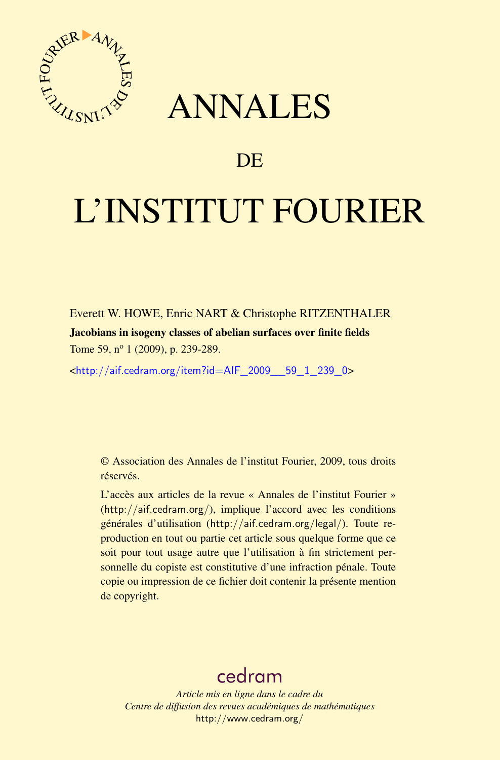

## ANNALES

## **DE**

# L'INSTITUT FOURIER

Everett W. HOWE, Enric NART & Christophe RITZENTHALER Jacobians in isogeny classes of abelian surfaces over finite fields Tome 59, n<sup>o</sup> 1 (2009), p. 239-289.

<[http://aif.cedram.org/item?id=AIF\\_2009\\_\\_59\\_1\\_239\\_0](http://aif.cedram.org/item?id=AIF_2009__59_1_239_0)>

© Association des Annales de l'institut Fourier, 2009, tous droits réservés.

L'accès aux articles de la revue « Annales de l'institut Fourier » (<http://aif.cedram.org/>), implique l'accord avec les conditions générales d'utilisation (<http://aif.cedram.org/legal/>). Toute reproduction en tout ou partie cet article sous quelque forme que ce soit pour tout usage autre que l'utilisation à fin strictement personnelle du copiste est constitutive d'une infraction pénale. Toute copie ou impression de ce fichier doit contenir la présente mention de copyright.

## [cedram](http://www.cedram.org/)

*Article mis en ligne dans le cadre du Centre de diffusion des revues académiques de mathématiques* <http://www.cedram.org/>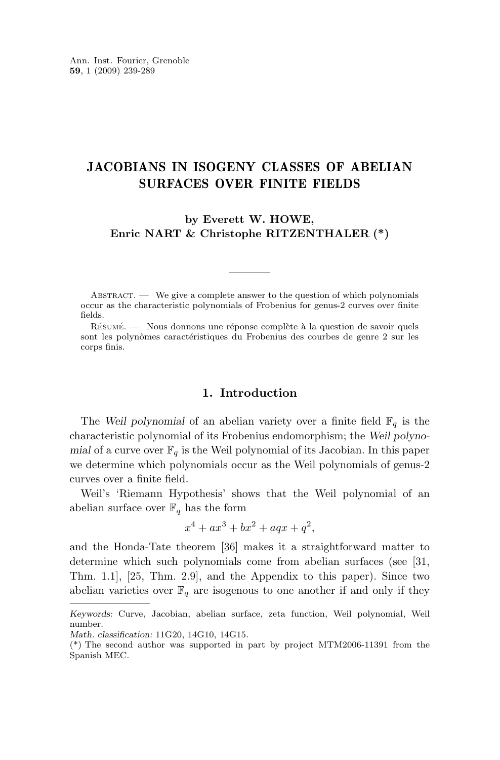#### <span id="page-1-0"></span>JACOBIANS IN ISOGENY CLASSES OF ABELIAN SURFACES OVER FINITE FIELDS

**by Everett W. HOWE, Enric NART & Christophe RITZENTHALER (\*)**

ABSTRACT.  $\qquad$  We give a complete answer to the question of which polynomials occur as the characteristic polynomials of Frobenius for genus-2 curves over finite fields.

Résumé. — Nous donnons une réponse complète à la question de savoir quels sont les polynômes caractéristiques du Frobenius des courbes de genre 2 sur les corps finis.

#### **1. Introduction**

The *Weil polynomial* of an abelian variety over a finite field  $\mathbb{F}_q$  is the characteristic polynomial of its Frobenius endomorphism; the *Weil polynomial* of a curve over  $\mathbb{F}_q$  is the Weil polynomial of its Jacobian. In this paper we determine which polynomials occur as the Weil polynomials of genus-2 curves over a finite field.

Weil's 'Riemann Hypothesis' shows that the Weil polynomial of an abelian surface over  $\mathbb{F}_q$  has the form

$$
x^4 + ax^3 + bx^2 + aqx + q^2,
$$

and the Honda-Tate theorem [\[36\]](#page-51-0) makes it a straightforward matter to determine which such polynomials come from abelian surfaces (see [\[31,](#page-51-0) Thm. 1.1], [\[25,](#page-50-0) Thm. 2.9], and the Appendix to this paper). Since two abelian varieties over  $\mathbb{F}_q$  are isogenous to one another if and only if they

*Keywords:* Curve, Jacobian, abelian surface, zeta function, Weil polynomial, Weil number.

*Math. classification:* 11G20, 14G10, 14G15.

<sup>(\*)</sup> The second author was supported in part by project MTM2006-11391 from the Spanish MEC.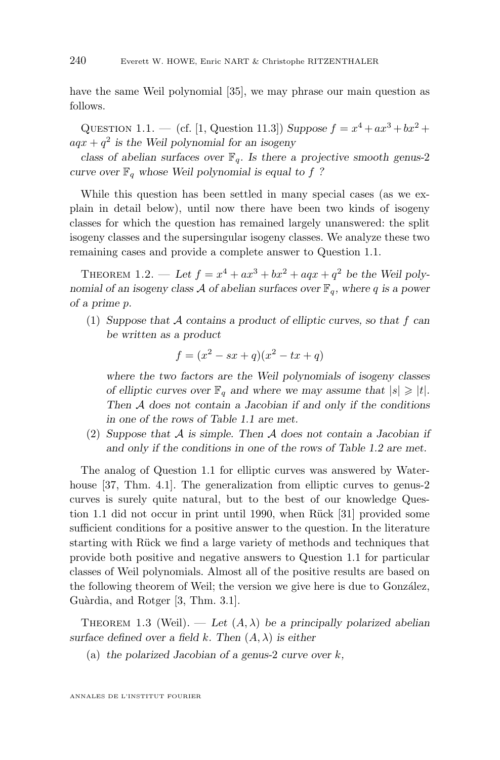<span id="page-2-0"></span>have the same Weil polynomial [\[35\]](#page-51-0), we may phrase our main question as follows.

QUESTION 1.1. — (cf. [\[1,](#page-49-0) Question 11.3]) *Suppose*  $f = x^4 + ax^3 + bx^2 +$ aqx + q 2 *is the Weil polynomial for an isogeny*

*class of abelian surfaces over*  $\mathbb{F}_q$ *. Is there a projective smooth genus-2 curve over*  $\mathbb{F}_q$  *whose* Weil polynomial is equal to f ?

While this question has been settled in many special cases (as we explain in detail below), until now there have been two kinds of isogeny classes for which the question has remained largely unanswered: the split isogeny classes and the supersingular isogeny classes. We analyze these two remaining cases and provide a complete answer to Question 1.1.

THEOREM 1.2. — Let  $f = x^4 + ax^3 + bx^2 + aqx + q^2$  be the Weil poly*nomial of an isogeny class* A *of abelian surfaces over*  $\mathbb{F}_q$ *, where* q *is a power of a prime* p*.*

(1) *Suppose that* A *contains a product of elliptic curves, so that* f *can be written as a product*

$$
f = (x^2 - sx + q)(x^2 - tx + q)
$$

*where the two factors are the Weil polynomials of isogeny classes of elliptic curves over*  $\mathbb{F}_q$  *and where we may assume that*  $|s| \geq |t|$ *. Then* A *does not contain a Jacobian if and only if the conditions in one of the rows of Table [1.1](#page-3-0) are met.*

(2) *Suppose that* A *is simple. Then* A *does not contain a Jacobian if and only if the conditions in one of the rows of Table [1.2](#page-4-0) are met.*

The analog of Question 1.1 for elliptic curves was answered by Waterhouse [\[37,](#page-51-0) Thm. 4.1]. The generalization from elliptic curves to genus-2 curves is surely quite natural, but to the best of our knowledge Question 1.1 did not occur in print until 1990, when Rück [\[31\]](#page-51-0) provided some sufficient conditions for a positive answer to the question. In the literature starting with Rück we find a large variety of methods and techniques that provide both positive and negative answers to Question 1.1 for particular classes of Weil polynomials. Almost all of the positive results are based on the following theorem of Weil; the version we give here is due to González, Guàrdia, and Rotger [\[3,](#page-49-0) Thm. 3.1].

THEOREM 1.3 (Weil). — Let  $(A, \lambda)$  be a principally polarized abelian *surface defined over a field k. Then*  $(A, \lambda)$  *is either* 

(a) *the polarized Jacobian of a genus-*2 *curve over* k*,*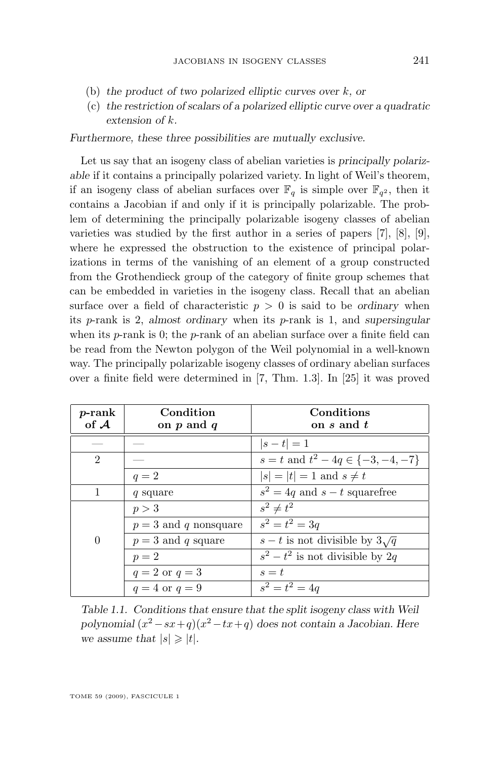- <span id="page-3-0"></span>(b) *the product of two polarized elliptic curves over* k*, or*
- (c) *the restriction of scalars of a polarized elliptic curve over a quadratic extension of* k*.*

*Furthermore, these three possibilities are mutually exclusive.*

Let us say that an isogeny class of abelian varieties is *principally polarizable* if it contains a principally polarized variety. In light of Weil's theorem, if an isogeny class of abelian surfaces over  $\mathbb{F}_q$  is simple over  $\mathbb{F}_{q^2}$ , then it contains a Jacobian if and only if it is principally polarizable. The problem of determining the principally polarizable isogeny classes of abelian varieties was studied by the first author in a series of papers [\[7\]](#page-50-0), [\[8\]](#page-50-0), [\[9\]](#page-50-0), where he expressed the obstruction to the existence of principal polarizations in terms of the vanishing of an element of a group constructed from the Grothendieck group of the category of finite group schemes that can be embedded in varieties in the isogeny class. Recall that an abelian surface over a field of characteristic  $p > 0$  is said to be *ordinary* when its p-rank is 2, *almost ordinary* when its p-rank is 1, and *supersingular* when its  $p$ -rank is 0; the  $p$ -rank of an abelian surface over a finite field can be read from the Newton polygon of the Weil polynomial in a well-known way. The principally polarizable isogeny classes of ordinary abelian surfaces over a finite field were determined in [\[7,](#page-50-0) Thm. 1.3]. In [\[25\]](#page-50-0) it was proved

| $p$ -rank      | Condition             | Conditions                                |
|----------------|-----------------------|-------------------------------------------|
| of $A$         | on $p$ and $q$        | on s and t                                |
|                |                       | $ s-t =1$                                 |
| $\mathfrak{D}$ |                       | $s = t$ and $t^2 - 4q \in \{-3, -4, -7\}$ |
|                | $q=2$                 | $ s  =  t  = 1$ and $s \neq t$            |
|                | q square              | $s^2 = 4q$ and $s - t$ squarefree         |
|                | p > 3                 | $s^2 \neq t^2$                            |
|                | $p=3$ and q nonsquare | $s^2 = t^2 = 3q$                          |
| $\Omega$       | $p=3$ and q square    | $s-t$ is not divisible by $3\sqrt{q}$     |
|                | $p=2$                 | $s^2 - t^2$ is not divisible by 2q.       |
|                | $q=2$ or $q=3$        | $s=t$                                     |
|                | $q=4$ or $q=9$        | $s^2 = t^2 = 4q$                          |

*Table 1.1. Conditions that ensure that the split isogeny class with Weil polynomial* (x <sup>2</sup>−sx+q)(x <sup>2</sup>−tx+q) *does not contain a Jacobian. Here we assume that*  $|s| \geq |t|$ *.*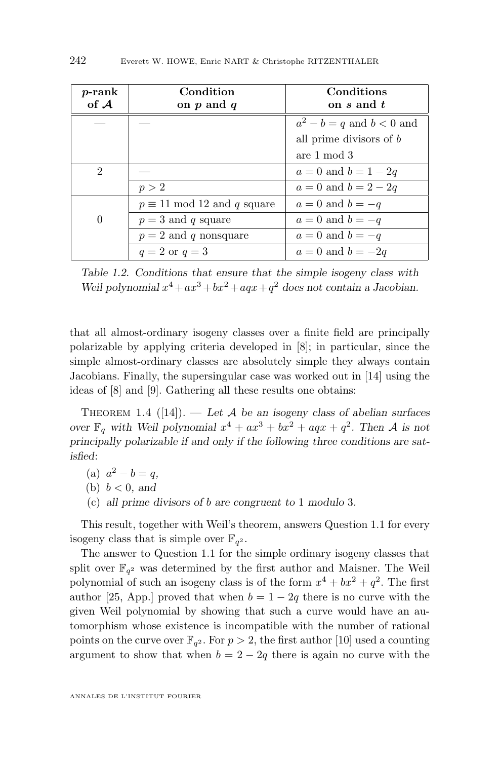<span id="page-4-0"></span>

| $p$ -rank<br>of $A$         | Condition<br>on $p$ and $q$        | Conditions<br>on $s$ and $t$  |
|-----------------------------|------------------------------------|-------------------------------|
|                             |                                    | $a^2 - b = q$ and $b < 0$ and |
|                             |                                    | all prime divisors of b       |
|                             |                                    | are 1 mod 3                   |
| $\mathcal{D}_{\mathcal{L}}$ |                                    | $a = 0$ and $b = 1 - 2q$      |
|                             | p > 2                              | $a = 0$ and $b = 2 - 2q$      |
|                             | $p \equiv 11 \mod 12$ and q square | $a=0$ and $b=-q$              |
| $\theta$                    | $p = 3$ and q square               | $a=0$ and $b=-q$              |
|                             | $p = 2$ and q nonsquare            | $a=0$ and $b=-q$              |
|                             | $q=2$ or $q=3$                     | $a=0$ and $b=-2q$             |

*Table 1.2. Conditions that ensure that the simple isogeny class with* Weil polynomial  $x^4 + ax^3 + bx^2 + aqx + q^2$  does not contain a Jacobian.

that all almost-ordinary isogeny classes over a finite field are principally polarizable by applying criteria developed in [\[8\]](#page-50-0); in particular, since the simple almost-ordinary classes are absolutely simple they always contain Jacobians. Finally, the supersingular case was worked out in [\[14\]](#page-50-0) using the ideas of [\[8\]](#page-50-0) and [\[9\]](#page-50-0). Gathering all these results one obtains:

Theorem 1.4 ([\[14\]](#page-50-0)). — *Let* A *be an isogeny class of abelian surfaces over*  $\mathbb{F}_q$  with Weil polynomial  $x^4 + ax^3 + bx^2 + aqx + q^2$ . Then A is not *principally polarizable if and only if the following three conditions are satisfied*:

- (a)  $a^2 b = q$ ,
- (b)  $b < 0$ , and
- (c) *all prime divisors of* b *are congruent to* 1 *modulo* 3*.*

This result, together with Weil's theorem, answers Question [1.1](#page-2-0) for every isogeny class that is simple over  $\mathbb{F}_{q^2}$ .

The answer to Question [1.1](#page-2-0) for the simple ordinary isogeny classes that split over  $\mathbb{F}_{q^2}$  was determined by the first author and Maisner. The Weil polynomial of such an isogeny class is of the form  $x^4 + bx^2 + q^2$ . The first author [\[25,](#page-50-0) App.] proved that when  $b = 1 - 2q$  there is no curve with the given Weil polynomial by showing that such a curve would have an automorphism whose existence is incompatible with the number of rational points on the curve over  $\mathbb{F}_{q^2}$ . For  $p > 2$ , the first author [\[10\]](#page-50-0) used a counting argument to show that when  $b = 2 - 2q$  there is again no curve with the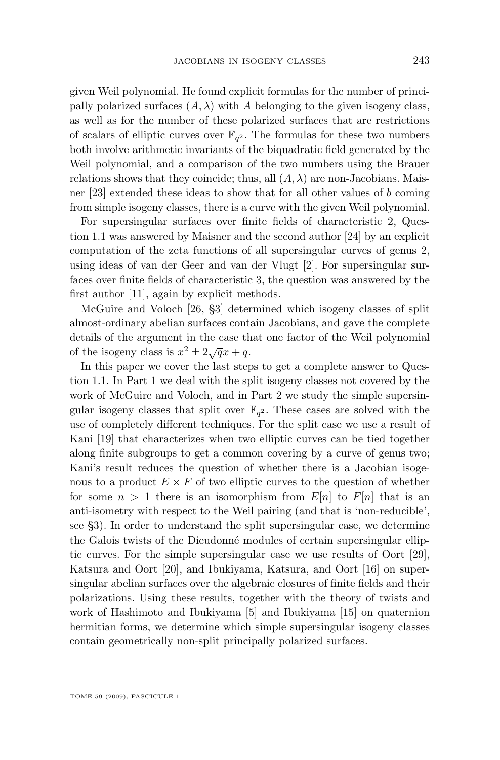given Weil polynomial. He found explicit formulas for the number of principally polarized surfaces  $(A, \lambda)$  with A belonging to the given isogeny class, as well as for the number of these polarized surfaces that are restrictions of scalars of elliptic curves over  $\mathbb{F}_{q^2}$ . The formulas for these two numbers both involve arithmetic invariants of the biquadratic field generated by the Weil polynomial, and a comparison of the two numbers using the Brauer relations shows that they coincide; thus, all  $(A, \lambda)$  are non-Jacobians. Maisner [\[23\]](#page-50-0) extended these ideas to show that for all other values of b coming from simple isogeny classes, there is a curve with the given Weil polynomial.

For supersingular surfaces over finite fields of characteristic 2, Question [1.1](#page-2-0) was answered by Maisner and the second author [\[24\]](#page-50-0) by an explicit computation of the zeta functions of all supersingular curves of genus 2, using ideas of van der Geer and van der Vlugt [\[2\]](#page-49-0). For supersingular surfaces over finite fields of characteristic 3, the question was answered by the first author [\[11\]](#page-50-0), again by explicit methods.

McGuire and Voloch [\[26,](#page-50-0) §3] determined which isogeny classes of split almost-ordinary abelian surfaces contain Jacobians, and gave the complete details of the argument in the case that one factor of the Weil polynomial of the isogeny class is  $x^2 \pm 2\sqrt{q}x + q$ .

In this paper we cover the last steps to get a complete answer to Question [1.1.](#page-2-0) In Part [1](#page-6-0) we deal with the split isogeny classes not covered by the work of McGuire and Voloch, and in Part [2](#page-29-0) we study the simple supersingular isogeny classes that split over  $\mathbb{F}_{q^2}$ . These cases are solved with the use of completely different techniques. For the split case we use a result of Kani [\[19\]](#page-50-0) that characterizes when two elliptic curves can be tied together along finite subgroups to get a common covering by a curve of genus two; Kani's result reduces the question of whether there is a Jacobian isogenous to a product  $E \times F$  of two elliptic curves to the question of whether for some  $n > 1$  there is an isomorphism from  $E[n]$  to  $F[n]$  that is an anti-isometry with respect to the Weil pairing (and that is 'non-reducible', see [§3\)](#page-7-0). In order to understand the split supersingular case, we determine the Galois twists of the Dieudonné modules of certain supersingular elliptic curves. For the simple supersingular case we use results of Oort [\[29\]](#page-51-0), Katsura and Oort [\[20\]](#page-50-0), and Ibukiyama, Katsura, and Oort [\[16\]](#page-50-0) on supersingular abelian surfaces over the algebraic closures of finite fields and their polarizations. Using these results, together with the theory of twists and work of Hashimoto and Ibukiyama [\[5\]](#page-49-0) and Ibukiyama [\[15\]](#page-50-0) on quaternion hermitian forms, we determine which simple supersingular isogeny classes contain geometrically non-split principally polarized surfaces.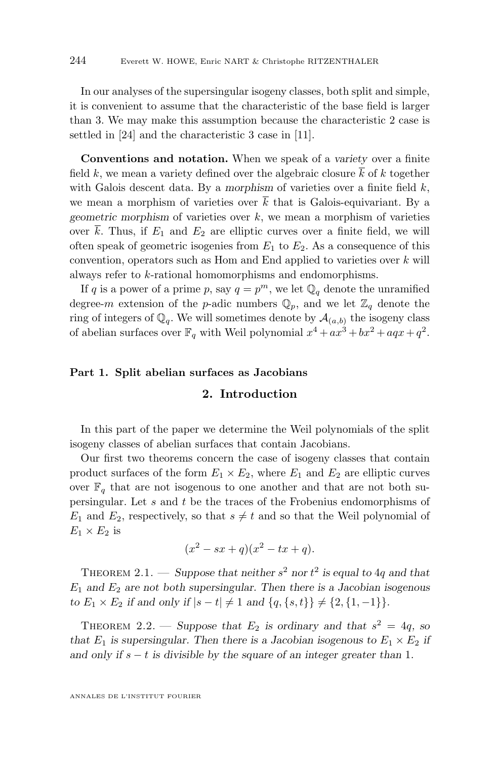<span id="page-6-0"></span>In our analyses of the supersingular isogeny classes, both split and simple, it is convenient to assume that the characteristic of the base field is larger than 3. We may make this assumption because the characteristic 2 case is settled in [\[24\]](#page-50-0) and the characteristic 3 case in [\[11\]](#page-50-0).

**Conventions and notation.** When we speak of a *variety* over a finite field k, we mean a variety defined over the algebraic closure  $k$  of k together with Galois descent data. By a *morphism* of varieties over a finite field  $k$ , we mean a morphism of varieties over  $\overline{k}$  that is Galois-equivariant. By a *geometric morphism* of varieties over k, we mean a morphism of varieties over  $\bar{k}$ . Thus, if  $E_1$  and  $E_2$  are elliptic curves over a finite field, we will often speak of geometric isogenies from  $E_1$  to  $E_2$ . As a consequence of this convention, operators such as Hom and End applied to varieties over  $k$  will always refer to k-rational homomorphisms and endomorphisms.

If q is a power of a prime p, say  $q = p^m$ , we let  $\mathbb{Q}_q$  denote the unramified degree-m extension of the p-adic numbers  $\mathbb{Q}_p$ , and we let  $\mathbb{Z}_q$  denote the ring of integers of  $\mathbb{Q}_q$ . We will sometimes denote by  $\mathcal{A}_{(a,b)}$  the isogeny class of abelian surfaces over  $\mathbb{F}_q$  with Weil polynomial  $x^4 + ax^3 + bx^2 + aqx + q^2$ .

#### **Part 1. Split abelian surfaces as Jacobians**

#### **2. Introduction**

In this part of the paper we determine the Weil polynomials of the split isogeny classes of abelian surfaces that contain Jacobians.

Our first two theorems concern the case of isogeny classes that contain product surfaces of the form  $E_1 \times E_2$ , where  $E_1$  and  $E_2$  are elliptic curves over  $\mathbb{F}_q$  that are not isogenous to one another and that are not both supersingular. Let s and t be the traces of the Frobenius endomorphisms of  $E_1$  and  $E_2$ , respectively, so that  $s \neq t$  and so that the Weil polynomial of  $E_1 \times E_2$  is

$$
(x2 - sx + q)(x2 - tx + q).
$$

THEOREM 2.1. — Suppose that neither  $s^2$  nor  $t^2$  is equal to 4q and that  $E_1$  and  $E_2$  are not both supersingular. Then there is a Jacobian isogenous *to*  $E_1 \times E_2$  *if and only if*  $|s-t| \neq 1$  *and*  $\{q, \{s, t\}\}\neq \{2, \{1, -1\}\}.$ 

THEOREM 2.2. — Suppose that  $E_2$  is ordinary and that  $s^2 = 4q$ , so *that*  $E_1$  *is supersingular. Then there is a Jacobian isogenous to*  $E_1 \times E_2$  *if and only if*  $s − t$  *is divisible by the square of an integer greater than* 1*.* 

ANNALES DE L'INSTITUT FOURIER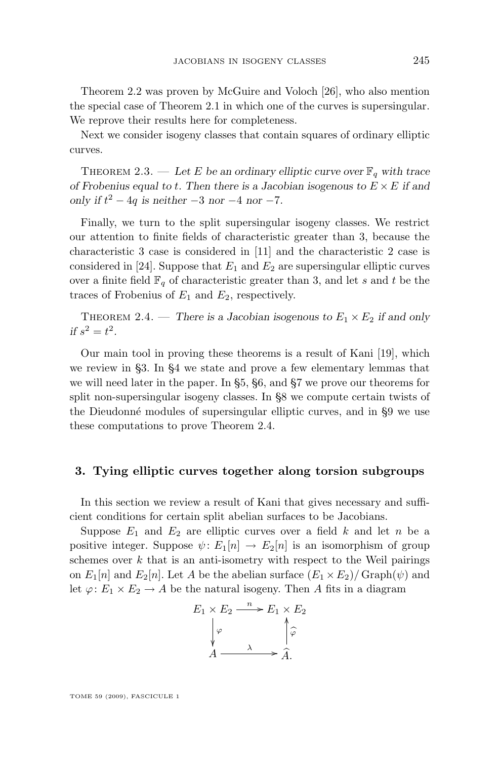<span id="page-7-0"></span>Theorem [2.2](#page-6-0) was proven by McGuire and Voloch [\[26\]](#page-50-0), who also mention the special case of Theorem [2.1](#page-6-0) in which one of the curves is supersingular. We reprove their results here for completeness.

Next we consider isogeny classes that contain squares of ordinary elliptic curves.

THEOREM 2.3. — Let E be an ordinary elliptic curve over  $\mathbb{F}_q$  with trace *of Frobenius equal to* t*. Then there is a Jacobian isogenous to* E ×E *if and only if*  $t^2 - 4q$  *is neither*  $-3$  *nor*  $-4$  *nor*  $-7$ *.* 

Finally, we turn to the split supersingular isogeny classes. We restrict our attention to finite fields of characteristic greater than 3, because the characteristic 3 case is considered in [\[11\]](#page-50-0) and the characteristic 2 case is considered in [\[24\]](#page-50-0). Suppose that  $E_1$  and  $E_2$  are supersingular elliptic curves over a finite field  $\mathbb{F}_q$  of characteristic greater than 3, and let s and t be the traces of Frobenius of  $E_1$  and  $E_2$ , respectively.

THEOREM 2.4. — *There is a Jacobian isogenous to*  $E_1 \times E_2$  *if and only if*  $s^2 = t^2$ .

Our main tool in proving these theorems is a result of Kani [\[19\]](#page-50-0), which we review in §3. In [§4](#page-9-0) we state and prove a few elementary lemmas that we will need later in the paper. In [§5,](#page-13-0) [§6,](#page-20-0) and [§7](#page-21-0) we prove our theorems for split non-supersingular isogeny classes. In [§8](#page-21-0) we compute certain twists of the Dieudonné modules of supersingular elliptic curves, and in [§9](#page-25-0) we use these computations to prove Theorem 2.4.

#### **3. Tying elliptic curves together along torsion subgroups**

In this section we review a result of Kani that gives necessary and sufficient conditions for certain split abelian surfaces to be Jacobians.

Suppose  $E_1$  and  $E_2$  are elliptic curves over a field k and let n be a positive integer. Suppose  $\psi: E_1[n] \to E_2[n]$  is an isomorphism of group schemes over  $k$  that is an anti-isometry with respect to the Weil pairings on  $E_1[n]$  and  $E_2[n]$ . Let A be the abelian surface  $(E_1 \times E_2)/$  Graph $(\psi)$  and let  $\varphi: E_1 \times E_2 \to A$  be the natural isogeny. Then A fits in a diagram

$$
E_1 \times E_2 \xrightarrow{n} E_1 \times E_2
$$
  
\n
$$
\downarrow \varphi
$$
  
\n
$$
A \xrightarrow{\lambda} \hat{A}.
$$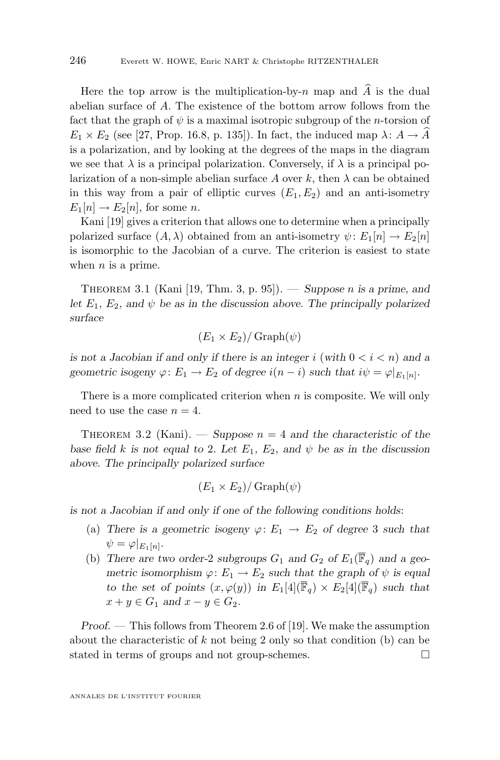<span id="page-8-0"></span>Here the top arrow is the multiplication-by-n map and  $\hat{A}$  is the dual abelian surface of A. The existence of the bottom arrow follows from the fact that the graph of  $\psi$  is a maximal isotropic subgroup of the *n*-torsion of  $E_1 \times E_2$  (see [\[27,](#page-50-0) Prop. 16.8, p. 135]). In fact, the induced map  $\lambda: A \to A$ is a polarization, and by looking at the degrees of the maps in the diagram we see that  $\lambda$  is a principal polarization. Conversely, if  $\lambda$  is a principal polarization of a non-simple abelian surface A over k, then  $\lambda$  can be obtained in this way from a pair of elliptic curves  $(E_1, E_2)$  and an anti-isometry  $E_1[n] \to E_2[n]$ , for some *n*.

Kani [\[19\]](#page-50-0) gives a criterion that allows one to determine when a principally polarized surface  $(A, \lambda)$  obtained from an anti-isometry  $\psi: E_1[n] \to E_2[n]$ is isomorphic to the Jacobian of a curve. The criterion is easiest to state when  $n$  is a prime.

Theorem 3.1 (Kani [\[19,](#page-50-0) Thm. 3, p. 95]). — *Suppose* n *is a prime, and let*  $E_1$ ,  $E_2$ , and  $\psi$  *be as in the discussion above. The principally polarized surface*

$$
(E_1 \times E_2)/\operatorname{Graph}(\psi)
$$

*is not a Jacobian if and only if there is an integer i (with*  $0 < i < n$ ) *and a geometric isogeny*  $\varphi: E_1 \to E_2$  *of degree*  $i(n - i)$  *such that*  $i\psi = \varphi|_{E_1[n]}$ .

There is a more complicated criterion when  $n$  is composite. We will only need to use the case  $n = 4$ .

THEOREM 3.2 (Kani). — *Suppose*  $n = 4$  *and the characteristic of the base field* k is not equal to 2. Let  $E_1$ ,  $E_2$ , and  $\psi$  be as in the discussion *above. The principally polarized surface*

$$
(E_1 \times E_2) / \operatorname{Graph}(\psi)
$$

*is not a Jacobian if and only if one of the following conditions holds*:

- (a) There is a geometric isogeny  $\varphi: E_1 \to E_2$  of degree 3 such that  $\psi = \varphi|_{E_1[n]}.$
- (b) There are two order-2 subgroups  $G_1$  and  $G_2$  of  $E_1(\overline{\mathbb{F}}_q)$  and a geo*metric isomorphism*  $\varphi: E_1 \to E_2$  *such that the graph of*  $\psi$  *is equal to the set of points*  $(x, \varphi(y))$  *in*  $E_1[4](\overline{\mathbb{F}}_q) \times E_2[4](\overline{\mathbb{F}}_q)$  *such that*  $x + y \in G_1$  *and*  $x - y \in G_2$ *.*

*Proof. —* This follows from Theorem 2.6 of [\[19\]](#page-50-0). We make the assumption about the characteristic of  $k$  not being 2 only so that condition (b) can be stated in terms of groups and not group-schemes.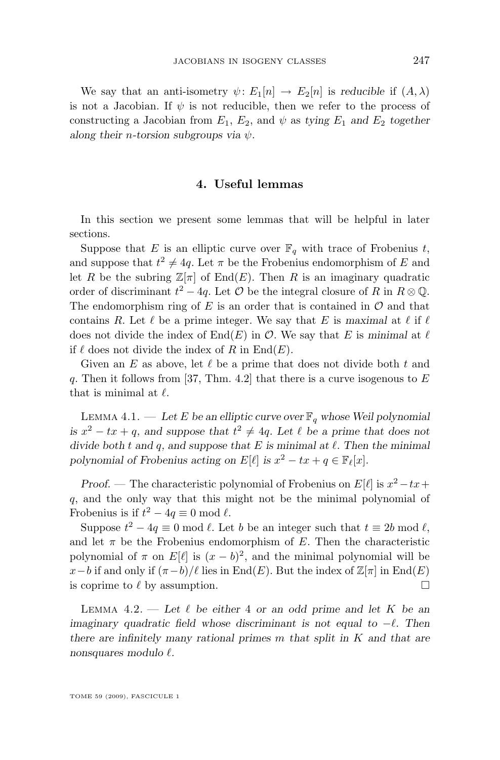<span id="page-9-0"></span>We say that an anti-isometry  $\psi: E_1[n] \to E_2[n]$  is *reducible* if  $(A, \lambda)$ is not a Jacobian. If  $\psi$  is not reducible, then we refer to the process of constructing a Jacobian from  $E_1$ ,  $E_2$ , and  $\psi$  as *tying*  $E_1$  *and*  $E_2$  *together along their* n*-torsion subgroups via* ψ*.*

#### **4. Useful lemmas**

In this section we present some lemmas that will be helpful in later sections.

Suppose that E is an elliptic curve over  $\mathbb{F}_q$  with trace of Frobenius t, and suppose that  $t^2 \neq 4q$ . Let  $\pi$  be the Frobenius endomorphism of E and let R be the subring  $\mathbb{Z}[\pi]$  of End(E). Then R is an imaginary quadratic order of discriminant  $t^2 - 4q$ . Let  $\mathcal O$  be the integral closure of R in  $R \otimes \mathbb Q$ . The endomorphism ring of  $E$  is an order that is contained in  $\mathcal O$  and that contains R. Let  $\ell$  be a prime integer. We say that E is *maximal* at  $\ell$  if  $\ell$ does not divide the index of  $End(E)$  in O. We say that E is *minimal* at  $\ell$ if  $\ell$  does not divide the index of R in End(E).

Given an E as above, let  $\ell$  be a prime that does not divide both t and q. Then it follows from [\[37,](#page-51-0) Thm. 4.2] that there is a curve isogenous to  $E$ that is minimal at  $\ell$ .

LEMMA 4.1. — Let E be an elliptic curve over  $\mathbb{F}_q$  whose Weil polynomial *is*  $x^2 - tx + q$ , and suppose that  $t^2 \neq 4q$ . Let  $\ell$  be a prime that does not *divide both*  $t$  *and*  $q$ *, and suppose that*  $E$  *is minimal at*  $\ell$ *. Then the minimal polynomial of Frobenius acting on*  $E[\ell]$  *is*  $x^2 - tx + q \in \mathbb{F}_{\ell}[x]$ *.* 

*Proof.* — The characteristic polynomial of Frobenius on  $E[\ell]$  is  $x^2 - tx +$ q, and the only way that this might not be the minimal polynomial of Frobenius is if  $t^2 - 4q \equiv 0 \mod l$ .

Suppose  $t^2 - 4q \equiv 0 \mod l$ . Let b be an integer such that  $t \equiv 2b \mod l$ , and let  $\pi$  be the Frobenius endomorphism of E. Then the characteristic polynomial of  $\pi$  on  $E[\ell]$  is  $(x - b)^2$ , and the minimal polynomial will be  $x-b$  if and only if  $(\pi-b)/\ell$  lies in End(E). But the index of  $\mathbb{Z}[\pi]$  in End(E) is coprime to  $\ell$  by assumption.

LEMMA  $4.2.$  — Let  $\ell$  be either 4 or an odd prime and let K be an *imaginary quadratic field whose discriminant is not equal to −* $\ell$ *. Then there are infinitely many rational primes* m *that split in* K *and that are nonsquares modulo*  $\ell$ *.*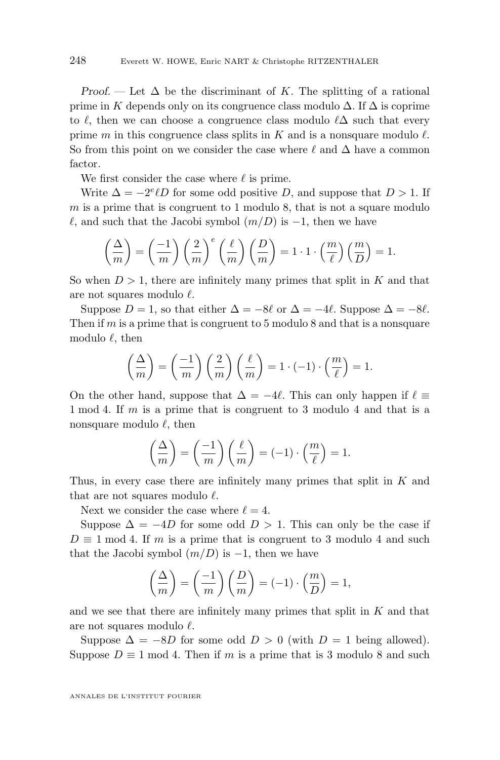*Proof.* — Let  $\Delta$  be the discriminant of K. The splitting of a rational prime in K depends only on its congruence class modulo  $\Delta$ . If  $\Delta$  is coprime to  $\ell$ , then we can choose a congruence class modulo  $\ell\Delta$  such that every prime m in this congruence class splits in K and is a nonsquare modulo  $\ell$ . So from this point on we consider the case where  $\ell$  and  $\Delta$  have a common factor.

We first consider the case where  $\ell$  is prime.

Write  $\Delta = -2^e \ell D$  for some odd positive D, and suppose that  $D > 1$ . If  $m$  is a prime that is congruent to 1 modulo 8, that is not a square modulo  $\ell$ , and such that the Jacobi symbol  $(m/D)$  is  $-1$ , then we have

$$
\left(\frac{\Delta}{m}\right) = \left(\frac{-1}{m}\right) \left(\frac{2}{m}\right)^e \left(\frac{\ell}{m}\right) \left(\frac{D}{m}\right) = 1 \cdot 1 \cdot \left(\frac{m}{\ell}\right) \left(\frac{m}{D}\right) = 1.
$$

So when  $D > 1$ , there are infinitely many primes that split in K and that are not squares modulo  $\ell$ .

Suppose  $D = 1$ , so that either  $\Delta = -8\ell$  or  $\Delta = -4\ell$ . Suppose  $\Delta = -8\ell$ . Then if m is a prime that is congruent to 5 modulo 8 and that is a nonsquare modulo  $\ell$ , then

$$
\left(\frac{\Delta}{m}\right) = \left(\frac{-1}{m}\right)\left(\frac{2}{m}\right)\left(\frac{\ell}{m}\right) = 1 \cdot (-1) \cdot \left(\frac{m}{\ell}\right) = 1.
$$

On the other hand, suppose that  $\Delta = -4\ell$ . This can only happen if  $\ell \equiv$ 1 mod 4. If m is a prime that is congruent to 3 modulo 4 and that is a nonsquare modulo  $\ell$ , then

$$
\left(\frac{\Delta}{m}\right) = \left(\frac{-1}{m}\right)\left(\frac{\ell}{m}\right) = (-1) \cdot \left(\frac{m}{\ell}\right) = 1.
$$

Thus, in every case there are infinitely many primes that split in K and that are not squares modulo  $\ell$ .

Next we consider the case where  $\ell = 4$ .

Suppose  $\Delta = -4D$  for some odd  $D > 1$ . This can only be the case if  $D \equiv 1 \mod 4$ . If m is a prime that is congruent to 3 modulo 4 and such that the Jacobi symbol  $(m/D)$  is  $-1$ , then we have

$$
\left(\frac{\Delta}{m}\right) = \left(\frac{-1}{m}\right)\left(\frac{D}{m}\right) = (-1) \cdot \left(\frac{m}{D}\right) = 1,
$$

and we see that there are infinitely many primes that split in  $K$  and that are not squares modulo  $\ell$ .

Suppose  $\Delta = -8D$  for some odd  $D > 0$  (with  $D = 1$  being allowed). Suppose  $D \equiv 1 \mod 4$ . Then if m is a prime that is 3 modulo 8 and such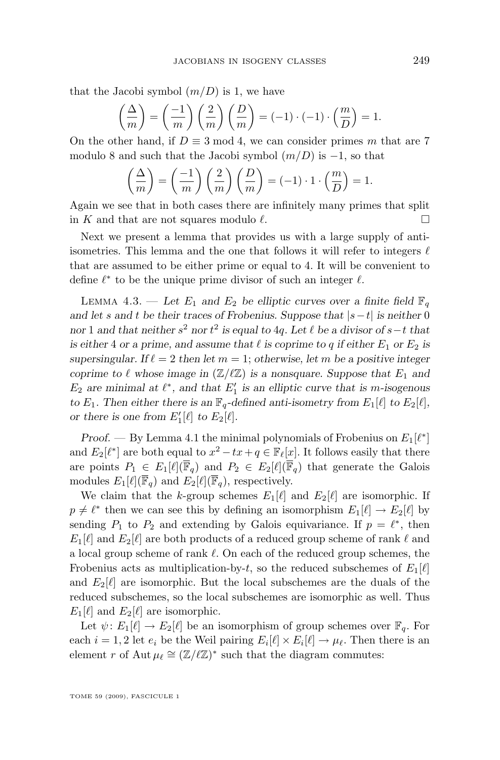<span id="page-11-0"></span>that the Jacobi symbol  $(m/D)$  is 1, we have

$$
\left(\frac{\Delta}{m}\right) = \left(\frac{-1}{m}\right)\left(\frac{2}{m}\right)\left(\frac{D}{m}\right) = (-1) \cdot (-1) \cdot \left(\frac{m}{D}\right) = 1.
$$

On the other hand, if  $D \equiv 3 \mod 4$ , we can consider primes m that are 7 modulo 8 and such that the Jacobi symbol  $(m/D)$  is  $-1$ , so that

$$
\left(\frac{\Delta}{m}\right) = \left(\frac{-1}{m}\right)\left(\frac{2}{m}\right)\left(\frac{D}{m}\right) = (-1) \cdot 1 \cdot \left(\frac{m}{D}\right) = 1.
$$

Again we see that in both cases there are infinitely many primes that split in K and that are not squares modulo  $\ell$ .

Next we present a lemma that provides us with a large supply of antiisometries. This lemma and the one that follows it will refer to integers  $\ell$ that are assumed to be either prime or equal to 4. It will be convenient to define  $\ell^*$  to be the unique prime divisor of such an integer  $\ell$ .

LEMMA 4.3. — Let  $E_1$  and  $E_2$  be elliptic curves over a finite field  $\mathbb{F}_q$ *and let* s *and* t *be their traces of Frobenius. Suppose that* |s−t| *is neither* 0 *nor* 1 *and that neither*  $s^2$  *nor*  $t^2$  *is equal to* 4*q*. Let  $\ell$  *be a divisor of*  $s$ −*t that is either* 4 *or a prime, and assume that*  $\ell$  *is coprime to q if either*  $E_1$  *or*  $E_2$  *is supersingular.* If  $\ell = 2$  *then let*  $m = 1$ ; *otherwise*, let m *be a positive integer coprime to*  $\ell$  *whose image in* ( $\mathbb{Z}/\ell\mathbb{Z}$ ) *is a nonsquare. Suppose that*  $E_1$  *and*  $E_2$  are minimal at  $\ell^*$ , and that  $E'_1$  is an elliptic curve that is m-isogenous *to*  $E_1$ *. Then either there is an*  $\mathbb{F}_q$ -defined anti-isometry from  $E_1[\ell]$  to  $E_2[\ell]$ *, or there is one from*  $E'_1[\ell]$  *to*  $E_2[\ell]$ *.* 

*Proof.* — By Lemma [4.1](#page-9-0) the minimal polynomials of Frobenius on  $E_1[\ell^*]$ and  $E_2[\ell^*]$  are both equal to  $x^2 - tx + q \in \mathbb{F}_{\ell}[x]$ . It follows easily that there are points  $P_1 \in E_1[\ell](\overline{\mathbb{F}}_q)$  and  $P_2 \in E_2[\ell](\overline{\mathbb{F}}_q)$  that generate the Galois modules  $E_1[\ell](\overline{\mathbb{F}}_q)$  and  $E_2[\ell](\overline{\mathbb{F}}_q)$ , respectively.

We claim that the k-group schemes  $E_1[\ell]$  and  $E_2[\ell]$  are isomorphic. If  $p \neq \ell^*$  then we can see this by defining an isomorphism  $E_1[\ell] \to E_2[\ell]$  by sending  $P_1$  to  $P_2$  and extending by Galois equivariance. If  $p = \ell^*$ , then  $E_1[\ell]$  and  $E_2[\ell]$  are both products of a reduced group scheme of rank  $\ell$  and a local group scheme of rank  $\ell$ . On each of the reduced group schemes, the Frobenius acts as multiplication-by-t, so the reduced subschemes of  $E_1[\ell]$ and  $E_2[\ell]$  are isomorphic. But the local subschemes are the duals of the reduced subschemes, so the local subschemes are isomorphic as well. Thus  $E_1[\ell]$  and  $E_2[\ell]$  are isomorphic.

Let  $\psi: E_1[\ell] \to E_2[\ell]$  be an isomorphism of group schemes over  $\mathbb{F}_q$ . For each  $i = 1, 2$  let  $e_i$  be the Weil pairing  $E_i[\ell] \times E_i[\ell] \to \mu_\ell$ . Then there is an element r of Aut  $\mu_{\ell} \cong (\mathbb{Z}/\ell\mathbb{Z})^*$  such that the diagram commutes: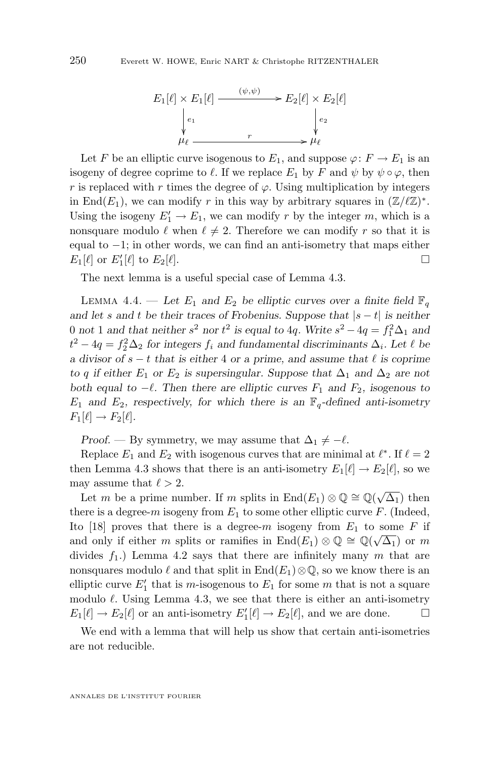<span id="page-12-0"></span>

Let F be an elliptic curve isogenous to  $E_1$ , and suppose  $\varphi: F \to E_1$  is an isogeny of degree coprime to  $\ell$ . If we replace  $E_1$  by F and  $\psi$  by  $\psi \circ \varphi$ , then r is replaced with r times the degree of  $\varphi$ . Using multiplication by integers in End(E<sub>1</sub>), we can modify r in this way by arbitrary squares in  $(\mathbb{Z}/\ell\mathbb{Z})^*$ . Using the isogeny  $E'_1 \to E_1$ , we can modify r by the integer m, which is a nonsquare modulo  $\ell$  when  $\ell \neq 2$ . Therefore we can modify r so that it is equal to  $-1$ ; in other words, we can find an anti-isometry that maps either  $E_1[\ell]$  or  $E'_1[\ell]$  to  $E_2[\ell]$ .

The next lemma is a useful special case of Lemma [4.3.](#page-11-0)

LEMMA 4.4. — Let  $E_1$  and  $E_2$  be elliptic curves over a finite field  $\mathbb{F}_q$ *and let* s and t be their traces of Frobenius. Suppose that  $|s - t|$  is neither 0 not 1 and that neither  $s^2$  nor  $t^2$  is equal to 4q. Write  $s^2 - 4q = f_1^2 \Delta_1$  and  $t^2 - 4q = f_2^2 \Delta_2$  for integers  $f_i$  and fundamental discriminants  $\Delta_i$ . Let  $\ell$  be *a* divisor of  $s - t$  that is either 4 or a prime, and assume that  $\ell$  is coprime *to* q if either  $E_1$  or  $E_2$  is supersingular. Suppose that  $\Delta_1$  and  $\Delta_2$  are not *both equal to*  $-\ell$ . Then there are elliptic curves  $F_1$  and  $F_2$ , isogenous to  $E_1$  and  $E_2$ , respectively, for which there is an  $\mathbb{F}_q$ -defined anti-isometry  $F_1[\ell] \to F_2[\ell].$ 

*Proof.* — By symmetry, we may assume that  $\Delta_1 \neq -\ell$ .

Replace  $E_1$  and  $E_2$  with isogenous curves that are minimal at  $\ell^*$ . If  $\ell = 2$ then Lemma [4.3](#page-11-0) shows that there is an anti-isometry  $E_1[\ell] \to E_2[\ell]$ , so we may assume that  $\ell > 2$ .

Let m be a prime number. If m splits in  $\text{End}(E_1) \otimes \mathbb{Q} \cong \mathbb{Q}(\sqrt{\Delta_1})$  then there is a degree-m isogeny from  $E_1$  to some other elliptic curve F. (Indeed, Ito [\[18\]](#page-50-0) proves that there is a degree-m isogeny from  $E_1$  to some F if and only if either m splits or ramifies in  $\text{End}(E_1) \otimes \mathbb{Q} \cong \mathbb{Q}(\sqrt{\Delta_1})$  or m divides  $f_1$ .) Lemma [4.2](#page-9-0) says that there are infinitely many m that are nonsquares modulo  $\ell$  and that split in End $(E_1) \otimes \mathbb{Q}$ , so we know there is an elliptic curve  $E'_1$  that is m-isogenous to  $E_1$  for some m that is not a square modulo  $\ell$ . Using Lemma [4.3,](#page-11-0) we see that there is either an anti-isometry  $E_1[\ell] \to E_2[\ell]$  or an anti-isometry  $E'_1[\ell] \to E_2[\ell]$ , and we are done.  $\square$ 

We end with a lemma that will help us show that certain anti-isometries are not reducible.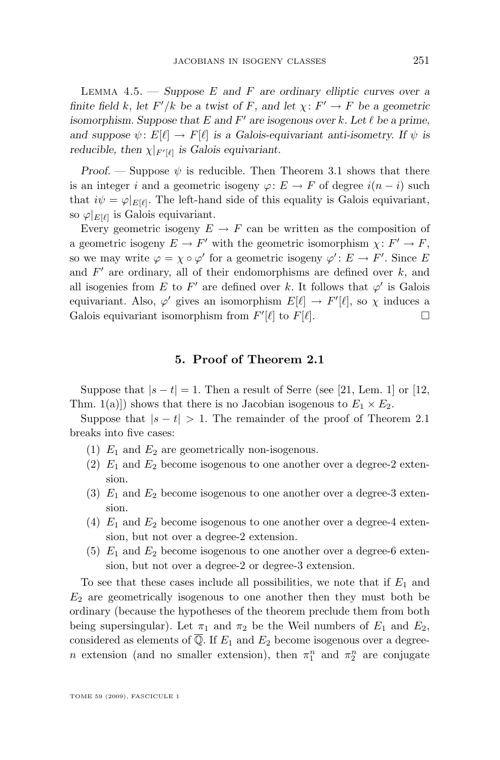<span id="page-13-0"></span>Lemma 4.5. — *Suppose* E *and* F *are ordinary elliptic curves over a finite field* k, let  $F'/k$  be a twist of F, and let  $\chi: F' \to F$  be a geometric *isomorphism. Suppose that*  $E$  *and*  $F'$  *are isogenous over*  $k$ *. Let*  $\ell$  *be a prime, and suppose*  $\psi: E[\ell] \to F[\ell]$  *is a Galois-equivariant anti-isometry. If*  $\psi$  *is reducible, then*  $\chi|_{F'[\ell]}$  *is Galois equivariant.* 

*Proof.* — Suppose  $\psi$  is reducible. Then Theorem [3.1](#page-8-0) shows that there is an integer i and a geometric isogeny  $\varphi: E \to F$  of degree  $i(n-i)$  such that  $i\psi = \varphi|_{E[\ell]}$ . The left-hand side of this equality is Galois equivariant, so  $\varphi|_{E[\ell]}$  is Galois equivariant.

Every geometric isogeny  $E \to F$  can be written as the composition of a geometric isogeny  $E \to F'$  with the geometric isomorphism  $\chi: F' \to F$ , so we may write  $\varphi = \chi \circ \varphi'$  for a geometric isogeny  $\varphi' : E \to F'$ . Since E and  $F'$  are ordinary, all of their endomorphisms are defined over  $k$ , and all isogenies from E to F' are defined over k. It follows that  $\varphi'$  is Galois equivariant. Also,  $\varphi'$  gives an isomorphism  $E[\ell] \to F'[\ell]$ , so  $\chi$  induces a Galois equivariant isomorphism from  $F'[\ell]$  to  $F[\ell]$ .

#### **5. Proof of Theorem [2.1](#page-6-0)**

Suppose that  $|s-t|=1$ . Then a result of Serre (see [\[21,](#page-50-0) Lem. 1] or [\[12,](#page-50-0) Thm. 1(a)]) shows that there is no Jacobian isogenous to  $E_1 \times E_2$ .

Suppose that  $|s-t| > 1$ . The remainder of the proof of Theorem [2.1](#page-6-0) breaks into five cases:

- (1)  $E_1$  and  $E_2$  are geometrically non-isogenous.
- (2)  $E_1$  and  $E_2$  become isogenous to one another over a degree-2 extension.
- (3)  $E_1$  and  $E_2$  become isogenous to one another over a degree-3 extension.
- (4)  $E_1$  and  $E_2$  become isogenous to one another over a degree-4 extension, but not over a degree-2 extension.
- (5)  $E_1$  and  $E_2$  become isogenous to one another over a degree-6 extension, but not over a degree-2 or degree-3 extension.

To see that these cases include all possibilities, we note that if  $E_1$  and  $E_2$  are geometrically isogenous to one another then they must both be ordinary (because the hypotheses of the theorem preclude them from both being supersingular). Let  $\pi_1$  and  $\pi_2$  be the Weil numbers of  $E_1$  and  $E_2$ , considered as elements of  $\overline{Q}$ . If  $E_1$  and  $E_2$  become isogenous over a degreen extension (and no smaller extension), then  $\pi_1^n$  and  $\pi_2^n$  are conjugate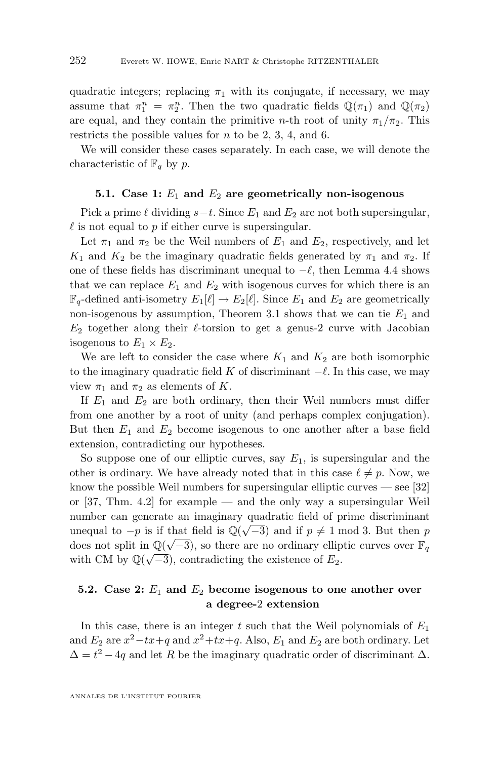quadratic integers; replacing  $\pi_1$  with its conjugate, if necessary, we may assume that  $\pi_1^n = \pi_2^n$ . Then the two quadratic fields  $\mathbb{Q}(\pi_1)$  and  $\mathbb{Q}(\pi_2)$ are equal, and they contain the primitive *n*-th root of unity  $\pi_1/\pi_2$ . This restricts the possible values for  $n$  to be 2, 3, 4, and 6.

We will consider these cases separately. In each case, we will denote the characteristic of  $\mathbb{F}_q$  by p.

#### **5.1.** Case 1:  $E_1$  and  $E_2$  are geometrically non-isogenous

Pick a prime  $\ell$  dividing  $s-t$ . Since  $E_1$  and  $E_2$  are not both supersingular,  $\ell$  is not equal to p if either curve is supersingular.

Let  $\pi_1$  and  $\pi_2$  be the Weil numbers of  $E_1$  and  $E_2$ , respectively, and let  $K_1$  and  $K_2$  be the imaginary quadratic fields generated by  $\pi_1$  and  $\pi_2$ . If one of these fields has discriminant unequal to  $-\ell$ , then Lemma [4.4](#page-12-0) shows that we can replace  $E_1$  and  $E_2$  with isogenous curves for which there is an  $\mathbb{F}_q$ -defined anti-isometry  $E_1[\ell] \to E_2[\ell]$ . Since  $E_1$  and  $E_2$  are geometrically non-isogenous by assumption, Theorem [3.1](#page-8-0) shows that we can tie  $E_1$  and  $E_2$  together along their  $\ell$ -torsion to get a genus-2 curve with Jacobian isogenous to  $E_1 \times E_2$ .

We are left to consider the case where  $K_1$  and  $K_2$  are both isomorphic to the imaginary quadratic field K of discriminant  $-\ell$ . In this case, we may view  $\pi_1$  and  $\pi_2$  as elements of K.

If  $E_1$  and  $E_2$  are both ordinary, then their Weil numbers must differ from one another by a root of unity (and perhaps complex conjugation). But then  $E_1$  and  $E_2$  become isogenous to one another after a base field extension, contradicting our hypotheses.

So suppose one of our elliptic curves, say  $E_1$ , is supersingular and the other is ordinary. We have already noted that in this case  $\ell \neq p$ . Now, we know the possible Weil numbers for supersingular elliptic curves — see [\[32\]](#page-51-0) or [\[37,](#page-51-0) Thm. 4.2] for example — and the only way a supersingular Weil number can generate an imaginary quadratic field of prime discriminant unequal to  $-p$  is if that field is  $\mathbb{Q}(\sqrt{-3})$  and if  $p \neq 1 \mod 3$ . But then p does not split in  $\mathbb{Q}(\sqrt{-3})$ , so there are no ordinary elliptic curves over  $\mathbb{F}_q$ with CM by  $\mathbb{Q}(\sqrt{-3})$ , contradicting the existence of  $E_2$ .

#### **5.2. Case 2:** E<sup>1</sup> **and** E<sup>2</sup> **become isogenous to one another over a degree-**2 **extension**

In this case, there is an integer t such that the Weil polynomials of  $E_1$ and  $E_2$  are  $x^2 - tx + q$  and  $x^2 + tx + q$ . Also,  $E_1$  and  $E_2$  are both ordinary. Let  $\Delta = t^2 - 4q$  and let R be the imaginary quadratic order of discriminant  $\Delta$ .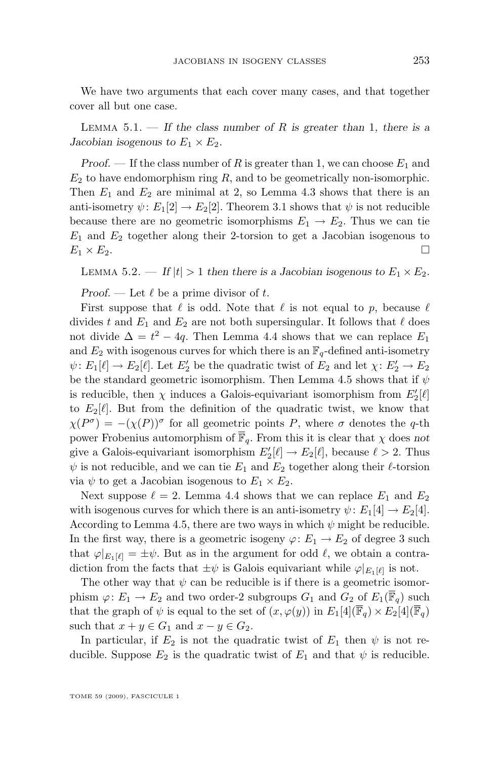<span id="page-15-0"></span>We have two arguments that each cover many cases, and that together cover all but one case.

Lemma 5.1. — *If the class number of* R *is greater than* 1*, there is a Jacobian isogenous to*  $E_1 \times E_2$ *.* 

*Proof.* — If the class number of R is greater than 1, we can choose  $E_1$  and  $E_2$  to have endomorphism ring  $R$ , and to be geometrically non-isomorphic. Then  $E_1$  and  $E_2$  are minimal at 2, so Lemma [4.3](#page-11-0) shows that there is an anti-isometry  $\psi: E_1[2] \to E_2[2]$ . Theorem [3.1](#page-8-0) shows that  $\psi$  is not reducible because there are no geometric isomorphisms  $E_1 \rightarrow E_2$ . Thus we can tie  $E_1$  and  $E_2$  together along their 2-torsion to get a Jacobian isogenous to  $E_1 \times E_2$ .

LEMMA 5.2. — If  $|t| > 1$  then there is a Jacobian isogenous to  $E_1 \times E_2$ .

*Proof.* — Let  $\ell$  be a prime divisor of t.

First suppose that  $\ell$  is odd. Note that  $\ell$  is not equal to p, because  $\ell$ divides t and  $E_1$  and  $E_2$  are not both supersingular. It follows that  $\ell$  does not divide  $\Delta = t^2 - 4q$ . Then Lemma [4.4](#page-12-0) shows that we can replace  $E_1$ and  $E_2$  with isogenous curves for which there is an  $\mathbb{F}_q$ -defined anti-isometry  $\psi: E_1[\ell] \to E_2[\ell]$ . Let  $E'_2$  be the quadratic twist of  $E_2$  and let  $\chi: E'_2 \to E_2$ be the standard geometric isomorphism. Then Lemma [4.5](#page-12-0) shows that if  $\psi$ is reducible, then  $\chi$  induces a Galois-equivariant isomorphism from  $E'_2[\ell]$ to  $E_2[\ell]$ . But from the definition of the quadratic twist, we know that  $\chi(P^{\sigma}) = -(\chi(P))^{\sigma}$  for all geometric points P, where  $\sigma$  denotes the q-th power Frobenius automorphism of  $\overline{\mathbb{F}}_q$ . From this it is clear that  $\chi$  does not give a Galois-equivariant isomorphism  $E_2'[\ell] \to E_2[\ell]$ , because  $\ell > 2$ . Thus  $\psi$  is not reducible, and we can tie  $E_1$  and  $E_2$  together along their  $\ell$ -torsion via  $\psi$  to get a Jacobian isogenous to  $E_1 \times E_2$ .

Next suppose  $\ell = 2$ . Lemma [4.4](#page-12-0) shows that we can replace  $E_1$  and  $E_2$ with isogenous curves for which there is an anti-isometry  $\psi: E_1[4] \to E_2[4]$ . According to Lemma [4.5,](#page-12-0) there are two ways in which  $\psi$  might be reducible. In the first way, there is a geometric isogeny  $\varphi: E_1 \to E_2$  of degree 3 such that  $\varphi|_{E_1[\ell]} = \pm \psi$ . But as in the argument for odd  $\ell$ , we obtain a contradiction from the facts that  $\pm \psi$  is Galois equivariant while  $\varphi|_{E_1[\ell]}$  is not.

The other way that  $\psi$  can be reducible is if there is a geometric isomorphism  $\varphi: E_1 \to E_2$  and two order-2 subgroups  $G_1$  and  $G_2$  of  $E_1(\overline{\mathbb{F}}_q)$  such that the graph of  $\psi$  is equal to the set of  $(x, \varphi(y))$  in  $E_1[4](\overline{\mathbb{F}}_q) \times E_2[4](\overline{\mathbb{F}}_q)$ such that  $x + y \in G_1$  and  $x - y \in G_2$ .

In particular, if  $E_2$  is not the quadratic twist of  $E_1$  then  $\psi$  is not reducible. Suppose  $E_2$  is the quadratic twist of  $E_1$  and that  $\psi$  is reducible.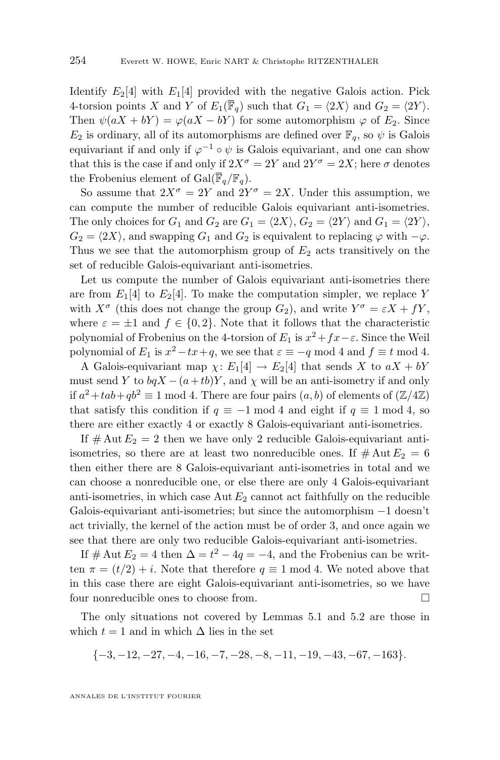Identify  $E_2[4]$  with  $E_1[4]$  provided with the negative Galois action. Pick 4-torsion points X and Y of  $E_1(\overline{\mathbb{F}}_q)$  such that  $G_1 = \langle 2X \rangle$  and  $G_2 = \langle 2Y \rangle$ . Then  $\psi(aX + bY) = \varphi(aX - bY)$  for some automorphism  $\varphi$  of  $E_2$ . Since  $E_2$  is ordinary, all of its automorphisms are defined over  $\mathbb{F}_q$ , so  $\psi$  is Galois equivariant if and only if  $\varphi^{-1} \circ \psi$  is Galois equivariant, and one can show that this is the case if and only if  $2X^{\sigma} = 2Y$  and  $2Y^{\sigma} = 2X$ ; here  $\sigma$  denotes the Frobenius element of  $Gal(\overline{\mathbb{F}}_q/\mathbb{F}_q)$ .

So assume that  $2X^{\sigma} = 2Y$  and  $2Y^{\sigma} = 2X$ . Under this assumption, we can compute the number of reducible Galois equivariant anti-isometries. The only choices for  $G_1$  and  $G_2$  are  $G_1 = \langle 2X \rangle$ ,  $G_2 = \langle 2Y \rangle$  and  $G_1 = \langle 2Y \rangle$ ,  $G_2 = \langle 2X \rangle$ , and swapping  $G_1$  and  $G_2$  is equivalent to replacing  $\varphi$  with  $-\varphi$ . Thus we see that the automorphism group of  $E_2$  acts transitively on the set of reducible Galois-equivariant anti-isometries.

Let us compute the number of Galois equivariant anti-isometries there are from  $E_1[4]$  to  $E_2[4]$ . To make the computation simpler, we replace Y with  $X^{\sigma}$  (this does not change the group  $G_2$ ), and write  $Y^{\sigma} = \varepsilon X + fY$ , where  $\varepsilon = \pm 1$  and  $f \in \{0, 2\}$ . Note that it follows that the characteristic polynomial of Frobenius on the 4-torsion of  $E_1$  is  $x^2 + fx - \varepsilon$ . Since the Weil polynomial of  $E_1$  is  $x^2 - tx + q$ , we see that  $\varepsilon \equiv -q \mod 4$  and  $f \equiv t \mod 4$ .

A Galois-equivariant map  $\chi: E_1[4] \to E_2[4]$  that sends X to  $aX + bY$ must send Y to  $bqX - (a+tb)Y$ , and  $\chi$  will be an anti-isometry if and only if  $a^2 + tab + qb^2 \equiv 1 \mod 4$ . There are four pairs  $(a, b)$  of elements of  $(\mathbb{Z}/4\mathbb{Z})$ that satisfy this condition if  $q \equiv -1 \mod 4$  and eight if  $q \equiv 1 \mod 4$ , so there are either exactly 4 or exactly 8 Galois-equivariant anti-isometries.

If  $\#\text{Aut }E_2=2$  then we have only 2 reducible Galois-equivariant antiisometries, so there are at least two nonreducible ones. If  $\#\text{Aut }E_2=6$ then either there are 8 Galois-equivariant anti-isometries in total and we can choose a nonreducible one, or else there are only 4 Galois-equivariant anti-isometries, in which case  $\text{Aut } E_2$  cannot act faithfully on the reducible Galois-equivariant anti-isometries; but since the automorphism −1 doesn't act trivially, the kernel of the action must be of order 3, and once again we see that there are only two reducible Galois-equivariant anti-isometries.

If  $# \text{Aut } E_2 = 4 \text{ then } \Delta = t^2 - 4q = -4$ , and the Frobenius can be written  $\pi = (t/2) + i$ . Note that therefore  $q \equiv 1 \mod 4$ . We noted above that in this case there are eight Galois-equivariant anti-isometries, so we have four nonreducible ones to choose from.  $\hfill \square$ 

The only situations not covered by Lemmas [5.1](#page-15-0) and [5.2](#page-15-0) are those in which  $t = 1$  and in which  $\Delta$  lies in the set

$$
\{-3, -12, -27, -4, -16, -7, -28, -8, -11, -19, -43, -67, -163\}.
$$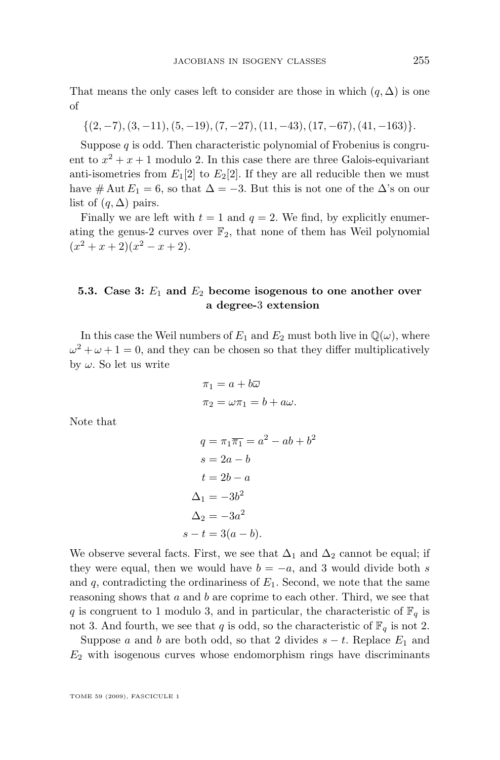That means the only cases left to consider are those in which  $(q, \Delta)$  is one of

$$
\{(2,-7),(3,-11),(5,-19),(7,-27),(11,-43),(17,-67),(41,-163)\}.
$$

Suppose  $q$  is odd. Then characteristic polynomial of Frobenius is congruent to  $x^2 + x + 1$  modulo 2. In this case there are three Galois-equivariant anti-isometries from  $E_1[2]$  to  $E_2[2]$ . If they are all reducible then we must have # Aut  $E_1 = 6$ , so that  $\Delta = -3$ . But this is not one of the  $\Delta$ 's on our list of  $(q, \Delta)$  pairs.

Finally we are left with  $t = 1$  and  $q = 2$ . We find, by explicitly enumerating the genus-2 curves over  $\mathbb{F}_2$ , that none of them has Weil polynomial  $(x^{2}+x+2)(x^{2}-x+2).$ 

#### **5.3. Case 3:** E<sup>1</sup> **and** E<sup>2</sup> **become isogenous to one another over a degree-**3 **extension**

In this case the Weil numbers of  $E_1$  and  $E_2$  must both live in  $\mathbb{Q}(\omega)$ , where  $\omega^2 + \omega + 1 = 0$ , and they can be chosen so that they differ multiplicatively by  $\omega$ . So let us write

$$
\pi_1 = a + b\overline{\omega}
$$
  

$$
\pi_2 = \omega \pi_1 = b + a\omega.
$$

Note that

$$
q = \pi_1 \overline{\pi_1} = a^2 - ab + b^2
$$

$$
s = 2a - b
$$

$$
t = 2b - a
$$

$$
\Delta_1 = -3b^2
$$

$$
\Delta_2 = -3a^2
$$

$$
s - t = 3(a - b).
$$

We observe several facts. First, we see that  $\Delta_1$  and  $\Delta_2$  cannot be equal; if they were equal, then we would have  $b = -a$ , and 3 would divide both s and  $q$ , contradicting the ordinariness of  $E_1$ . Second, we note that the same reasoning shows that  $a$  and  $b$  are coprime to each other. Third, we see that q is congruent to 1 modulo 3, and in particular, the characteristic of  $\mathbb{F}_q$  is not 3. And fourth, we see that q is odd, so the characteristic of  $\mathbb{F}_q$  is not 2.

Suppose a and b are both odd, so that 2 divides  $s - t$ . Replace  $E_1$  and  $E<sub>2</sub>$  with isogenous curves whose endomorphism rings have discriminants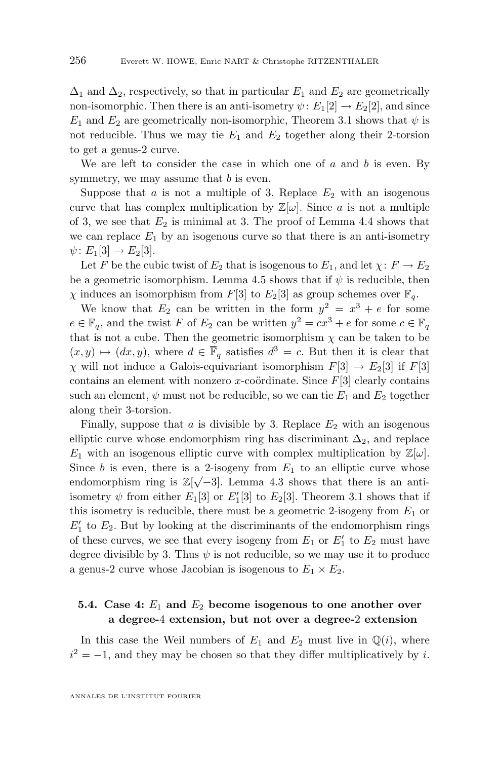$\Delta_1$  and  $\Delta_2$ , respectively, so that in particular  $E_1$  and  $E_2$  are geometrically non-isomorphic. Then there is an anti-isometry  $\psi: E_1[2] \to E_2[2]$ , and since  $E_1$  and  $E_2$  are geometrically non-isomorphic, Theorem [3.1](#page-8-0) shows that  $\psi$  is not reducible. Thus we may tie  $E_1$  and  $E_2$  together along their 2-torsion to get a genus-2 curve.

We are left to consider the case in which one of  $a$  and  $b$  is even. By symmetry, we may assume that  $b$  is even.

Suppose that a is not a multiple of 3. Replace  $E_2$  with an isogenous curve that has complex multiplication by  $\mathbb{Z}[\omega]$ . Since a is not a multiple of 3, we see that  $E_2$  is minimal at 3. The proof of Lemma [4.4](#page-12-0) shows that we can replace  $E_1$  by an isogenous curve so that there is an anti-isometry  $\psi: E_1[3] \to E_2[3].$ 

Let F be the cubic twist of  $E_2$  that is isogenous to  $E_1$ , and let  $\chi: F \to E_2$ be a geometric isomorphism. Lemma [4.5](#page-12-0) shows that if  $\psi$  is reducible, then  $\chi$  induces an isomorphism from F[3] to E<sub>2</sub>[3] as group schemes over  $\mathbb{F}_q$ .

We know that  $E_2$  can be written in the form  $y^2 = x^3 + e$  for some  $e \in \mathbb{F}_q$ , and the twist F of  $E_2$  can be written  $y^2 = cx^3 + e$  for some  $c \in \mathbb{F}_q$ that is not a cube. Then the geometric isomorphism  $\chi$  can be taken to be  $(x, y) \mapsto (dx, y)$ , where  $d \in \overline{\mathbb{F}}_q$  satisfies  $d^3 = c$ . But then it is clear that  $\chi$  will not induce a Galois-equivariant isomorphism  $F[3] \to E_2[3]$  if  $F[3]$ contains an element with nonzero x-coördinate. Since  $F[3]$  clearly contains such an element,  $\psi$  must not be reducible, so we can tie  $E_1$  and  $E_2$  together along their 3-torsion.

Finally, suppose that a is divisible by 3. Replace  $E_2$  with an isogenous elliptic curve whose endomorphism ring has discriminant  $\Delta_2$ , and replace  $E_1$  with an isogenous elliptic curve with complex multiplication by  $\mathbb{Z}[\omega]$ . Since b is even, there is a 2-isogeny from  $E_1$  to an elliptic curve whose endomorphism ring is  $\mathbb{Z}[\sqrt{-3}]$ . Lemma [4.3](#page-11-0) shows that there is an antiisometry  $\psi$  from either  $E_1[3]$  or  $E_1'[3]$  to  $E_2[3]$ . Theorem [3.1](#page-8-0) shows that if this isometry is reducible, there must be a geometric 2-isogeny from  $E_1$  or  $E_1'$  to  $E_2$ . But by looking at the discriminants of the endomorphism rings of these curves, we see that every isogeny from  $E_1$  or  $E'_1$  to  $E_2$  must have degree divisible by 3. Thus  $\psi$  is not reducible, so we may use it to produce a genus-2 curve whose Jacobian is isogenous to  $E_1 \times E_2$ .

#### **5.4. Case 4:** E<sup>1</sup> **and** E<sup>2</sup> **become isogenous to one another over a degree-**4 **extension, but not over a degree-**2 **extension**

In this case the Weil numbers of  $E_1$  and  $E_2$  must live in  $\mathbb{Q}(i)$ , where  $i^2 = -1$ , and they may be chosen so that they differ multiplicatively by i.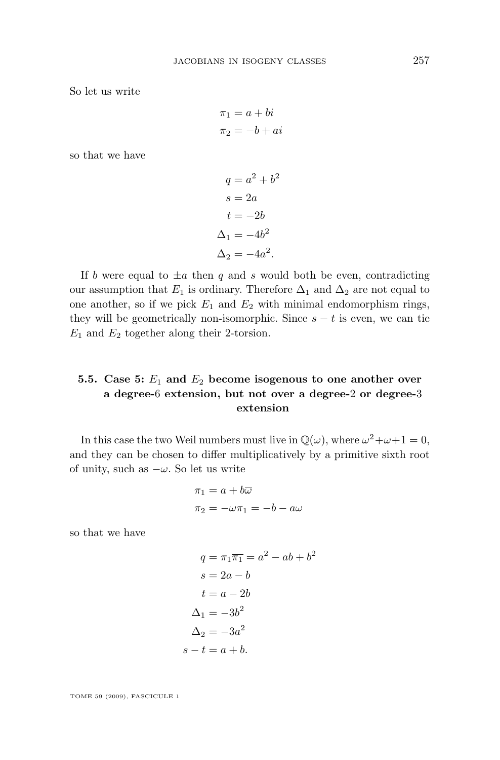So let us write

$$
\pi_1 = a + bi
$$
  

$$
\pi_2 = -b + ai
$$

so that we have

$$
q = a2 + b2
$$

$$
s = 2a
$$

$$
t = -2b
$$

$$
\Delta_1 = -4b2
$$

$$
\Delta_2 = -4a2.
$$

If b were equal to  $\pm a$  then q and s would both be even, contradicting our assumption that  $E_1$  is ordinary. Therefore  $\Delta_1$  and  $\Delta_2$  are not equal to one another, so if we pick  $E_1$  and  $E_2$  with minimal endomorphism rings, they will be geometrically non-isomorphic. Since  $s - t$  is even, we can tie  $E_1$  and  $E_2$  together along their 2-torsion.

#### **5.5. Case 5:** E<sup>1</sup> **and** E<sup>2</sup> **become isogenous to one another over a degree-**6 **extension, but not over a degree-**2 **or degree-**3 **extension**

In this case the two Weil numbers must live in  $\mathbb{Q}(\omega)$ , where  $\omega^2 + \omega + 1 = 0$ , and they can be chosen to differ multiplicatively by a primitive sixth root of unity, such as  $-\omega$ . So let us write

$$
\pi_1 = a + b\overline{\omega}
$$

$$
\pi_2 = -\omega \pi_1 = -b - a\omega
$$

so that we have

$$
q = \pi_1 \overline{\pi_1} = a^2 - ab + b^2
$$

$$
s = 2a - b
$$

$$
t = a - 2b
$$

$$
\Delta_1 = -3b^2
$$

$$
\Delta_2 = -3a^2
$$

$$
s - t = a + b.
$$

TOME 59 (2009), FASCICULE 1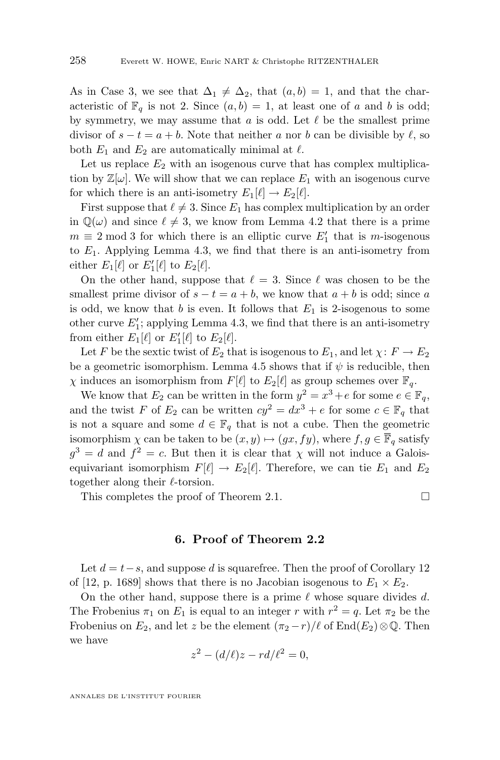<span id="page-20-0"></span>As in Case 3, we see that  $\Delta_1 \neq \Delta_2$ , that  $(a, b) = 1$ , and that the characteristic of  $\mathbb{F}_q$  is not 2. Since  $(a, b) = 1$ , at least one of a and b is odd; by symmetry, we may assume that  $a$  is odd. Let  $\ell$  be the smallest prime divisor of  $s - t = a + b$ . Note that neither a nor b can be divisible by  $\ell$ , so both  $E_1$  and  $E_2$  are automatically minimal at  $\ell$ .

Let us replace  $E_2$  with an isogenous curve that has complex multiplication by  $\mathbb{Z}[\omega]$ . We will show that we can replace  $E_1$  with an isogenous curve for which there is an anti-isometry  $E_1[\ell] \to E_2[\ell]$ .

First suppose that  $\ell \neq 3$ . Since  $E_1$  has complex multiplication by an order in  $\mathbb{Q}(\omega)$  and since  $\ell \neq 3$ , we know from Lemma [4.2](#page-9-0) that there is a prime  $m \equiv 2 \mod 3$  for which there is an elliptic curve  $E'_1$  that is m-isogenous to  $E_1$ . Applying Lemma [4.3,](#page-11-0) we find that there is an anti-isometry from either  $E_1[\ell]$  or  $E'_1[\ell]$  to  $E_2[\ell]$ .

On the other hand, suppose that  $\ell = 3$ . Since  $\ell$  was chosen to be the smallest prime divisor of  $s - t = a + b$ , we know that  $a + b$  is odd; since a is odd, we know that  $b$  is even. It follows that  $E_1$  is 2-isogenous to some other curve  $E'_1$ ; applying Lemma [4.3,](#page-11-0) we find that there is an anti-isometry from either  $E_1[\ell]$  or  $E'_1[\ell]$  to  $E_2[\ell]$ .

Let F be the sextic twist of  $E_2$  that is isogenous to  $E_1$ , and let  $\chi: F \to E_2$ be a geometric isomorphism. Lemma [4.5](#page-12-0) shows that if  $\psi$  is reducible, then  $\chi$  induces an isomorphism from  $F[\ell]$  to  $E_2[\ell]$  as group schemes over  $\mathbb{F}_q$ .

We know that  $E_2$  can be written in the form  $y^2 = x^3 + e$  for some  $e \in \mathbb{F}_q$ , and the twist F of  $E_2$  can be written  $cy^2 = dx^3 + e$  for some  $c \in \mathbb{F}_q$  that is not a square and some  $d \in \mathbb{F}_q$  that is not a cube. Then the geometric isomorphism  $\chi$  can be taken to be  $(x, y) \mapsto (gx, fy)$ , where  $f, g \in \mathbb{F}_q$  satisfy  $g^3 = d$  and  $f^2 = c$ . But then it is clear that  $\chi$  will not induce a Galoisequivariant isomorphism  $F[\ell] \to E_2[\ell]$ . Therefore, we can tie  $E_1$  and  $E_2$ together along their  $\ell$ -torsion.

This completes the proof of Theorem [2.1.](#page-6-0)

#### **6. Proof of Theorem [2.2](#page-6-0)**

Let  $d = t-s$ , and suppose d is squarefree. Then the proof of Corollary 12 of [\[12,](#page-50-0) p. 1689] shows that there is no Jacobian isogenous to  $E_1 \times E_2$ .

On the other hand, suppose there is a prime  $\ell$  whose square divides d. The Frobenius  $\pi_1$  on  $E_1$  is equal to an integer r with  $r^2 = q$ . Let  $\pi_2$  be the Frobenius on  $E_2$ , and let z be the element  $(\pi_2 - r)/\ell$  of End $(E_2) \otimes \mathbb{Q}$ . Then we have

$$
z^2 - (d/\ell)z - rd/\ell^2 = 0,
$$

ANNALES DE L'INSTITUT FOURIER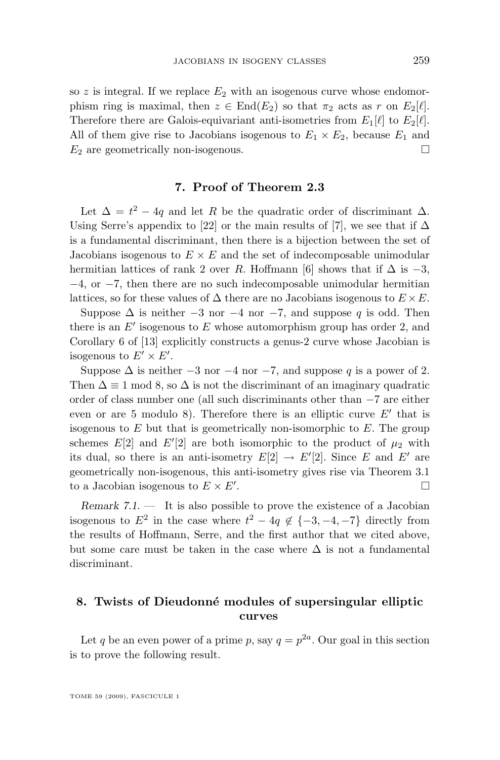<span id="page-21-0"></span>so z is integral. If we replace  $E_2$  with an isogenous curve whose endomorphism ring is maximal, then  $z \in End(E_2)$  so that  $\pi_2$  acts as r on  $E_2[\ell]$ . Therefore there are Galois-equivariant anti-isometries from  $E_1[\ell]$  to  $E_2[\ell]$ . All of them give rise to Jacobians isogenous to  $E_1 \times E_2$ , because  $E_1$  and  $E_2$  are geometrically non-isogenous.

#### **7. Proof of Theorem [2.3](#page-7-0)**

Let  $\Delta = t^2 - 4q$  and let R be the quadratic order of discriminant  $\Delta$ . Using Serre's appendix to [\[22\]](#page-50-0) or the main results of [\[7\]](#page-50-0), we see that if  $\Delta$ is a fundamental discriminant, then there is a bijection between the set of Jacobians isogenous to  $E \times E$  and the set of indecomposable unimodular hermitian lattices of rank 2 over R. Hoffmann [\[6\]](#page-49-0) shows that if  $\Delta$  is  $-3$ , −4, or −7, then there are no such indecomposable unimodular hermitian lattices, so for these values of  $\Delta$  there are no Jacobians isogenous to  $E \times E$ .

Suppose  $\Delta$  is neither  $-3$  nor  $-4$  nor  $-7$ , and suppose q is odd. Then there is an  $E'$  isogenous to  $E$  whose automorphism group has order 2, and Corollary 6 of [\[13\]](#page-50-0) explicitly constructs a genus-2 curve whose Jacobian is isogenous to  $E' \times E'$ .

Suppose  $\Delta$  is neither  $-3$  nor  $-4$  nor  $-7$ , and suppose q is a power of 2. Then  $\Delta \equiv 1 \mod 8$ , so  $\Delta$  is not the discriminant of an imaginary quadratic order of class number one (all such discriminants other than −7 are either even or are 5 modulo 8). Therefore there is an elliptic curve  $E'$  that is isogenous to  $E$  but that is geometrically non-isomorphic to  $E$ . The group schemes  $E[2]$  and  $E'[2]$  are both isomorphic to the product of  $\mu_2$  with its dual, so there is an anti-isometry  $E[2] \rightarrow E'[2]$ . Since E and E' are geometrically non-isogenous, this anti-isometry gives rise via Theorem [3.1](#page-8-0) to a Jacobian isogenous to  $E \times E'$ . .

*Remark 7.1.* — It is also possible to prove the existence of a Jacobian isogenous to  $E^2$  in the case where  $t^2 - 4q \notin \{-3, -4, -7\}$  directly from the results of Hoffmann, Serre, and the first author that we cited above, but some care must be taken in the case where  $\Delta$  is not a fundamental discriminant.

#### **8. Twists of Dieudonné modules of supersingular elliptic curves**

Let q be an even power of a prime p, say  $q = p^{2a}$ . Our goal in this section is to prove the following result.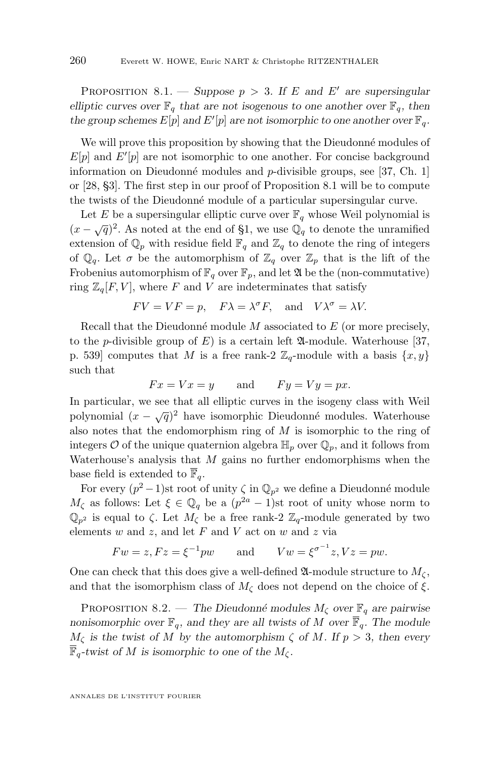PROPOSITION 8.1. — *Suppose*  $p > 3$ *. If* E and E' are supersingular *elliptic curves over*  $\mathbb{F}_q$  *that are not isogenous to one another over*  $\mathbb{F}_q$ *, then* the group schemes  $E[p]$  and  $E'[p]$  are not isomorphic to one another over  $\mathbb{F}_q$ .

We will prove this proposition by showing that the Dieudonné modules of  $E[p]$  and  $E'[p]$  are not isomorphic to one another. For concise background information on Dieudonné modules and p-divisible groups, see [\[37,](#page-51-0) Ch. 1] or [\[28,](#page-50-0) §3]. The first step in our proof of Proposition [8.1](#page-21-0) will be to compute the twists of the Dieudonné module of a particular supersingular curve.

Let E be a supersingular elliptic curve over  $\mathbb{F}_q$  whose Weil polynomial is  $(x - \sqrt{q})^2$ . As noted at the end of [§1,](#page-1-0) we use  $\mathbb{Q}_q$  to denote the unramified extension of  $\mathbb{Q}_p$  with residue field  $\mathbb{F}_q$  and  $\mathbb{Z}_q$  to denote the ring of integers of  $\mathbb{Q}_q$ . Let  $\sigma$  be the automorphism of  $\mathbb{Z}_q$  over  $\mathbb{Z}_p$  that is the lift of the Frobenius automorphism of  $\mathbb{F}_q$  over  $\mathbb{F}_p$ , and let  $\mathfrak A$  be the (non-commutative) ring  $\mathbb{Z}_q[F, V]$ , where F and V are indeterminates that satisfy

$$
FV = VF = p
$$
,  $F\lambda = \lambda^{\sigma}F$ , and  $V\lambda^{\sigma} = \lambda V$ .

Recall that the Dieudonné module  $M$  associated to  $E$  (or more precisely, to the *p*-divisible group of E) is a certain left  $\mathfrak{A}\text{-module}$ . Waterhouse [\[37,](#page-51-0) p. 539] computes that M is a free rank-2  $\mathbb{Z}_q$ -module with a basis  $\{x, y\}$ such that

$$
Fx = Vx = y
$$
 and  $Fy = Vy = px$ .

In particular, we see that all elliptic curves in the isogeny class with Weil polynomial  $(x - \sqrt{q})^2$  have isomorphic Dieudonné modules. Waterhouse also notes that the endomorphism ring of  $M$  is isomorphic to the ring of integers  $\mathcal O$  of the unique quaternion algebra  $\mathbb H_p$  over  $\mathbb Q_p$ , and it follows from Waterhouse's analysis that  $M$  gains no further endomorphisms when the base field is extended to  $\overline{\mathbb{F}}_q$ .

For every  $(p^2-1)$ st root of unity  $\zeta$  in  $\mathbb{Q}_{p^2}$  we define a Dieudonné module  $M_{\zeta}$  as follows: Let  $\xi \in \mathbb{Q}_q$  be a  $(p^{2a}-1)$ st root of unity whose norm to  $\mathbb{Q}_{p^2}$  is equal to  $\zeta$ . Let  $M_{\zeta}$  be a free rank-2  $\mathbb{Z}_q$ -module generated by two elements  $w$  and  $z$ , and let  $F$  and  $V$  act on  $w$  and  $z$  via

$$
Fw = z, Fz = \xi^{-1}pw \qquad \text{and} \qquad Vw = \xi^{\sigma^{-1}}z, Vz = pw.
$$

One can check that this does give a well-defined  $\mathfrak{A}\text{-module structure to }M_{\zeta}$ , and that the isomorphism class of  $M_{\zeta}$  does not depend on the choice of  $\xi$ .

PROPOSITION 8.2. — *The Dieudonné modules*  $M_{\zeta}$  *over*  $\mathbb{F}_q$  *are pairwise nonisomorphic over*  $\mathbb{F}_q$ *, and they are all twists of* M *over*  $\overline{\mathbb{F}}_q$ *. The module*  $M_{\zeta}$  is the twist of M by the automorphism  $\zeta$  of M. If  $p > 3$ , then every  $\mathbb{F}_q$ -twist of M is isomorphic to one of the  $M_\zeta$ .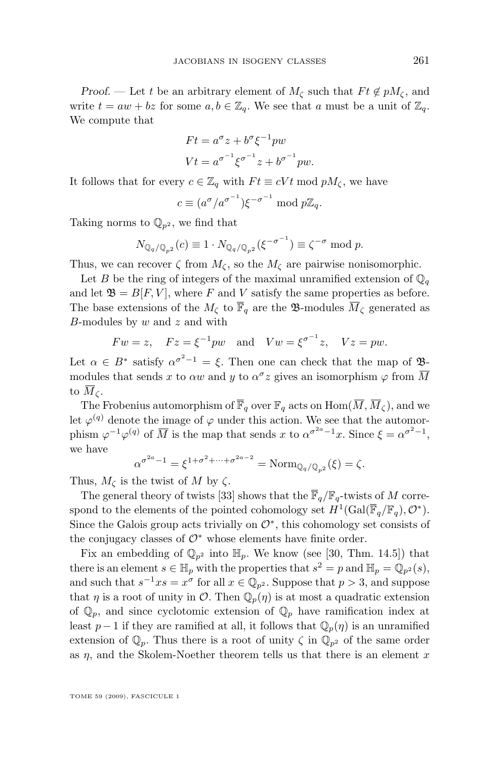*Proof.* — Let t be an arbitrary element of  $M_{\zeta}$  such that  $F t \notin pM_{\zeta}$ , and write  $t = aw + bz$  for some  $a, b \in \mathbb{Z}_q$ . We see that a must be a unit of  $\mathbb{Z}_q$ . We compute that

$$
Ft = a^{\sigma} z + b^{\sigma} \xi^{-1} pw
$$
  

$$
Vt = a^{\sigma^{-1}} \xi^{\sigma^{-1}} z + b^{\sigma^{-1}} pw.
$$

It follows that for every  $c \in \mathbb{Z}_q$  with  $Ft \equiv cVt \mod pM_{\zeta}$ , we have

$$
c \equiv (a^{\sigma}/a^{\sigma^{-1}})\xi^{-\sigma^{-1}} \bmod p\mathbb{Z}_q.
$$

Taking norms to  $\mathbb{Q}_{p^2}$ , we find that

$$
N_{\mathbb{Q}_q/\mathbb{Q}_{p^2}}(c) \equiv 1 \cdot N_{\mathbb{Q}_q/\mathbb{Q}_{p^2}}(\xi^{-\sigma^{-1}}) \equiv \zeta^{-\sigma} \bmod p.
$$

Thus, we can recover  $\zeta$  from  $M_{\zeta}$ , so the  $M_{\zeta}$  are pairwise nonisomorphic.

Let B be the ring of integers of the maximal unramified extension of  $\mathbb{Q}_q$ and let  $\mathfrak{B} = B[F, V]$ , where F and V satisfy the same properties as before. The base extensions of the  $M_{\zeta}$  to  $\overline{\mathbb{F}}_q$  are the **B**-modules  $\overline{M}_{\zeta}$  generated as B-modules by  $w$  and  $z$  and with

$$
Fw = z
$$
,  $Fz = \xi^{-1}pw$  and  $Vw = \xi^{\sigma^{-1}}z$ ,  $Vz = pw$ .

Let  $\alpha \in B^*$  satisfy  $\alpha^{\sigma^2-1} = \xi$ . Then one can check that the map of  $\mathfrak{B}$ modules that sends x to  $\alpha w$  and y to  $\alpha^{\sigma} z$  gives an isomorphism  $\varphi$  from  $\overline{M}$ to  $\overline{M}_\zeta$ .

The Frobenius automorphism of  $\overline{\mathbb{F}}_q$  over  $\mathbb{F}_q$  acts on  $\text{Hom}(\overline{M}, \overline{M}_c)$ , and we let  $\varphi^{(q)}$  denote the image of  $\varphi$  under this action. We see that the automorphism  $\varphi^{-1}\varphi^{(q)}$  of  $\overline{M}$  is the map that sends x to  $\alpha^{\sigma^{2a}-1}x$ . Since  $\xi = \alpha^{\sigma^2-1}$ , we have

$$
\alpha^{\sigma^{2a}-1} = \xi^{1+\sigma^2 + \dots + \sigma^{2a-2}} = \text{Norm}_{\mathbb{Q}_q/\mathbb{Q}_{p^2}}(\xi) = \zeta.
$$

Thus,  $M_{\zeta}$  is the twist of M by  $\zeta$ .

The general theory of twists [\[33\]](#page-51-0) shows that the  $\overline{\mathbb{F}}_q/\mathbb{F}_q$ -twists of M correspond to the elements of the pointed cohomology set  $H^1(\text{Gal}(\overline{\mathbb{F}}_q/\mathbb{F}_q), \mathcal{O}^*).$ Since the Galois group acts trivially on  $\mathcal{O}^*$ , this cohomology set consists of the conjugacy classes of  $\mathcal{O}^*$  whose elements have finite order.

Fix an embedding of  $\mathbb{Q}_{p^2}$  into  $\mathbb{H}_p$ . We know (see [\[30,](#page-51-0) Thm. 14.5]) that there is an element  $s \in \mathbb{H}_p$  with the properties that  $s^2 = p$  and  $\mathbb{H}_p = \mathbb{Q}_{p^2}(s)$ , and such that  $s^{-1}x s = x^{\sigma}$  for all  $x \in \mathbb{Q}_{p^2}$ . Suppose that  $p > 3$ , and suppose that  $\eta$  is a root of unity in  $\mathcal{O}$ . Then  $\mathbb{Q}_p(\eta)$  is at most a quadratic extension of  $\mathbb{Q}_p$ , and since cyclotomic extension of  $\mathbb{Q}_p$  have ramification index at least  $p-1$  if they are ramified at all, it follows that  $\mathbb{Q}_p(\eta)$  is an unramified extension of  $\mathbb{Q}_p$ . Thus there is a root of unity  $\zeta$  in  $\mathbb{Q}_{p^2}$  of the same order as  $\eta$ , and the Skolem-Noether theorem tells us that there is an element x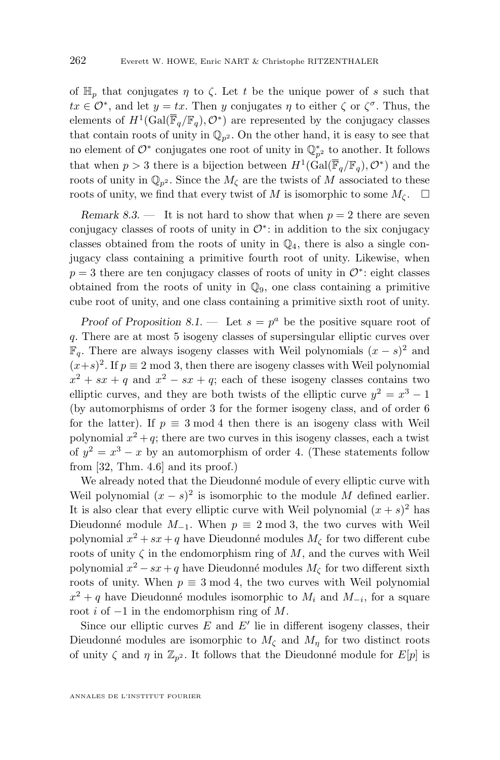of  $\mathbb{H}_p$  that conjugates  $\eta$  to  $\zeta$ . Let t be the unique power of s such that  $tx \in \mathcal{O}^*$ , and let  $y = tx$ . Then y conjugates  $\eta$  to either  $\zeta$  or  $\zeta^{\sigma}$ . Thus, the elements of  $H^1(\text{Gal}(\overline{\mathbb{F}}_q/\mathbb{F}_q), \mathcal{O}^*)$  are represented by the conjugacy classes that contain roots of unity in  $\mathbb{Q}_{n^2}$ . On the other hand, it is easy to see that no element of  $\mathcal{O}^*$  conjugates one root of unity in  $\mathbb{Q}_{p^2}^*$  to another. It follows that when  $p > 3$  there is a bijection between  $H^1(\text{Gal}(\overline{\mathbb{F}}_q/\mathbb{F}_q), \mathcal{O}^*)$  and the roots of unity in  $\mathbb{Q}_{p^2}$ . Since the  $M_{\zeta}$  are the twists of M associated to these roots of unity, we find that every twist of M is isomorphic to some  $M_{\zeta}$ .  $\square$ 

*Remark 8.3.* — It is not hard to show that when  $p = 2$  there are seven conjugacy classes of roots of unity in  $\mathcal{O}^*$ : in addition to the six conjugacy classes obtained from the roots of unity in  $\mathbb{Q}_4$ , there is also a single conjugacy class containing a primitive fourth root of unity. Likewise, when  $p = 3$  there are ten conjugacy classes of roots of unity in  $\mathcal{O}^*$ : eight classes obtained from the roots of unity in  $\mathbb{Q}_9$ , one class containing a primitive cube root of unity, and one class containing a primitive sixth root of unity.

*Proof of Proposition* [8.1.](#page-21-0) – Let  $s = p^a$  be the positive square root of q. There are at most 5 isogeny classes of supersingular elliptic curves over  $\mathbb{F}_q$ . There are always isogeny classes with Weil polynomials  $(x − s)^2$  and  $(x+s)^2$ . If  $p \equiv 2 \mod 3$ , then there are isogeny classes with Weil polynomial  $x^2 + sx + q$  and  $x^2 - sx + q$ ; each of these isogeny classes contains two elliptic curves, and they are both twists of the elliptic curve  $y^2 = x^3 - 1$ (by automorphisms of order 3 for the former isogeny class, and of order 6 for the latter). If  $p \equiv 3 \mod 4$  then there is an isogeny class with Weil polynomial  $x^2 + q$ ; there are two curves in this isogeny classes, each a twist of  $y^2 = x^3 - x$  by an automorphism of order 4. (These statements follow from [\[32,](#page-51-0) Thm. 4.6] and its proof.)

We already noted that the Dieudonné module of every elliptic curve with Weil polynomial  $(x - s)^2$  is isomorphic to the module M defined earlier. It is also clear that every elliptic curve with Weil polynomial  $(x + s)^2$  has Dieudonné module  $M_{-1}$ . When  $p \equiv 2 \mod 3$ , the two curves with Weil polynomial  $x^2 + sx + q$  have Dieudonné modules  $M_{\zeta}$  for two different cube roots of unity  $\zeta$  in the endomorphism ring of  $M$ , and the curves with Weil polynomial  $x^2 - sx + q$  have Dieudonné modules  $M_{\zeta}$  for two different sixth roots of unity. When  $p \equiv 3 \mod 4$ , the two curves with Weil polynomial  $x^2 + q$  have Dieudonné modules isomorphic to  $M_i$  and  $M_{-i}$ , for a square root i of  $-1$  in the endomorphism ring of M.

Since our elliptic curves  $E$  and  $E'$  lie in different isogeny classes, their Dieudonné modules are isomorphic to  $M_{\zeta}$  and  $M_{\eta}$  for two distinct roots of unity  $\zeta$  and  $\eta$  in  $\mathbb{Z}_{p^2}$ . It follows that the Dieudonné module for  $E[p]$  is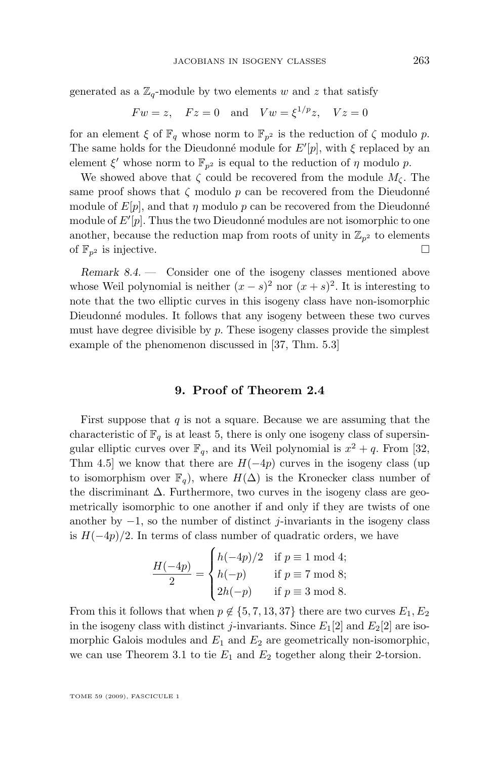<span id="page-25-0"></span>generated as a  $\mathbb{Z}_q$ -module by two elements w and z that satisfy

$$
Fw = z
$$
,  $Fz = 0$  and  $Vw = \xi^{1/p}z$ ,  $Vz = 0$ 

for an element  $\xi$  of  $\mathbb{F}_q$  whose norm to  $\mathbb{F}_{p^2}$  is the reduction of  $\zeta$  modulo p. The same holds for the Dieudonné module for  $E'[p]$ , with  $\xi$  replaced by an element  $\xi'$  whose norm to  $\mathbb{F}_{p^2}$  is equal to the reduction of  $\eta$  modulo  $p$ .

We showed above that  $\zeta$  could be recovered from the module  $M_{\zeta}$ . The same proof shows that  $\zeta$  modulo  $p$  can be recovered from the Dieudonné module of  $E[p]$ , and that  $\eta$  modulo p can be recovered from the Dieudonné module of  $E'[p]$ . Thus the two Dieudonné modules are not isomorphic to one another, because the reduction map from roots of unity in  $\mathbb{Z}_{p^2}$  to elements of  $\mathbb{F}_{n^2}$  is injective.

*Remark 8.4. —* Consider one of the isogeny classes mentioned above whose Weil polynomial is neither  $(x - s)^2$  nor  $(x + s)^2$ . It is interesting to note that the two elliptic curves in this isogeny class have non-isomorphic Dieudonné modules. It follows that any isogeny between these two curves must have degree divisible by  $p$ . These isogeny classes provide the simplest example of the phenomenon discussed in [\[37,](#page-51-0) Thm. 5.3]

#### **9. Proof of Theorem [2.4](#page-7-0)**

First suppose that  $q$  is not a square. Because we are assuming that the characteristic of  $\mathbb{F}_q$  is at least 5, there is only one isogeny class of supersingular elliptic curves over  $\mathbb{F}_q$ , and its Weil polynomial is  $x^2 + q$ . From [\[32,](#page-51-0) Thm 4.5] we know that there are  $H(-4p)$  curves in the isogeny class (up to isomorphism over  $\mathbb{F}_q$ , where  $H(\Delta)$  is the Kronecker class number of the discriminant  $\Delta$ . Furthermore, two curves in the isogeny class are geometrically isomorphic to one another if and only if they are twists of one another by  $-1$ , so the number of distinct j-invariants in the isogeny class is  $H(-4p)/2$ . In terms of class number of quadratic orders, we have

$$
\frac{H(-4p)}{2} = \begin{cases} h(-4p)/2 & \text{if } p \equiv 1 \bmod 4; \\ h(-p) & \text{if } p \equiv 7 \bmod 8; \\ 2h(-p) & \text{if } p \equiv 3 \bmod 8. \end{cases}
$$

From this it follows that when  $p \notin \{5, 7, 13, 37\}$  there are two curves  $E_1, E_2$ in the isogeny class with distinct j-invariants. Since  $E_1[2]$  and  $E_2[2]$  are isomorphic Galois modules and  $E_1$  and  $E_2$  are geometrically non-isomorphic, we can use Theorem [3.1](#page-8-0) to tie  $E_1$  and  $E_2$  together along their 2-torsion.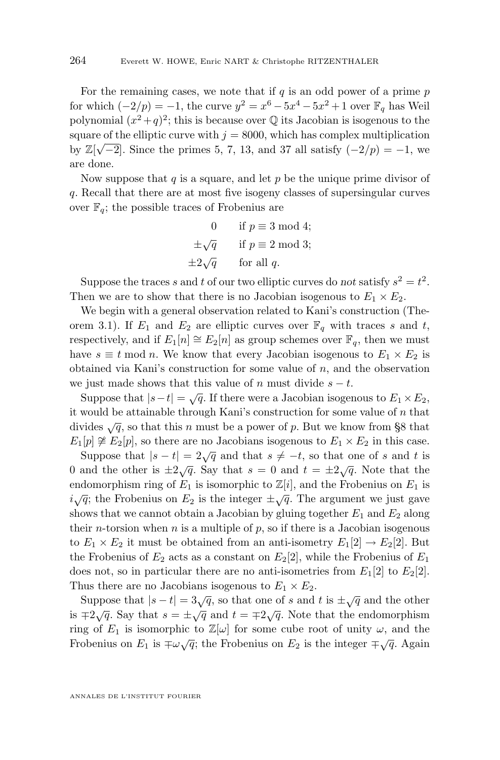For the remaining cases, we note that if  $q$  is an odd power of a prime  $p$ for which  $(-2/p) = -1$ , the curve  $y^2 = x^6 - 5x^4 - 5x^2 + 1$  over  $\mathbb{F}_q$  has Weil polynomial  $(x^2+q)^2$ ; this is because over  $\mathbb Q$  its Jacobian is isogenous to the square of the elliptic curve with  $j = 8000$ , which has complex multiplication by  $\mathbb{Z}[\sqrt{-2}]$ . Since the primes 5, 7, 13, and 37 all satisfy  $(-2/p) = -1$ , we are done.

Now suppose that  $q$  is a square, and let  $p$  be the unique prime divisor of q. Recall that there are at most five isogeny classes of supersingular curves over  $\mathbb{F}_q$ ; the possible traces of Frobenius are

0 if 
$$
p \equiv 3 \mod 4
$$
;  
\n $\pm \sqrt{q}$  if  $p \equiv 2 \mod 3$ ;  
\n $\pm 2\sqrt{q}$  for all q.

Suppose the traces s and t of our two elliptic curves do *not* satisfy  $s^2 = t^2$ . Then we are to show that there is no Jacobian isogenous to  $E_1 \times E_2$ .

We begin with a general observation related to Kani's construction (The-orem [3.1\)](#page-8-0). If  $E_1$  and  $E_2$  are elliptic curves over  $\mathbb{F}_q$  with traces s and t, respectively, and if  $E_1[n] \cong E_2[n]$  as group schemes over  $\mathbb{F}_q$ , then we must have  $s \equiv t \mod n$ . We know that every Jacobian isogenous to  $E_1 \times E_2$  is obtained via Kani's construction for some value of  $n$ , and the observation we just made shows that this value of n must divide  $s - t$ .

Suppose that  $|s-t| = \sqrt{q}$ . If there were a Jacobian isogenous to  $E_1 \times E_2$ , it would be attainable through Kani's construction for some value of  $n$  that divides  $\sqrt{q}$ , so that this n must be a power of p. But we know from [§8](#page-21-0) that  $E_1[p] \not\cong E_2[p]$ , so there are no Jacobians isogenous to  $E_1 \times E_2$  in this case.

Suppose that  $|s - t| = 2\sqrt{q}$  and that  $s \neq -t$ , so that one of s and t is 0 and the other is  $\pm 2\sqrt{q}$ . Say that  $s = 0$  and  $t = \pm 2\sqrt{q}$ . Note that the endomorphism ring of  $E_1$  is isomorphic to  $\mathbb{Z}[i]$ , and the Frobenius on  $E_1$  is  $i\sqrt{q}$ ; the Frobenius on  $E_2$  is the integer  $\pm\sqrt{q}$ . The argument we just gave shows that we cannot obtain a Jacobian by gluing together  $E_1$  and  $E_2$  along their *n*-torsion when *n* is a multiple of  $p$ , so if there is a Jacobian isogenous to  $E_1 \times E_2$  it must be obtained from an anti-isometry  $E_1[2] \to E_2[2]$ . But the Frobenius of  $E_2$  acts as a constant on  $E_2[2]$ , while the Frobenius of  $E_1$ does not, so in particular there are no anti-isometries from  $E_1[2]$  to  $E_2[2]$ . Thus there are no Jacobians isogenous to  $E_1 \times E_2$ .

Suppose that  $|s - t| = 3\sqrt{q}$ , so that one of s and t is  $\pm \sqrt{q}$  and the other is  $\pm 2\sqrt{q}$ . Say that  $s = \pm \sqrt{q}$  and  $t = \pm 2\sqrt{q}$ . Note that the endomorphism ring of  $E_1$  is isomorphic to  $\mathbb{Z}[\omega]$  for some cube root of unity  $\omega$ , and the Frobenius on  $E_1$  is  $\pm \omega \sqrt{q}$ ; the Frobenius on  $E_2$  is the integer  $\pm \sqrt{q}$ . Again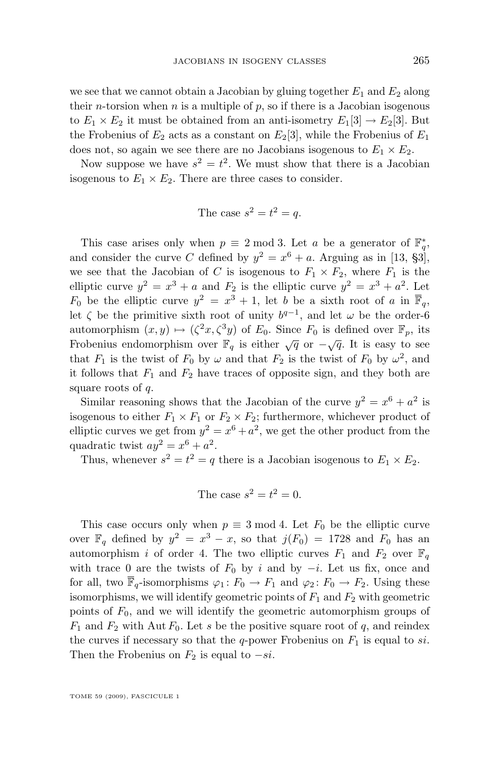we see that we cannot obtain a Jacobian by gluing together  $E_1$  and  $E_2$  along their *n*-torsion when *n* is a multiple of  $p$ , so if there is a Jacobian isogenous to  $E_1 \times E_2$  it must be obtained from an anti-isometry  $E_1[3] \to E_2[3]$ . But the Frobenius of  $E_2$  acts as a constant on  $E_2[3]$ , while the Frobenius of  $E_1$ does not, so again we see there are no Jacobians isogenous to  $E_1 \times E_2$ .

Now suppose we have  $s^2 = t^2$ . We must show that there is a Jacobian isogenous to  $E_1 \times E_2$ . There are three cases to consider.

The case 
$$
s^2 = t^2 = q
$$
.

This case arises only when  $p \equiv 2 \mod 3$ . Let a be a generator of  $\mathbb{F}_q^*$ , and consider the curve C defined by  $y^2 = x^6 + a$ . Arguing as in [\[13,](#page-50-0) §3], we see that the Jacobian of C is isogenous to  $F_1 \times F_2$ , where  $F_1$  is the elliptic curve  $y^2 = x^3 + a$  and  $F_2$  is the elliptic curve  $y^2 = x^3 + a^2$ . Let  $F_0$  be the elliptic curve  $y^2 = x^3 + 1$ , let b be a sixth root of a in  $\overline{\mathbb{F}}_q$ , let  $\zeta$  be the primitive sixth root of unity  $b^{q-1}$ , and let  $\omega$  be the order-6 automorphism  $(x, y) \mapsto (\zeta^2 x, \zeta^3 y)$  of  $E_0$ . Since  $F_0$  is defined over  $\mathbb{F}_p$ , its Frobenius endomorphism over  $\mathbb{F}_q$  is either  $\sqrt{q}$  or  $-\sqrt{q}$ . It is easy to see that  $F_1$  is the twist of  $F_0$  by  $\omega$  and that  $F_2$  is the twist of  $F_0$  by  $\omega^2$ , and it follows that  $F_1$  and  $F_2$  have traces of opposite sign, and they both are square roots of q.

Similar reasoning shows that the Jacobian of the curve  $y^2 = x^6 + a^2$  is isogenous to either  $F_1 \times F_1$  or  $F_2 \times F_2$ ; furthermore, whichever product of elliptic curves we get from  $y^2 = x^6 + a^2$ , we get the other product from the quadratic twist  $ay^2 = x^6 + a^2$ .

Thus, whenever  $s^2 = t^2 = q$  there is a Jacobian isogenous to  $E_1 \times E_2$ .

The case 
$$
s^2 = t^2 = 0
$$
.

This case occurs only when  $p \equiv 3 \mod 4$ . Let  $F_0$  be the elliptic curve over  $\mathbb{F}_q$  defined by  $y^2 = x^3 - x$ , so that  $j(F_0) = 1728$  and  $F_0$  has an automorphism i of order 4. The two elliptic curves  $F_1$  and  $F_2$  over  $\mathbb{F}_q$ with trace 0 are the twists of  $F_0$  by i and by  $-i$ . Let us fix, once and for all, two  $\overline{\mathbb{F}}_q$ -isomorphisms  $\varphi_1: F_0 \to F_1$  and  $\varphi_2: F_0 \to F_2$ . Using these isomorphisms, we will identify geometric points of  $F_1$  and  $F_2$  with geometric points of  $F_0$ , and we will identify the geometric automorphism groups of  $F_1$  and  $F_2$  with Aut  $F_0$ . Let s be the positive square root of q, and reindex the curves if necessary so that the q-power Frobenius on  $F_1$  is equal to si. Then the Frobenius on  $F_2$  is equal to  $-si$ .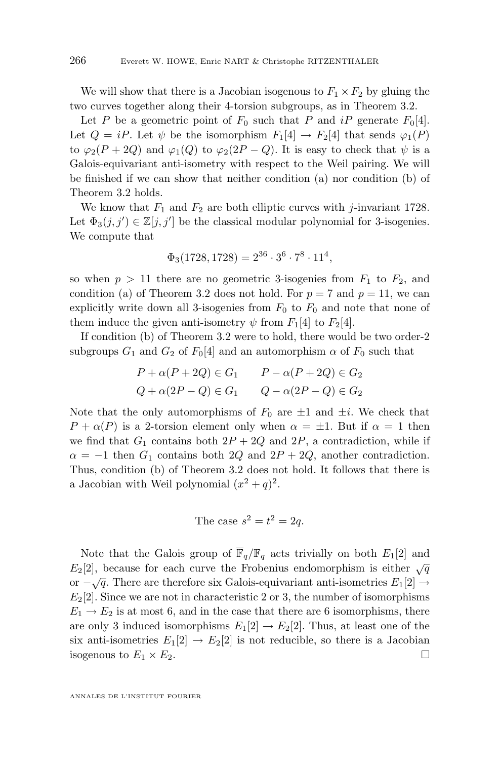We will show that there is a Jacobian isogenous to  $F_1 \times F_2$  by gluing the two curves together along their 4-torsion subgroups, as in Theorem [3.2.](#page-8-0)

Let P be a geometric point of  $F_0$  such that P and iP generate  $F_0[4]$ . Let  $Q = iP$ . Let  $\psi$  be the isomorphism  $F_1[4] \to F_2[4]$  that sends  $\varphi_1(P)$ to  $\varphi_2(P+2Q)$  and  $\varphi_1(Q)$  to  $\varphi_2(2P-Q)$ . It is easy to check that  $\psi$  is a Galois-equivariant anti-isometry with respect to the Weil pairing. We will be finished if we can show that neither condition (a) nor condition (b) of Theorem [3.2](#page-8-0) holds.

We know that  $F_1$  and  $F_2$  are both elliptic curves with j-invariant 1728. Let  $\Phi_3(j, j') \in \mathbb{Z}[j, j']$  be the classical modular polynomial for 3-isogenies. We compute that

$$
\Phi_3(1728, 1728) = 2^{36} \cdot 3^6 \cdot 7^8 \cdot 11^4,
$$

so when  $p > 11$  there are no geometric 3-isogenies from  $F_1$  to  $F_2$ , and condition (a) of Theorem [3.2](#page-8-0) does not hold. For  $p = 7$  and  $p = 11$ , we can explicitly write down all 3-isogenies from  $F_0$  to  $F_0$  and note that none of them induce the given anti-isometry  $\psi$  from  $F_1[4]$  to  $F_2[4]$ .

If condition (b) of Theorem [3.2](#page-8-0) were to hold, there would be two order-2 subgroups  $G_1$  and  $G_2$  of  $F_0[4]$  and an automorphism  $\alpha$  of  $F_0$  such that

$$
P + \alpha(P + 2Q) \in G_1 \qquad P - \alpha(P + 2Q) \in G_2
$$
  

$$
Q + \alpha(2P - Q) \in G_1 \qquad Q - \alpha(2P - Q) \in G_2
$$

Note that the only automorphisms of  $F_0$  are  $\pm 1$  and  $\pm i$ . We check that  $P + \alpha(P)$  is a 2-torsion element only when  $\alpha = \pm 1$ . But if  $\alpha = 1$  then we find that  $G_1$  contains both  $2P + 2Q$  and  $2P$ , a contradiction, while if  $\alpha = -1$  then  $G_1$  contains both  $2Q$  and  $2P + 2Q$ , another contradiction. Thus, condition (b) of Theorem [3.2](#page-8-0) does not hold. It follows that there is a Jacobian with Weil polynomial  $(x^2 + q)^2$ .

The case 
$$
s^2 = t^2 = 2q
$$
.

Note that the Galois group of  $\overline{\mathbb{F}}_q/\mathbb{F}_q$  acts trivially on both  $E_1[2]$  and  $E_2[2]$ , because for each curve the Frobenius endomorphism is either  $\sqrt{q}$  $\Delta Z_{1-}$ , secalist for each value in the construction of  $\sqrt{q}$ .<br>or  $-\sqrt{q}$ . There are therefore six Galois-equivariant anti-isometries  $E_1[2] \rightarrow$  $E_2[2]$ . Since we are not in characteristic 2 or 3, the number of isomorphisms  $E_1 \rightarrow E_2$  is at most 6, and in the case that there are 6 isomorphisms, there are only 3 induced isomorphisms  $E_1[2] \to E_2[2]$ . Thus, at least one of the six anti-isometries  $E_1[2] \to E_2[2]$  is not reducible, so there is a Jacobian isogenous to  $E_1 \times E_2$ .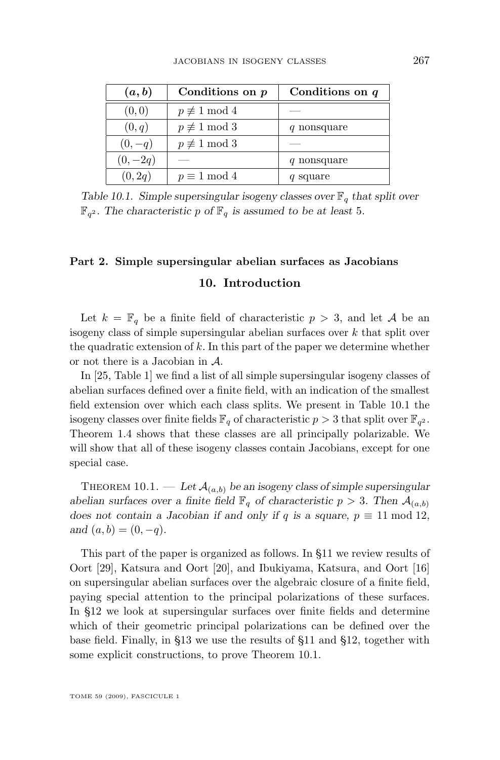<span id="page-29-0"></span>

| (a,b)     | Conditions on $p$       | Conditions on $q$ |
|-----------|-------------------------|-------------------|
| (0, 0)    | $p \not\equiv 1 \mod 4$ |                   |
| (0,q)     | $p \not\equiv 1 \mod 3$ | q nonsquare       |
| $(0,-q)$  | $p \not\equiv 1 \mod 3$ |                   |
| $(0,-2q)$ |                         | q nonsquare       |
| (0, 2q)   | $p \equiv 1 \mod 4$     | q square          |

*Table 10.1. Simple supersingular isogeny classes over*  $\mathbb{F}_q$  *that split over*  $\mathbb{F}_{q^2}$ . The characteristic p of  $\mathbb{F}_q$  is assumed to be at least 5.

### **Part 2. Simple supersingular abelian surfaces as Jacobians 10. Introduction**

Let  $k = \mathbb{F}_q$  be a finite field of characteristic  $p > 3$ , and let A be an isogeny class of simple supersingular abelian surfaces over  $k$  that split over the quadratic extension of  $k$ . In this part of the paper we determine whether or not there is a Jacobian in A.

In [\[25,](#page-50-0) Table 1] we find a list of all simple supersingular isogeny classes of abelian surfaces defined over a finite field, with an indication of the smallest field extension over which each class splits. We present in Table 10.1 the isogeny classes over finite fields  $\mathbb{F}_q$  of characteristic  $p > 3$  that split over  $\mathbb{F}_{q^2}$ . Theorem [1.4](#page-4-0) shows that these classes are all principally polarizable. We will show that all of these isogeny classes contain Jacobians, except for one special case.

THEOREM 10.1. — Let  $\mathcal{A}_{(a,b)}$  be an isogeny class of simple supersingular *abelian surfaces over a finite field*  $\mathbb{F}_q$  *of characteristic*  $p > 3$ *. Then*  $\mathcal{A}_{(a,b)}$ *does not contain a Jacobian if and only if* q *is a square,*  $p \equiv 11 \text{ mod } 12$ , *and*  $(a, b) = (0, -q)$ *.* 

This part of the paper is organized as follows. In [§11](#page-30-0) we review results of Oort [\[29\]](#page-51-0), Katsura and Oort [\[20\]](#page-50-0), and Ibukiyama, Katsura, and Oort [\[16\]](#page-50-0) on supersingular abelian surfaces over the algebraic closure of a finite field, paying special attention to the principal polarizations of these surfaces. In [§12](#page-36-0) we look at supersingular surfaces over finite fields and determine which of their geometric principal polarizations can be defined over the base field. Finally, in [§13](#page-38-0) we use the results of [§11](#page-30-0) and [§12,](#page-36-0) together with some explicit constructions, to prove Theorem 10.1.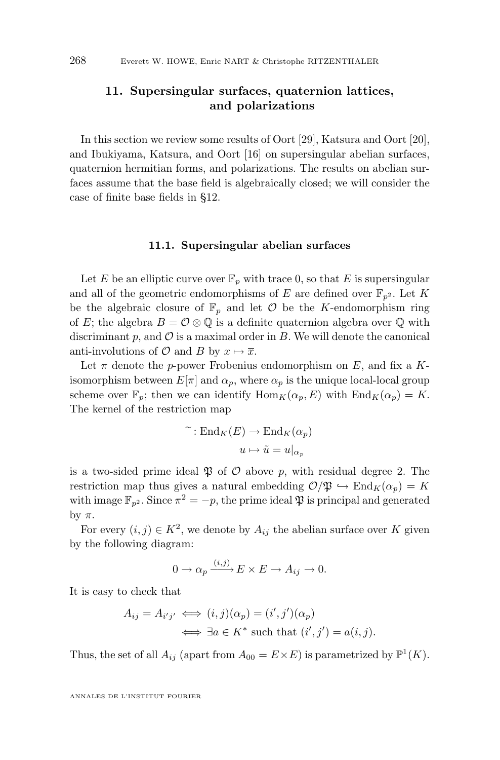#### <span id="page-30-0"></span>**11. Supersingular surfaces, quaternion lattices, and polarizations**

In this section we review some results of Oort [\[29\]](#page-51-0), Katsura and Oort [\[20\]](#page-50-0), and Ibukiyama, Katsura, and Oort [\[16\]](#page-50-0) on supersingular abelian surfaces, quaternion hermitian forms, and polarizations. The results on abelian surfaces assume that the base field is algebraically closed; we will consider the case of finite base fields in [§12.](#page-36-0)

#### **11.1. Supersingular abelian surfaces**

Let E be an elliptic curve over  $\mathbb{F}_p$  with trace 0, so that E is supersingular and all of the geometric endomorphisms of E are defined over  $\mathbb{F}_{n^2}$ . Let K be the algebraic closure of  $\mathbb{F}_p$  and let  $\mathcal O$  be the K-endomorphism ring of E; the algebra  $B = \mathcal{O} \otimes \mathbb{Q}$  is a definite quaternion algebra over  $\mathbb{Q}$  with discriminant  $p$ , and  $\mathcal O$  is a maximal order in  $B$ . We will denote the canonical anti-involutions of  $\mathcal O$  and  $B$  by  $x \mapsto \overline{x}$ .

Let  $\pi$  denote the p-power Frobenius endomorphism on E, and fix a Kisomorphism between  $E[\pi]$  and  $\alpha_p$ , where  $\alpha_p$  is the unique local-local group scheme over  $\mathbb{F}_p$ ; then we can identify  $\text{Hom}_K(\alpha_p, E)$  with  $\text{End}_K(\alpha_p) = K$ . The kernel of the restriction map

$$
\tilde{ } : \mathrm{End}_K(E) \to \mathrm{End}_K(\alpha_p)
$$

$$
u \mapsto \tilde{u} = u|_{\alpha_p}
$$

is a two-sided prime ideal  $\mathfrak P$  of  $\mathcal O$  above p, with residual degree 2. The restriction map thus gives a natural embedding  $\mathcal{O}/\mathfrak{P} \hookrightarrow \text{End}_K(\alpha_p) = K$ with image  $\mathbb{F}_{p^2}$ . Since  $\pi^2 = -p$ , the prime ideal  $\mathfrak{P}$  is principal and generated by  $\pi$ .

For every  $(i, j) \in K^2$ , we denote by  $A_{ij}$  the abelian surface over K given by the following diagram:

$$
0 \to \alpha_p \xrightarrow{(i,j)} E \times E \to A_{ij} \to 0.
$$

It is easy to check that

$$
A_{ij} = A_{i'j'} \iff (i,j)(\alpha_p) = (i',j')(\alpha_p)
$$
  

$$
\iff \exists a \in K^* \text{ such that } (i',j') = a(i,j).
$$

Thus, the set of all  $A_{ij}$  (apart from  $A_{00} = E \times E$ ) is parametrized by  $\mathbb{P}^1(K)$ .

ANNALES DE L'INSTITUT FOURIER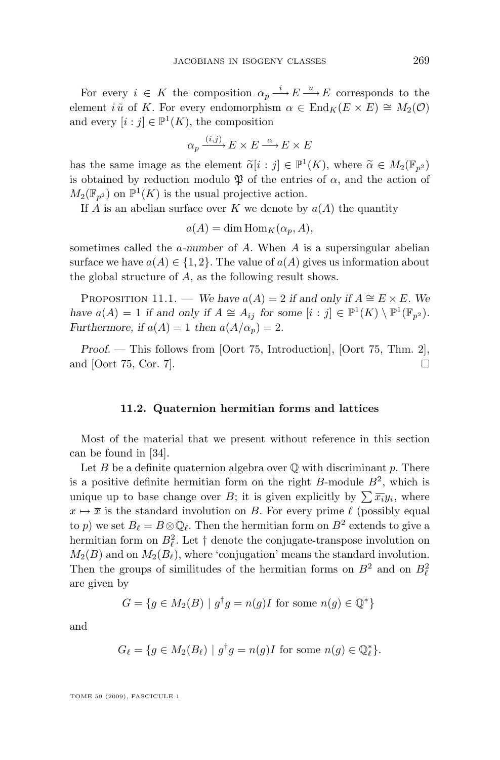<span id="page-31-0"></span>For every  $i \in K$  the composition  $\alpha_p \stackrel{i}{\longrightarrow} E \stackrel{u}{\longrightarrow} E$  corresponds to the element i  $\tilde{u}$  of K. For every endomorphism  $\alpha \in \text{End}_K(E \times E) \cong M_2(\mathcal{O})$ and every  $[i : j] \in \mathbb{P}^1(K)$ , the composition

$$
\alpha_p \xrightarrow{(i,j)} E \times E \xrightarrow{\alpha} E \times E
$$

has the same image as the element  $\widetilde{\alpha}[i : j] \in \mathbb{P}^1(K)$ , where  $\widetilde{\alpha} \in M_2(\mathbb{F}_{p^2})$ is obtained by reduction modulo  $\mathfrak P$  of the entries of  $\alpha$ , and the action of  $M_2(\mathbb{F}_{p^2})$  on  $\mathbb{P}^1(K)$  is the usual projective action.

If A is an abelian surface over K we denote by  $a(A)$  the quantity

 $a(A) = \dim \text{Hom}_K(\alpha_p, A),$ 

sometimes called the a*-number* of A. When A is a supersingular abelian surface we have  $a(A) \in \{1,2\}$ . The value of  $a(A)$  gives us information about the global structure of A, as the following result shows.

PROPOSITION 11.1. — *We have*  $a(A) = 2$  *if and only if*  $A \cong E \times E$ *. We have*  $a(A) = 1$  *if and only if*  $A \cong A_{ij}$  *for some*  $[i : j] \in \mathbb{P}^1(K) \setminus \mathbb{P}^1(\mathbb{F}_{p^2})$ *. Furthermore, if*  $a(A) = 1$  *then*  $a(A/\alpha_p) = 2$ .

*Proof. —* This follows from [Oort 75, Introduction], [Oort 75, Thm. 2], and [Oort 75, Cor. 7].

#### **11.2. Quaternion hermitian forms and lattices**

Most of the material that we present without reference in this section can be found in [\[34\]](#page-51-0).

Let  $B$  be a definite quaternion algebra over  $\mathbb Q$  with discriminant  $p$ . There is a positive definite hermitian form on the right  $B$ -module  $B<sup>2</sup>$ , which is unique up to base change over B; it is given explicitly by  $\sum \overline{x_i} y_i$ , where  $x \mapsto \overline{x}$  is the standard involution on B. For every prime  $\ell$  (possibly equal to p) we set  $B_\ell = B \otimes \mathbb{Q}_\ell$ . Then the hermitian form on  $B^2$  extends to give a hermitian form on  $B_{\ell}^2$ . Let  $\dagger$  denote the conjugate-transpose involution on  $M_2(B)$  and on  $M_2(B_\ell)$ , where 'conjugation' means the standard involution. Then the groups of similitudes of the hermitian forms on  $B^2$  and on  $B^2_\ell$ are given by

$$
G = \{ g \in M_2(B) \mid g^{\dagger}g = n(g)I \text{ for some } n(g) \in \mathbb{Q}^* \}
$$

and

$$
G_{\ell} = \{ g \in M_2(B_{\ell}) \mid g^{\dagger}g = n(g)I \text{ for some } n(g) \in \mathbb{Q}_{\ell}^* \}.
$$

TOME 59 (2009), FASCICULE 1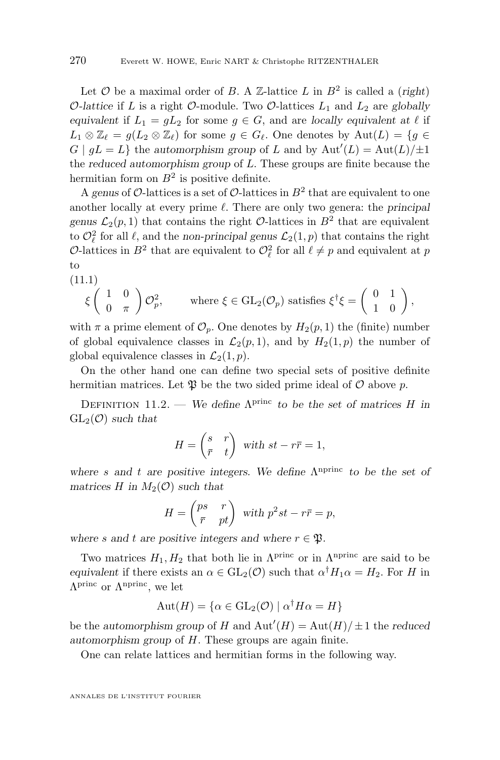<span id="page-32-0"></span>Let  $\mathcal O$  be a maximal order of  $B$ . A  $\mathbb Z$ -lattice  $L$  in  $B^2$  is called a (*right*) O-lattice if L is a right O-module. Two O-lattices  $L_1$  and  $L_2$  are globally *equivalent* if  $L_1 = gL_2$  for some  $g \in G$ , and are *locally equivalent at*  $\ell$  if  $L_1 \otimes \mathbb{Z}_\ell = q(L_2 \otimes \mathbb{Z}_\ell)$  for some  $q \in G_\ell$ . One denotes by  $\mathrm{Aut}(L) = \{q \in$  $G | gL = L$  the *automorphism group* of L and by  $Aut'(L) = Aut(L)/\pm 1$ the *reduced automorphism group* of L. These groups are finite because the hermitian form on  $B^2$  is positive definite.

A genus of  $\mathcal{O}\text{-}$  lattices is a set of  $\mathcal{O}\text{-}$  lattices in  $B^2$  that are equivalent to one another locally at every prime  $\ell$ . There are only two genera: the *principal genus*  $\mathcal{L}_2(p,1)$  that contains the right  $\mathcal{O}$ -lattices in  $B^2$  that are equivalent to  $\mathcal{O}_{\ell}^2$  for all  $\ell$ , and the *non-principal genus*  $\mathcal{L}_2(1, p)$  that contains the right O-lattices in  $B^2$  that are equivalent to  $\mathcal{O}_{\ell}^2$  for all  $\ell \neq p$  and equivalent at p to

$$
(11.1)
$$

$$
\xi \left( \begin{array}{cc} 1 & 0 \\ 0 & \pi \end{array} \right) \mathcal{O}_p^2, \qquad \text{where } \xi \in \text{GL}_2(\mathcal{O}_p) \text{ satisfies } \xi^{\dagger} \xi = \left( \begin{array}{cc} 0 & 1 \\ 1 & 0 \end{array} \right),
$$

with  $\pi$  a prime element of  $\mathcal{O}_p$ . One denotes by  $H_2(p, 1)$  the (finite) number of global equivalence classes in  $\mathcal{L}_2(p, 1)$ , and by  $H_2(1, p)$  the number of global equivalence classes in  $\mathcal{L}_2(1,p)$ .

On the other hand one can define two special sets of positive definite hermitian matrices. Let  $\mathfrak P$  be the two sided prime ideal of  $\mathcal O$  above p.

DEFINITION 11.2. — We define  $\Lambda^{\text{princ}}$  to be the set of matrices H in  $GL_2(\mathcal{O})$  *such that* 

$$
H = \begin{pmatrix} s & r \\ \bar{r} & t \end{pmatrix} \text{ with } st - r\bar{r} = 1,
$$

where *s* and *t* are positive integers. We define  $Λ$ <sup>nprinc</sup> to be the set of *matrices* H in  $M_2(\mathcal{O})$  *such that* 

$$
H = \begin{pmatrix} ps & r \\ \bar{r} & pt \end{pmatrix} \text{ with } p^2st - r\bar{r} = p,
$$

*where* s and t are positive integers and where  $r \in \mathfrak{P}$ .

Two matrices  $H_1, H_2$  that both lie in  $\Lambda^{\text{princ}}$  or in  $\Lambda^{\text{nprinc}}$  are said to be *equivalent* if there exists an  $\alpha \in GL_2(\mathcal{O})$  such that  $\alpha^{\dagger} H_1 \alpha = H_2$ . For H in  $\Lambda^{\text{princ}}$  or  $\Lambda^{\text{nprinc}}$ , we let

$$
Aut(H) = \{ \alpha \in GL_2(\mathcal{O}) \mid \alpha^{\dagger} H \alpha = H \}
$$

be the *automorphism group* of H and  $Aut'(H) = Aut(H)/\pm 1$  the *reduced automorphism group* of H. These groups are again finite.

One can relate lattices and hermitian forms in the following way.

ANNALES DE L'INSTITUT FOURIER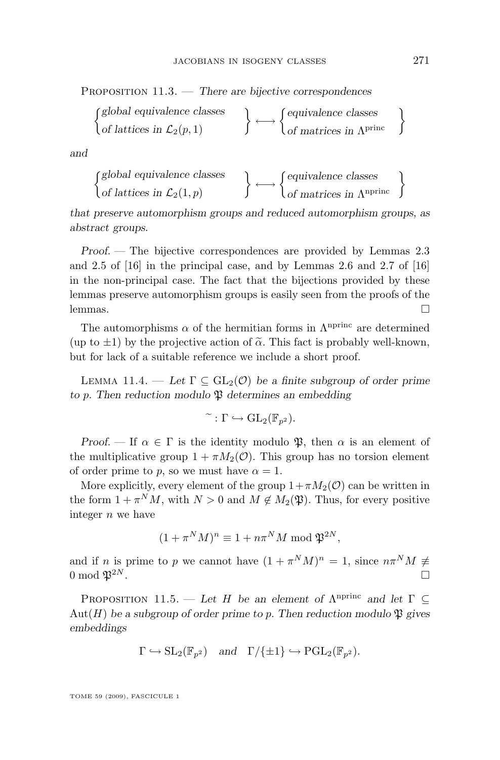<span id="page-33-0"></span>Proposition 11.3. — *There are bijective correspondences*

$$
\begin{Bmatrix} \textit{global equivalence classes} \\ \textit{of lattices in } \mathcal{L}_2(p,1) \end{Bmatrix} \longleftrightarrow \begin{Bmatrix} \textit{equivalence classes} \\ \textit{of matrices in } \Lambda^{\text{princ}} \end{Bmatrix}
$$

*and*

$$
\begin{Bmatrix}\n\text{global equivalence classes} \\
\text{of lattices in } \mathcal{L}_2(1,p) \\
\end{Bmatrix} \longleftrightarrow \begin{Bmatrix}\n\text{equivalence classes} \\
\text{of matrices in } \Lambda^{\text{nprinc}}\n\end{Bmatrix}
$$

*that preserve automorphism groups and reduced automorphism groups, as abstract groups.*

*Proof. —* The bijective correspondences are provided by Lemmas 2.3 and 2.5 of [\[16\]](#page-50-0) in the principal case, and by Lemmas 2.6 and 2.7 of [\[16\]](#page-50-0) in the non-principal case. The fact that the bijections provided by these lemmas preserve automorphism groups is easily seen from the proofs of the lemmas.  $\Box$ 

The automorphisms  $\alpha$  of the hermitian forms in  $\Lambda^{\text{nprinc}}$  are determined (up to  $\pm 1$ ) by the projective action of  $\tilde{\alpha}$ . This fact is probably well-known, but for lack of a suitable reference we include a short proof.

LEMMA 11.4. — Let  $\Gamma \subset GL_2(\mathcal{O})$  be a finite subgroup of order prime *to* p*. Then reduction modulo* P *determines an embedding*

$$
\widetilde{\phantom{a}}: \Gamma \hookrightarrow \mathrm{GL}_2(\mathbb{F}_{p^2}).
$$

*Proof.* — If  $\alpha \in \Gamma$  is the identity modulo  $\mathfrak{P}$ , then  $\alpha$  is an element of the multiplicative group  $1 + \pi M_2(\mathcal{O})$ . This group has no torsion element of order prime to p, so we must have  $\alpha = 1$ .

More explicitly, every element of the group  $1+\pi M_2(\mathcal{O})$  can be written in the form  $1 + \pi^N M$ , with  $N > 0$  and  $M \notin M_2(\mathfrak{P})$ . Thus, for every positive integer  $n$  we have

$$
(1 + \pi^N M)^n \equiv 1 + n\pi^N M \bmod \mathfrak{P}^{2N},
$$

and if n is prime to p we cannot have  $(1 + \pi^N M)^n = 1$ , since  $n\pi^N M \neq$ 0 mod  $\mathfrak{P}^{2N}$ .

PROPOSITION 11.5. — Let H be an element of  $\Lambda^{\text{nprinc}}$  and let  $\Gamma \subseteq$ Aut( $H$ ) be a subgroup of order prime to p. Then reduction modulo  $\mathfrak P$  gives *embeddings*

$$
\Gamma \hookrightarrow SL_2(\mathbb{F}_{p^2})
$$
 and  $\Gamma/\{\pm 1\} \hookrightarrow \mathrm{PGL}_2(\mathbb{F}_{p^2}).$ 

TOME 59 (2009), FASCICULE 1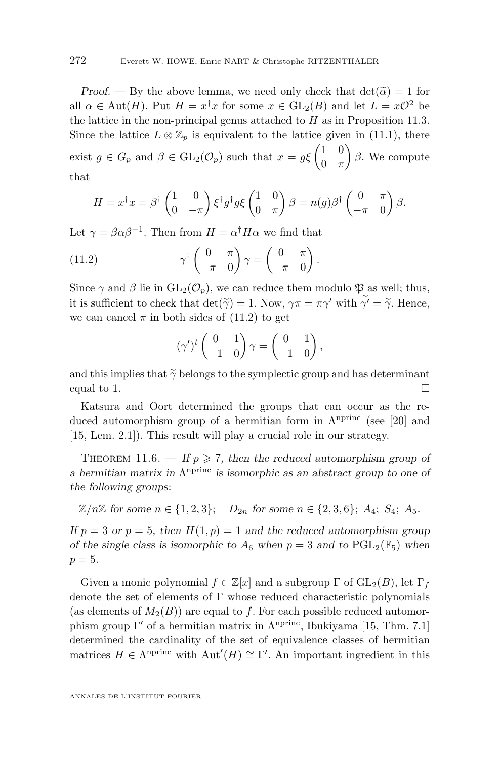<span id="page-34-0"></span>*Proof.* — By the above lemma, we need only check that  $\det(\tilde{\alpha}) = 1$  for all  $\alpha \in \text{Aut}(H)$ . Put  $H = x^{\dagger} x$  for some  $x \in \text{GL}_2(B)$  and let  $L = x\mathcal{O}^2$  be the lattice in the non-principal genus attached to  $H$  as in Proposition [11.3.](#page-32-0) Since the lattice  $L \otimes \mathbb{Z}_p$  is equivalent to the lattice given in [\(11.1\)](#page-32-0), there exist  $g \in G_p$  and  $\beta \in GL_2(\mathcal{O}_p)$  such that  $x = g\xi \begin{pmatrix} 1 & 0 \\ 0 & \pi \end{pmatrix}$  $0 \pi$  $\int \beta$ . We compute that

$$
H = x^{\dagger} x = \beta^{\dagger} \begin{pmatrix} 1 & 0 \\ 0 & -\pi \end{pmatrix} \xi^{\dagger} g^{\dagger} g \xi \begin{pmatrix} 1 & 0 \\ 0 & \pi \end{pmatrix} \beta = n(g) \beta^{\dagger} \begin{pmatrix} 0 & \pi \\ -\pi & 0 \end{pmatrix} \beta.
$$

Let  $\gamma = \beta \alpha \beta^{-1}$ . Then from  $H = \alpha^{\dagger} H \alpha$  we find that

(11.2) 
$$
\gamma^{\dagger} \begin{pmatrix} 0 & \pi \\ -\pi & 0 \end{pmatrix} \gamma = \begin{pmatrix} 0 & \pi \\ -\pi & 0 \end{pmatrix}.
$$

Since  $\gamma$  and  $\beta$  lie in  $GL_2(\mathcal{O}_p)$ , we can reduce them modulo  $\mathfrak P$  as well; thus, it is sufficient to check that  $\det(\widetilde{\gamma}) = 1$ . Now,  $\overline{\gamma}\pi = \pi\gamma'$  with  $\widetilde{\gamma'} = \widetilde{\gamma}$ . Hence, we can cancel  $\pi$  in both sides of (11.2) to get

$$
(\gamma')^t \begin{pmatrix} 0 & 1 \\ -1 & 0 \end{pmatrix} \gamma = \begin{pmatrix} 0 & 1 \\ -1 & 0 \end{pmatrix},
$$

and this implies that  $\tilde{\gamma}$  belongs to the symplectic group and has determinant equal to 1. equal to 1.  $\Box$ 

Katsura and Oort determined the groups that can occur as the reduced automorphism group of a hermitian form in  $\Lambda^{\text{nprinc}}$  (see [\[20\]](#page-50-0) and [\[15,](#page-50-0) Lem. 2.1]). This result will play a crucial role in our strategy.

THEOREM 11.6.  $\overline{\phantom{a}}$  If  $p \ge 7$ , then the reduced automorphism group of *a* hermitian matrix in  $Λ$ <sup>nprinc</sup> is isomorphic as an abstract group to one of *the following groups*:

 $\mathbb{Z}/n\mathbb{Z}$  for some  $n \in \{1, 2, 3\}$ ;  $D_{2n}$  for some  $n \in \{2, 3, 6\}$ ;  $A_4$ ;  $S_4$ ;  $A_5$ .

*If*  $p = 3$  *or*  $p = 5$ *, then*  $H(1, p) = 1$  *and the reduced automorphism group of the single class is isomorphic to*  $A_6$  *when*  $p = 3$  *and to*  $PGL_2(\mathbb{F}_5)$  *when*  $p = 5.$ 

Given a monic polynomial  $f \in \mathbb{Z}[x]$  and a subgroup  $\Gamma$  of  $GL_2(B)$ , let  $\Gamma_f$ denote the set of elements of Γ whose reduced characteristic polynomials (as elements of  $M_2(B)$ ) are equal to f. For each possible reduced automorphism group  $\Gamma'$  of a hermitian matrix in  $\Lambda^{\text{nprinc}}$ , Ibukiyama [\[15,](#page-50-0) Thm. 7.1] determined the cardinality of the set of equivalence classes of hermitian matrices  $H \in \Lambda^{\text{nprinc}}$  with  $\text{Aut}'(H) \cong \Gamma'$ . An important ingredient in this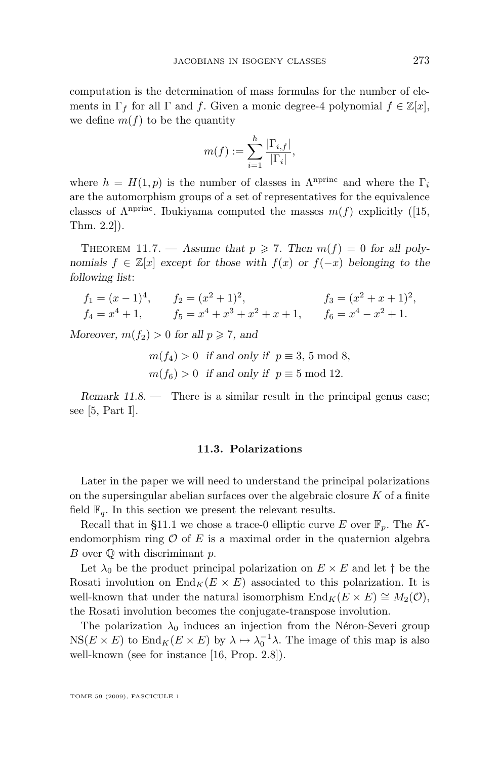<span id="page-35-0"></span>computation is the determination of mass formulas for the number of elements in  $\Gamma_f$  for all  $\Gamma$  and f. Given a monic degree-4 polynomial  $f \in \mathbb{Z}[x]$ , we define  $m(f)$  to be the quantity

$$
m(f):=\sum_{i=1}^h\frac{|\Gamma_{i,f}|}{|\Gamma_i|},
$$

where  $h = H(1, p)$  is the number of classes in  $\Lambda^{\text{nprinc}}$  and where the  $\Gamma_i$ are the automorphism groups of a set of representatives for the equivalence classes of  $\Lambda^{\text{nprinc}}$ . Ibukiyama computed the masses  $m(f)$  explicitly ([\[15,](#page-50-0) Thm. 2.2]).

THEOREM 11.7. — Assume that  $p \ge 7$ . Then  $m(f) = 0$  for all poly*nomials*  $f \in \mathbb{Z}[x]$  *except for those with*  $f(x)$  *or*  $f(-x)$  *belonging to the following list*:

$$
f_1 = (x - 1)^4
$$
,  $f_2 = (x^2 + 1)^2$ ,  $f_3 = (x^2 + x + 1)^2$ ,  
\n $f_4 = x^4 + 1$ ,  $f_5 = x^4 + x^3 + x^2 + x + 1$ ,  $f_6 = x^4 - x^2 + 1$ .

*Moreover,*  $m(f_2) > 0$  *for all*  $p \ge 7$ *, and* 

 $m(f_4) > 0$  *if and only if*  $p \equiv 3, 5 \mod 8$ ,  $m(f_6) > 0$  *if and only if*  $p \equiv 5 \text{ mod } 12$ .

*Remark 11.8.* — There is a similar result in the principal genus case; see [\[5,](#page-49-0) Part I].

#### **11.3. Polarizations**

Later in the paper we will need to understand the principal polarizations on the supersingular abelian surfaces over the algebraic closure  $K$  of a finite field  $\mathbb{F}_q$ . In this section we present the relevant results.

Recall that in [§11.1](#page-30-0) we chose a trace-0 elliptic curve E over  $\mathbb{F}_p$ . The Kendomorphism ring  $\mathcal O$  of E is a maximal order in the quaternion algebra B over  $\mathbb Q$  with discriminant p.

Let  $\lambda_0$  be the product principal polarization on  $E \times E$  and let  $\dagger$  be the Rosati involution on  $\text{End}_K(E \times E)$  associated to this polarization. It is well-known that under the natural isomorphism  $\text{End}_K(E \times E) \cong M_2(\mathcal{O}),$ the Rosati involution becomes the conjugate-transpose involution.

The polarization  $\lambda_0$  induces an injection from the Néron-Severi group  $NS(E \times E)$  to  $\text{End}_K(E \times E)$  by  $\lambda \mapsto \lambda_0^{-1} \lambda$ . The image of this map is also well-known (see for instance [\[16,](#page-50-0) Prop. 2.8]).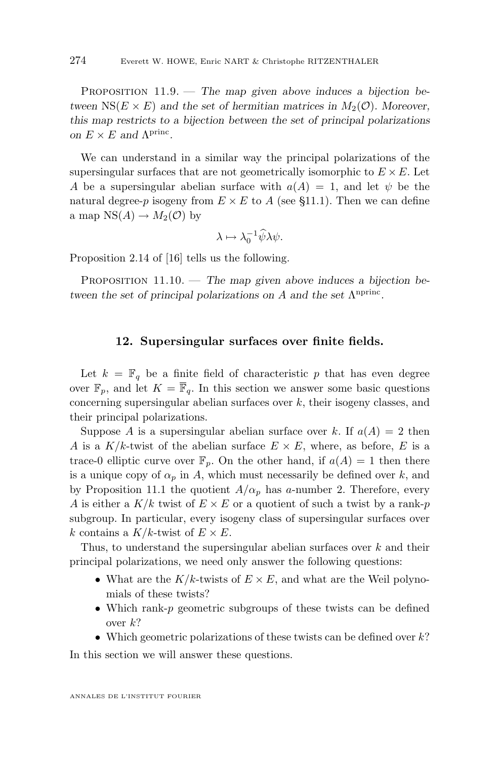<span id="page-36-0"></span>Proposition 11.9. — *The map given above induces a bijection between*  $NS(E \times E)$  *and the set of hermitian matrices in*  $M_2(\mathcal{O})$ *. Moreover, this map restricts to a bijection between the set of principal polarizations on*  $E \times E$  *and*  $\Lambda^{\text{princ}}$ *.* 

We can understand in a similar way the principal polarizations of the supersingular surfaces that are not geometrically isomorphic to  $E \times E$ . Let A be a supersingular abelian surface with  $a(A) = 1$ , and let  $\psi$  be the natural degree-p isogeny from  $E \times E$  to A (see [§11.1\)](#page-30-0). Then we can define a map  $NS(A) \rightarrow M_2(\mathcal{O})$  by

$$
\lambda \mapsto \lambda_0^{-1} \widehat{\psi} \lambda \psi.
$$

Proposition 2.14 of [\[16\]](#page-50-0) tells us the following.

PROPOSITION 11.10. — The map given above induces a bijection be*tween the set of principal polarizations on A and the set* Λ<sup>*nprinc*</sup>.

#### **12. Supersingular surfaces over finite fields.**

Let  $k = \mathbb{F}_q$  be a finite field of characteristic p that has even degree over  $\mathbb{F}_n$ , and let  $K = \overline{\mathbb{F}}_q$ . In this section we answer some basic questions concerning supersingular abelian surfaces over  $k$ , their isogeny classes, and their principal polarizations.

Suppose A is a supersingular abelian surface over k. If  $a(A) = 2$  then A is a  $K/k$ -twist of the abelian surface  $E \times E$ , where, as before, E is a trace-0 elliptic curve over  $\mathbb{F}_p$ . On the other hand, if  $a(A) = 1$  then there is a unique copy of  $\alpha_p$  in A, which must necessarily be defined over k, and by Proposition [11.1](#page-31-0) the quotient  $A/\alpha_p$  has a-number 2. Therefore, every A is either a  $K/k$  twist of  $E \times E$  or a quotient of such a twist by a rank-p subgroup. In particular, every isogeny class of supersingular surfaces over k contains a  $K/k$ -twist of  $E \times E$ .

Thus, to understand the supersingular abelian surfaces over  $k$  and their principal polarizations, we need only answer the following questions:

- What are the  $K/k$ -twists of  $E \times E$ , and what are the Weil polynomials of these twists?
- Which rank-p geometric subgroups of these twists can be defined over  $k$ ?
- Which geometric polarizations of these twists can be defined over  $k$ ?

In this section we will answer these questions.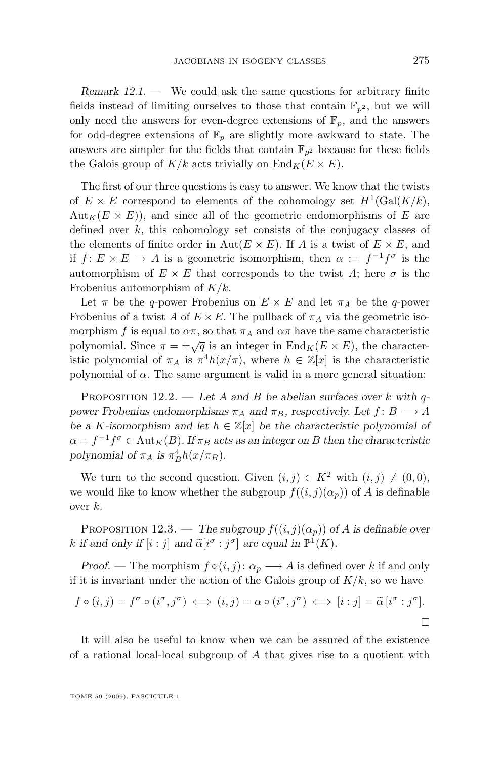<span id="page-37-0"></span>*Remark 12.1. —* We could ask the same questions for arbitrary finite fields instead of limiting ourselves to those that contain  $\mathbb{F}_{p^2}$ , but we will only need the answers for even-degree extensions of  $\mathbb{F}_p$ , and the answers for odd-degree extensions of  $\mathbb{F}_p$  are slightly more awkward to state. The answers are simpler for the fields that contain  $\mathbb{F}_{p^2}$  because for these fields the Galois group of  $K/k$  acts trivially on  $\text{End}_K(E \times E)$ .

The first of our three questions is easy to answer. We know that the twists of  $E \times E$  correspond to elements of the cohomology set  $H^1(\text{Gal}(K/k))$ ,  $Aut_K(E \times E)$ , and since all of the geometric endomorphisms of E are defined over  $k$ , this cohomology set consists of the conjugacy classes of the elements of finite order in Aut $(E \times E)$ . If A is a twist of  $E \times E$ , and if  $f: E \times E \to A$  is a geometric isomorphism, then  $\alpha := f^{-1}f^{\sigma}$  is the automorphism of  $E \times E$  that corresponds to the twist A; here  $\sigma$  is the Frobenius automorphism of  $K/k$ .

Let  $\pi$  be the q-power Frobenius on  $E \times E$  and let  $\pi_A$  be the q-power Frobenius of a twist A of  $E \times E$ . The pullback of  $\pi_A$  via the geometric isomorphism f is equal to  $\alpha \pi$ , so that  $\pi_A$  and  $\alpha \pi$  have the same characteristic polynomial. Since  $\pi = \pm \sqrt{q}$  is an integer in End<sub>K</sub>( $E \times E$ ), the characteristic polynomial of  $\pi_A$  is  $\pi^4 h(x/\pi)$ , where  $h \in \mathbb{Z}[x]$  is the characteristic polynomial of  $\alpha$ . The same argument is valid in a more general situation:

Proposition 12.2. — *Let* A *and* B *be abelian surfaces over* k *with* q*power Frobenius endomorphisms*  $\pi_A$  *and*  $\pi_B$ *, respectively. Let*  $f: B \longrightarrow A$ *be a K-isomorphism and let*  $h \in \mathbb{Z}[x]$  *be the characteristic polynomial of*  $\alpha = f^{-1}f^{\sigma} \in \text{Aut}_K(B)$ . If  $\pi_B$  acts as an integer on B then the characteristic polynomial of  $\pi_A$  is  $\pi_B^4 h(x/\pi_B)$ *.* 

We turn to the second question. Given  $(i, j) \in K^2$  with  $(i, j) \neq (0, 0)$ , we would like to know whether the subgroup  $f((i, j)(\alpha_p))$  of A is definable over  $k$ .

PROPOSITION 12.3. — *The subgroup*  $f((i, j)(\alpha_p))$  of A is definable over k if and only if  $[i : j]$  and  $\tilde{\alpha}[i^{\sigma} : j^{\sigma}]$  are equal in  $\mathbb{P}^1(K)$ .

*Proof.* — The morphism  $f \circ (i, j): \alpha_p \longrightarrow A$  is defined over k if and only if it is invariant under the action of the Galois group of  $K/k$ , so we have

$$
f \circ (i, j) = f^{\sigma} \circ (i^{\sigma}, j^{\sigma}) \iff (i, j) = \alpha \circ (i^{\sigma}, j^{\sigma}) \iff [i : j] = \widetilde{\alpha} [i^{\sigma} : j^{\sigma}].
$$

It will also be useful to know when we can be assured of the existence of a rational local-local subgroup of A that gives rise to a quotient with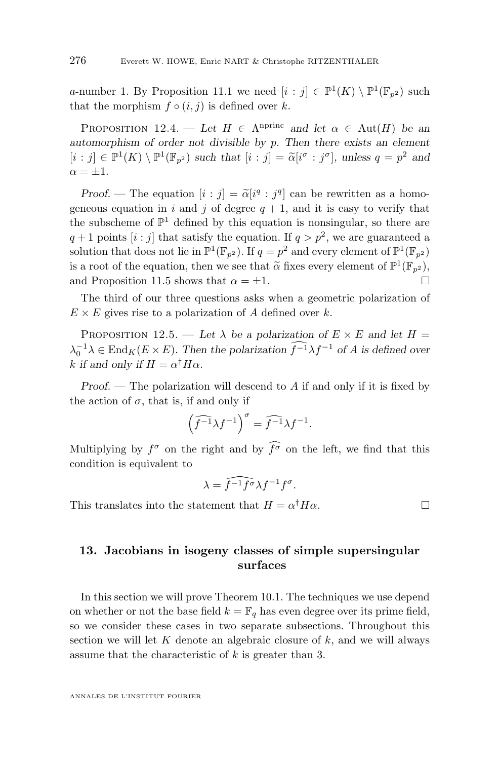<span id="page-38-0"></span>a-number 1. By Proposition [11.1](#page-31-0) we need  $[i : j] \in \mathbb{P}^1(K) \setminus \mathbb{P}^1(\mathbb{F}_{p^2})$  such that the morphism  $f \circ (i, j)$  is defined over k.

PROPOSITION 12.4. — Let  $H \in \Lambda^{n^{\text{princ}}}$  and let  $\alpha \in \text{Aut}(H)$  be an *automorphism of order not divisible by* p*. Then there exists an element*  $[i : j] \in \mathbb{P}^1(K) \setminus \mathbb{P}^1(\mathbb{F}_{p^2})$  *such that*  $[i : j] = \tilde{\alpha}[i^{\sigma} : j^{\sigma}],$  *unless*  $q = p^2$  *and*  $\alpha = +1$ .

*Proof.* — The equation  $[i : j] = \tilde{\alpha}[i^q : j^q]$  can be rewritten as a homogeneous equation in i and j of degree  $q + 1$ , and it is easy to verify that the subscheme of  $\mathbb{P}^1$  defined by this equation is nonsingular, so there are  $q+1$  points  $[i:j]$  that satisfy the equation. If  $q > p^2$ , we are guaranteed a solution that does not lie in  $\mathbb{P}^1(\mathbb{F}_{p^2})$ . If  $q = p^2$  and every element of  $\mathbb{P}^1(\mathbb{F}_{p^2})$ is a root of the equation, then we see that  $\tilde{\alpha}$  fixes every element of  $\mathbb{P}^1(\mathbb{F}_{p^2})$ , and Proposition [11.5](#page-33-0) shows that  $\alpha = \pm 1$ .

The third of our three questions asks when a geometric polarization of  $E \times E$  gives rise to a polarization of A defined over k.

PROPOSITION 12.5. — Let  $\lambda$  be a polarization of  $E \times E$  and let  $H =$  $\lambda_0^{-1}\lambda \in \text{End}_K(E \times E)$ . Then the polarization  $\widehat{f}^{-1}\lambda f^{-1}$  of A is defined over k if and only if  $H = \alpha^{\dagger} H \alpha$ .

*Proof.* — The polarization will descend to A if and only if it is fixed by the action of  $\sigma$ , that is, if and only if

$$
\left(\widehat{f^{-1}}\lambda f^{-1}\right)^{\sigma} = \widehat{f^{-1}}\lambda f^{-1}.
$$

Multiplying by  $f^{\sigma}$  on the right and by  $\widehat{f}^{\sigma}$  on the left, we find that this condition is equivalent to

$$
\lambda = \widehat{f^{-1}f^{\sigma}} \lambda f^{-1} f^{\sigma}.
$$

This translates into the statement that  $H = \alpha^{\dagger} H \alpha$ .

#### **13. Jacobians in isogeny classes of simple supersingular surfaces**

In this section we will prove Theorem [10.1.](#page-29-0) The techniques we use depend on whether or not the base field  $k = \mathbb{F}_q$  has even degree over its prime field, so we consider these cases in two separate subsections. Throughout this section we will let  $K$  denote an algebraic closure of  $k$ , and we will always assume that the characteristic of  $k$  is greater than 3.

ANNALES DE L'INSTITUT FOURIER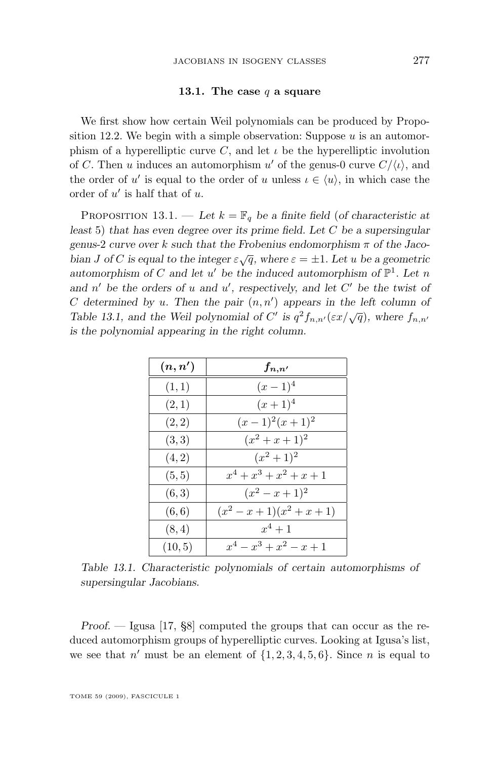#### **13.1. The case** q **a square**

<span id="page-39-0"></span>We first show how certain Weil polynomials can be produced by Propo-sition [12.2.](#page-37-0) We begin with a simple observation: Suppose  $u$  is an automorphism of a hyperelliptic curve C, and let  $\iota$  be the hyperelliptic involution of C. Then u induces an automorphism u' of the genus-0 curve  $C/\langle u \rangle$ , and the order of u' is equal to the order of u unless  $\iota \in \langle u \rangle$ , in which case the order of  $u'$  is half that of  $u$ .

PROPOSITION 13.1. — Let  $k = \mathbb{F}_q$  be a finite field (of characteristic at *least* 5) *that has even degree over its prime field. Let* C *be a supersingular genus-*2 *curve over* k *such that the Frobenius endomorphism* π *of the Jacobian* J of C is equal to the integer  $\varepsilon \sqrt{q}$ , where  $\varepsilon = \pm 1$ *. Let* u be a geometric automorphism of C and let  $u'$  be the induced automorphism of  $\mathbb{P}^1$ . Let n *and*  $n'$  *be the orders of* u *and* u', respectively, and let C' *be the twist of*  $C$  determined by  $u$ . Then the pair  $(n, n')$  appears in the left column of *Table* 13.1, and the Weil polynomial of C' is  $q^2 f_{n,n'}(\epsilon x/\sqrt{q})$ , where  $f_{n,n'}$ *is the polynomial appearing in the right column.*

| (n,n')  | $f_{n,n'}$                   |
|---------|------------------------------|
| (1,1)   | $(x-1)^4$                    |
| (2,1)   | $(x+1)^4$                    |
| (2, 2)  | $(x-1)^2(x+1)^2$             |
| (3,3)   | $(x^2+x+1)^2$                |
| (4, 2)  | $(x^2+1)^2$                  |
| (5, 5)  | $x^4 + x^3 + x^2 + x + 1$    |
| (6, 3)  | $(x^2-x+1)^2$                |
| (6, 6)  | $(x^2 - x + 1)(x^2 + x + 1)$ |
| (8, 4)  | $x^4 + 1$                    |
| (10, 5) | $x^4 - x^3 + x^2 - x + 1$    |

*Table 13.1. Characteristic polynomials of certain automorphisms of supersingular Jacobians.*

*Proof. —* Igusa [\[17,](#page-50-0) §8] computed the groups that can occur as the reduced automorphism groups of hyperelliptic curves. Looking at Igusa's list, we see that  $n'$  must be an element of  $\{1, 2, 3, 4, 5, 6\}$ . Since n is equal to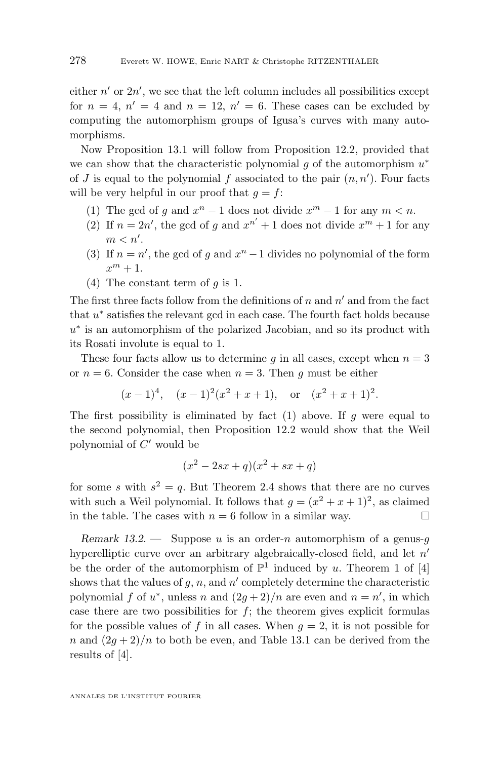either  $n'$  or  $2n'$ , we see that the left column includes all possibilities except for  $n = 4$ ,  $n' = 4$  and  $n = 12$ ,  $n' = 6$ . These cases can be excluded by computing the automorphism groups of Igusa's curves with many automorphisms.

Now Proposition [13.1](#page-39-0) will follow from Proposition [12.2,](#page-37-0) provided that we can show that the characteristic polynomial  $g$  of the automorphism  $u^*$ of J is equal to the polynomial f associated to the pair  $(n, n')$ . Four facts will be very helpful in our proof that  $q = f$ :

- (1) The gcd of g and  $x^n 1$  does not divide  $x^m 1$  for any  $m < n$ .
- (2) If  $n = 2n'$ , the gcd of g and  $x^{n'} + 1$  does not divide  $x^m + 1$  for any  $m < n'.$
- (3) If  $n = n'$ , the gcd of g and  $x<sup>n</sup> 1$  divides no polynomial of the form  $x^m + 1$ .
- (4) The constant term of  $q$  is 1.

The first three facts follow from the definitions of  $n$  and  $n'$  and from the fact that  $u^*$  satisfies the relevant gcd in each case. The fourth fact holds because u<sup>∗</sup> is an automorphism of the polarized Jacobian, and so its product with its Rosati involute is equal to 1.

These four facts allow us to determine g in all cases, except when  $n = 3$ or  $n = 6$ . Consider the case when  $n = 3$ . Then q must be either

$$
(x-1)^4
$$
,  $(x-1)^2(x^2+x+1)$ , or  $(x^2+x+1)^2$ .

The first possibility is eliminated by fact  $(1)$  above. If g were equal to the second polynomial, then Proposition [12.2](#page-37-0) would show that the Weil polynomial of  $C'$  would be

$$
(x^2 - 2sx + q)(x^2 + sx + q)
$$

for some s with  $s^2 = q$ . But Theorem [2.4](#page-7-0) shows that there are no curves with such a Weil polynomial. It follows that  $g = (x^2 + x + 1)^2$ , as claimed in the table. The cases with  $n = 6$  follow in a similar way.

*Remark 13.2. —* Suppose u is an order-n automorphism of a genus-g hyperelliptic curve over an arbitrary algebraically-closed field, and let  $n'$ be the order of the automorphism of  $\mathbb{P}^1$  induced by u. Theorem 1 of [\[4\]](#page-49-0) shows that the values of  $g, n$ , and  $n'$  completely determine the characteristic polynomial f of  $u^*$ , unless n and  $(2g+2)/n$  are even and  $n = n'$ , in which case there are two possibilities for  $f$ ; the theorem gives explicit formulas for the possible values of f in all cases. When  $g = 2$ , it is not possible for n and  $(2g+2)/n$  to both be even, and Table [13.1](#page-39-0) can be derived from the results of [\[4\]](#page-49-0).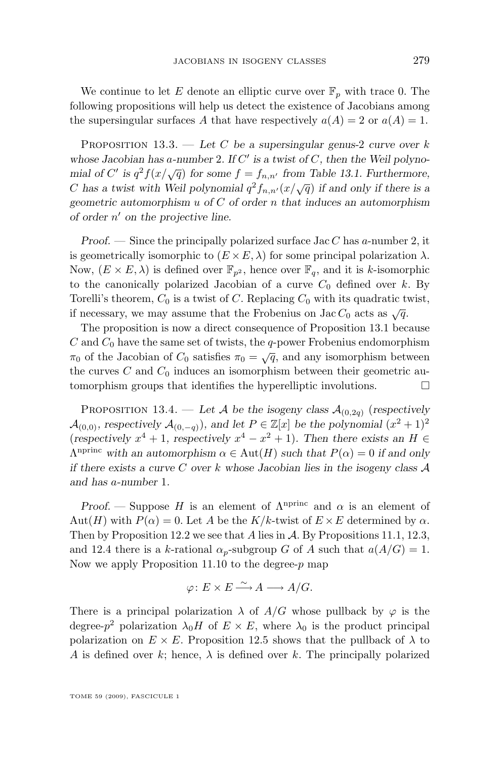<span id="page-41-0"></span>We continue to let E denote an elliptic curve over  $\mathbb{F}_p$  with trace 0. The following propositions will help us detect the existence of Jacobians among the supersingular surfaces A that have respectively  $a(A) = 2$  or  $a(A) = 1$ .

Proposition 13.3. — *Let* C *be a supersingular genus-*2 *curve over* k *whose Jacobian has* a*-number* 2*. If* C 0 *is a twist of* C*, then the Weil polynomial of*  $C'$  is  $q^2 f(x/\sqrt{q})$  for some  $f = f_{n,n'}$  from Table [13.1.](#page-39-0) Furthermore, C has a twist with Weil polynomial  $q^2 f_{n,n'}(x/\sqrt{q})$  if and only if there is a *geometric automorphism* u *of* C *of order* n *that induces an automorphism of order* n <sup>0</sup> *on the projective line.*

*Proof.* — Since the principally polarized surface Jac C has a-number 2, it is geometrically isomorphic to  $(E \times E, \lambda)$  for some principal polarization  $\lambda$ . Now,  $(E \times E, \lambda)$  is defined over  $\mathbb{F}_{n^2}$ , hence over  $\mathbb{F}_q$ , and it is k-isomorphic to the canonically polarized Jacobian of a curve  $C_0$  defined over k. By Torelli's theorem,  $C_0$  is a twist of C. Replacing  $C_0$  with its quadratic twist, if necessary, we may assume that the Frobenius on Jac  $C_0$  acts as  $\sqrt{q}$ .

The proposition is now a direct consequence of Proposition [13.1](#page-39-0) because  $C$  and  $C_0$  have the same set of twists, the q-power Frobenius endomorphism  $π<sub>0</sub>$  of the Jacobian of  $C<sub>0</sub>$  satisfies  $π<sub>0</sub> = \sqrt{q}$ , and any isomorphism between the curves  $C$  and  $C_0$  induces an isomorphism between their geometric automorphism groups that identifies the hyperelliptic involutions.  $\Box$ 

PROPOSITION 13.4. — Let A be the isogeny class  $\mathcal{A}_{(0,2q)}$  (respectively  $\mathcal{A}_{(0,0)}$ *, respectively*  $\mathcal{A}_{(0,-q)}$ *),* and let  $P \in \mathbb{Z}[x]$  be the polynomial  $(x^2 + 1)^2$ (*respectively*  $x^4 + 1$ *, respectively*  $x^4 - x^2 + 1$ *). Then there exists an*  $H \in$  $\Lambda^{\text{nprinc}}$  with an automorphism  $\alpha \in \text{Aut}(H)$  such that  $P(\alpha) = 0$  if and only *if there exists a curve* C *over* k *whose Jacobian lies in the isogeny class* A *and has* a*-number* 1*.*

*Proof.* — Suppose H is an element of  $\Lambda^{nprinc}$  and  $\alpha$  is an element of Aut(H) with  $P(\alpha) = 0$ . Let A be the K/k-twist of  $E \times E$  determined by  $\alpha$ . Then by Proposition [12.2](#page-37-0) we see that A lies in A. By Propositions [11.1,](#page-31-0) [12.3,](#page-37-0) and [12.4](#page-38-0) there is a k-rational  $\alpha_p$ -subgroup G of A such that  $a(A/G) = 1$ . Now we apply Proposition [11.10](#page-36-0) to the degree- $p$  map

$$
\varphi\colon E\times E\stackrel{\sim}{\longrightarrow} A\longrightarrow A/G.
$$

There is a principal polarization  $\lambda$  of  $A/G$  whose pullback by  $\varphi$  is the degree- $p^2$  polarization  $\lambda_0 H$  of  $E \times E$ , where  $\lambda_0$  is the product principal polarization on  $E \times E$ . Proposition [12.5](#page-38-0) shows that the pullback of  $\lambda$  to A is defined over k; hence,  $\lambda$  is defined over k. The principally polarized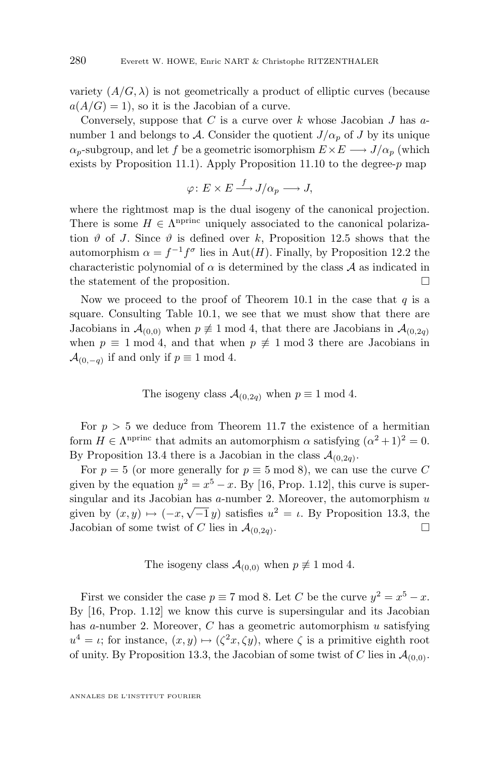variety  $(A/G, \lambda)$  is not geometrically a product of elliptic curves (because  $a(A/G) = 1$ , so it is the Jacobian of a curve.

Conversely, suppose that C is a curve over k whose Jacobian J has  $a$ number 1 and belongs to A. Consider the quotient  $J/\alpha_p$  of J by its unique  $\alpha_p$ -subgroup, and let f be a geometric isomorphism  $E \times E \longrightarrow J/\alpha_p$  (which exists by Proposition [11.1\)](#page-31-0). Apply Proposition [11.10](#page-36-0) to the degree- $p$  map

$$
\varphi\colon E\times E\mathop{\longrightarrow}\limits^f J/\alpha_p\mathop{\longrightarrow}\limits J,
$$

where the rightmost map is the dual isogeny of the canonical projection. There is some  $H \in \Lambda^{\text{nprinc}}$  uniquely associated to the canonical polarization  $\vartheta$  of J. Since  $\vartheta$  is defined over k, Proposition [12.5](#page-38-0) shows that the automorphism  $\alpha = f^{-1}f^{\sigma}$  lies in Aut $(H)$ . Finally, by Proposition [12.2](#page-37-0) the characteristic polynomial of  $\alpha$  is determined by the class  $A$  as indicated in the statement of the proposition.  $\hfill \square$ 

Now we proceed to the proof of Theorem [10.1](#page-29-0) in the case that  $q$  is a square. Consulting Table [10.1,](#page-29-0) we see that we must show that there are Jacobians in  $\mathcal{A}_{(0,0)}$  when  $p \not\equiv 1 \mod 4$ , that there are Jacobians in  $\mathcal{A}_{(0,2q)}$ when  $p \equiv 1 \mod 4$ , and that when  $p \not\equiv 1 \mod 3$  there are Jacobians in  $\mathcal{A}_{(0,-q)}$  if and only if  $p \equiv 1 \mod 4$ .

The isogeny class 
$$
\mathcal{A}_{(0,2q)}
$$
 when  $p \equiv 1 \mod 4$ .

For  $p > 5$  we deduce from Theorem [11.7](#page-35-0) the existence of a hermitian form  $H \in \Lambda^{\text{nprinc}}$  that admits an automorphism  $\alpha$  satisfying  $(\alpha^2 + 1)^2 = 0$ . By Proposition [13.4](#page-41-0) there is a Jacobian in the class  $\mathcal{A}_{(0,2q)}$ .

For  $p = 5$  (or more generally for  $p \equiv 5 \mod 8$ ), we can use the curve C given by the equation  $y^2 = x^5 - x$ . By [\[16,](#page-50-0) Prop. 1.12], this curve is supersingular and its Jacobian has  $a$ -number 2. Moreover, the automorphism  $u$ singular and its Jacobian has a-number 2. Moreover, the automorphism  $u$ <br>given by  $(x, y) \mapsto (-x, \sqrt{-1}y)$  satisfies  $u^2 = \iota$ . By Proposition [13.3,](#page-41-0) the Jacobian of some twist of C lies in  $\mathcal{A}_{(0,2a)}$ . . В последните последните и производите на селото на селото на селото на селото на селото на селото на селото<br>В селото на селото на селото на селото на селото на селото на селото на селото на селото на селото на селото н

The isogeny class  $\mathcal{A}_{(0,0)}$  when  $p \not\equiv 1 \mod 4$ .

First we consider the case  $p \equiv 7 \mod 8$ . Let C be the curve  $y^2 = x^5 - x$ . By [\[16,](#page-50-0) Prop. 1.12] we know this curve is supersingular and its Jacobian has a-number 2. Moreover,  $C$  has a geometric automorphism  $u$  satisfying  $u^4 = \iota$ ; for instance,  $(x, y) \mapsto (\zeta^2 x, \zeta y)$ , where  $\zeta$  is a primitive eighth root of unity. By Proposition [13.3,](#page-41-0) the Jacobian of some twist of C lies in  $\mathcal{A}_{(0,0)}$ .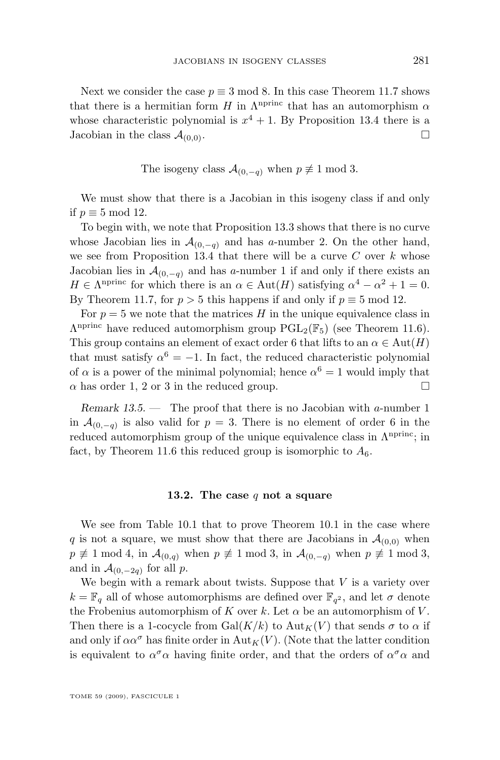Next we consider the case  $p \equiv 3 \mod 8$ . In this case Theorem [11.7](#page-35-0) shows that there is a hermitian form H in  $\Lambda^{\text{nprinc}}$  that has an automorphism  $\alpha$ whose characteristic polynomial is  $x^4 + 1$ . By Proposition [13.4](#page-41-0) there is a Jacobian in the class  $\mathcal{A}_{(0,0)}$ .

The isogeny class  $\mathcal{A}_{(0,-q)}$  when  $p \not\equiv 1 \mod 3$ .

We must show that there is a Jacobian in this isogeny class if and only if p ≡ 5 mod 12.

To begin with, we note that Proposition [13.3](#page-41-0) shows that there is no curve whose Jacobian lies in  $\mathcal{A}_{(0,-q)}$  and has a-number 2. On the other hand, we see from Proposition [13.4](#page-41-0) that there will be a curve  $C$  over  $k$  whose Jacobian lies in  $\mathcal{A}_{(0,-q)}$  and has a-number 1 if and only if there exists an  $H \in \Lambda^{\text{nprinc}}$  for which there is an  $\alpha \in \text{Aut}(H)$  satisfying  $\alpha^4 - \alpha^2 + 1 = 0$ . By Theorem [11.7,](#page-35-0) for  $p > 5$  this happens if and only if  $p \equiv 5 \mod 12$ .

For  $p = 5$  we note that the matrices H in the unique equivalence class in  $\Lambda^{\text{nprinc}}$  have reduced automorphism group  $\text{PGL}_2(\mathbb{F}_5)$  (see Theorem [11.6\)](#page-34-0). This group contains an element of exact order 6 that lifts to an  $\alpha \in \text{Aut}(H)$ that must satisfy  $\alpha^6 = -1$ . In fact, the reduced characteristic polynomial of  $\alpha$  is a power of the minimal polynomial; hence  $\alpha^6 = 1$  would imply that  $\alpha$  has order 1, 2 or 3 in the reduced group.

*Remark 13.5. —* The proof that there is no Jacobian with a-number 1 in  $\mathcal{A}_{(0,-q)}$  is also valid for  $p=3$ . There is no element of order 6 in the reduced automorphism group of the unique equivalence class in  $\Lambda^{\text{nprinc}}$ ; in fact, by Theorem [11.6](#page-34-0) this reduced group is isomorphic to  $A_6$ .

#### **13.2. The case** q **not a square**

We see from Table [10.1](#page-29-0) that to prove Theorem [10.1](#page-29-0) in the case where q is not a square, we must show that there are Jacobians in  $\mathcal{A}_{(0,0)}$  when  $p \not\equiv 1 \mod 4$ , in  $\mathcal{A}_{(0,q)}$  when  $p \not\equiv 1 \mod 3$ , in  $\mathcal{A}_{(0,-q)}$  when  $p \not\equiv 1 \mod 3$ , and in  $\mathcal{A}_{(0,-2q)}$  for all p.

We begin with a remark about twists. Suppose that  $V$  is a variety over  $k = \mathbb{F}_q$  all of whose automorphisms are defined over  $\mathbb{F}_{q^2}$ , and let  $\sigma$  denote the Frobenius automorphism of K over k. Let  $\alpha$  be an automorphism of V. Then there is a 1-cocycle from  $Gal(K/k)$  to  $Aut_K(V)$  that sends  $\sigma$  to  $\alpha$  if and only if  $\alpha \alpha^{\sigma}$  has finite order in Aut<sub>K</sub>(V). (Note that the latter condition is equivalent to  $\alpha^{\sigma} \alpha$  having finite order, and that the orders of  $\alpha^{\sigma} \alpha$  and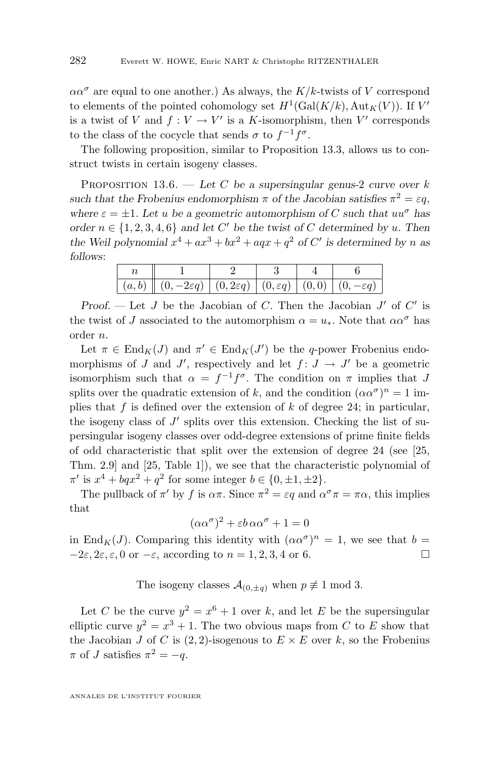<span id="page-44-0"></span> $\alpha \alpha^{\sigma}$  are equal to one another.) As always, the K/k-twists of V correspond to elements of the pointed cohomology set  $H^1(\text{Gal}(K/k), \text{Aut}_K(V))$ . If  $V'$ is a twist of V and  $f: V \to V'$  is a K-isomorphism, then V' corresponds to the class of the cocycle that sends  $\sigma$  to  $f^{-1}f^{\sigma}$ .

The following proposition, similar to Proposition [13.3,](#page-41-0) allows us to construct twists in certain isogeny classes.

Proposition 13.6. — *Let* C *be a supersingular genus-*2 *curve over* k such that the Frobenius endomorphism  $\pi$  of the Jacobian satisfies  $\pi^2 = \varepsilon q$ , *where*  $\varepsilon = \pm 1$ *. Let u be a geometric automorphism of C such that*  $uu^{\sigma}$  *has order*  $n \in \{1, 2, 3, 4, 6\}$  *and let* C' *be the twist of* C *determined by* u. Then the Weil polynomial  $x^4 + ax^3 + bx^2 + aqx + q^2$  of C' is determined by n as *follows*:

| $ (a,b) \nparallel (0,-2\varepsilon q)   (0,2\varepsilon q)   (0,\varepsilon q)   (0,0)   (0,-\varepsilon q)$ |  |  |
|---------------------------------------------------------------------------------------------------------------|--|--|

*Proof.* — Let  $J$  be the Jacobian of  $C$ . Then the Jacobian  $J'$  of  $C'$  is the twist of J associated to the automorphism  $\alpha = u_*$ . Note that  $\alpha \alpha^{\sigma}$  has order n.

Let  $\pi \in \text{End}_K(J)$  and  $\pi' \in \text{End}_K(J')$  be the q-power Frobenius endomorphisms of J and J', respectively and let  $f: J \to J'$  be a geometric isomorphism such that  $\alpha = f^{-1}f^{\sigma}$ . The condition on  $\pi$  implies that J splits over the quadratic extension of k, and the condition  $(\alpha \alpha^{\sigma})^n = 1$  implies that  $f$  is defined over the extension of  $k$  of degree 24; in particular, the isogeny class of  $J'$  splits over this extension. Checking the list of supersingular isogeny classes over odd-degree extensions of prime finite fields of odd characteristic that split over the extension of degree 24 (see [\[25,](#page-50-0) Thm. 2.9] and [\[25,](#page-50-0) Table 1]), we see that the characteristic polynomial of  $\pi'$  is  $x^4 + bq x^2 + q^2$  for some integer  $b \in \{0, \pm 1, \pm 2\}.$ 

The pullback of  $\pi'$  by f is  $\alpha\pi$ . Since  $\pi^2 = \varepsilon q$  and  $\alpha^{\sigma}\pi = \pi\alpha$ , this implies that

$$
(\alpha \alpha^{\sigma})^2 + \varepsilon b \alpha \alpha^{\sigma} + 1 = 0
$$

in End<sub>K</sub>(J). Comparing this identity with  $(\alpha \alpha^{\sigma})^n = 1$ , we see that  $b =$  $-2\varepsilon$ ,  $2\varepsilon$ ,  $\varepsilon$ , 0 or  $-\varepsilon$ , according to  $n = 1, 2, 3, 4$  or 6.

The isogeny classes  $\mathcal{A}_{(0,\pm q)}$  when  $p \not\equiv 1 \mod 3$ .

Let C be the curve  $y^2 = x^6 + 1$  over k, and let E be the supersingular elliptic curve  $y^2 = x^3 + 1$ . The two obvious maps from C to E show that the Jacobian J of C is  $(2, 2)$ -isogenous to  $E \times E$  over k, so the Frobenius  $\pi$  of J satisfies  $\pi^2 = -q$ .

ANNALES DE L'INSTITUT FOURIER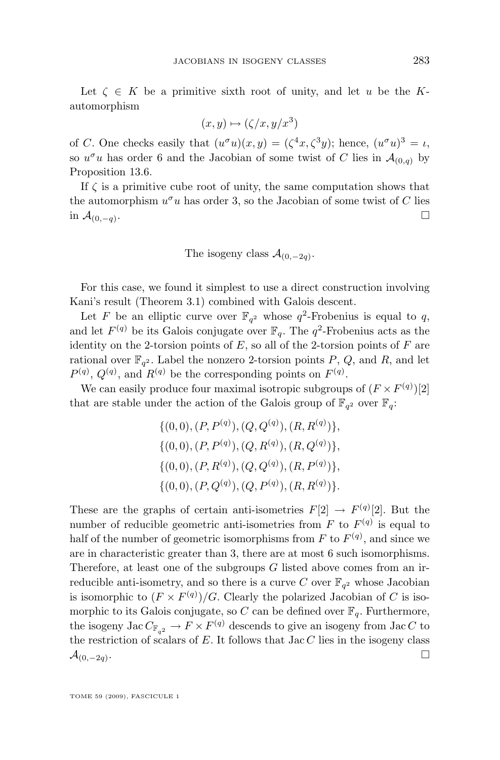Let  $\zeta \in K$  be a primitive sixth root of unity, and let u be the Kautomorphism

$$
(x, y) \mapsto (\zeta/x, y/x^3)
$$

of C. One checks easily that  $(u^{\sigma}u)(x,y) = (\zeta^4x, \zeta^3y)$ ; hence,  $(u^{\sigma}u)^3 = \iota$ , so  $u^{\sigma}u$  has order 6 and the Jacobian of some twist of C lies in  $\mathcal{A}_{(0,q)}$  by Proposition [13.6.](#page-44-0)

If  $\zeta$  is a primitive cube root of unity, the same computation shows that the automorphism  $u^{\sigma}u$  has order 3, so the Jacobian of some twist of C lies in  $\mathcal{A}_{(0,-q)}$ . .

The isogeny class  $\mathcal{A}_{(0,-2q)}$ .

For this case, we found it simplest to use a direct construction involving Kani's result (Theorem [3.1\)](#page-8-0) combined with Galois descent.

Let F be an elliptic curve over  $\mathbb{F}_{q^2}$  whose  $q^2$ -Frobenius is equal to q, and let  $F^{(q)}$  be its Galois conjugate over  $\mathbb{F}_q$ . The  $q^2$ -Frobenius acts as the identity on the 2-torsion points of  $E$ , so all of the 2-torsion points of  $F$  are rational over  $\mathbb{F}_{q^2}$ . Label the nonzero 2-torsion points P, Q, and R, and let  $P^{(q)}$ ,  $Q^{(q)}$ , and  $R^{(q)}$  be the corresponding points on  $F^{(q)}$ .

We can easily produce four maximal isotropic subgroups of  $(F \times F^{(q)})[2]$ that are stable under the action of the Galois group of  $\mathbb{F}_{q^2}$  over  $\mathbb{F}_q$ :

> $\{(0,0),(P,P^{(q)}),(Q,Q^{(q)}),(R,R^{(q)})\},\$  $\{(0,0),(P,P^{(q)}),(Q,R^{(q)}),(R,Q^{(q)})\},\$  $\{(0,0),(P,R^{(q)}),(Q,Q^{(q)}),(R,P^{(q)})\},\$  $\{(0,0),(P,Q^{(q)}),(Q,P^{(q)}),(R,R^{(q)})\}.$

These are the graphs of certain anti-isometries  $F[2] \rightarrow F^{(q)}[2]$ . But the number of reducible geometric anti-isometries from  $F$  to  $F<sup>(q)</sup>$  is equal to half of the number of geometric isomorphisms from F to  $F^{(q)}$ , and since we are in characteristic greater than 3, there are at most 6 such isomorphisms. Therefore, at least one of the subgroups  $G$  listed above comes from an irreducible anti-isometry, and so there is a curve C over  $\mathbb{F}_{q^2}$  whose Jacobian is isomorphic to  $(F \times F^{(q)})/G$ . Clearly the polarized Jacobian of C is isomorphic to its Galois conjugate, so C can be defined over  $\mathbb{F}_q$ . Furthermore, the isogeny Jac  $C_{\mathbb{F}_{q^2}} \to F \times F^{(q)}$  descends to give an isogeny from Jac C to the restriction of scalars of  $E$ . It follows that Jac  $C$  lies in the isogeny class  $\mathcal{A}_{(0,-2q)}$ . .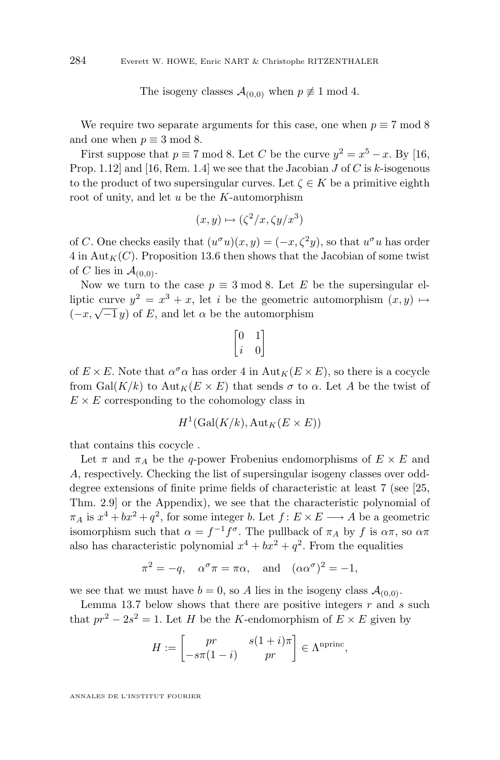The isogeny classes  $\mathcal{A}_{(0,0)}$  when  $p \not\equiv 1 \mod 4$ .

We require two separate arguments for this case, one when  $p \equiv 7 \mod 8$ and one when  $p \equiv 3 \mod 8$ .

First suppose that  $p \equiv 7 \mod 8$ . Let C be the curve  $y^2 = x^5 - x$ . By [\[16,](#page-50-0) Prop. 1.12 and [\[16,](#page-50-0) Rem. 1.4] we see that the Jacobian  $J$  of  $C$  is  $k$ -isogenous to the product of two supersingular curves. Let  $\zeta \in K$  be a primitive eighth root of unity, and let  $u$  be the  $K$ -automorphism

$$
(x, y) \mapsto (\zeta^2/x, \zeta y/x^3)
$$

of C. One checks easily that  $(u^{\sigma}u)(x, y) = (-x, \zeta^2 y)$ , so that  $u^{\sigma}u$  has order  $4$  in Aut<sub>K</sub>(C). Proposition [13.6](#page-44-0) then shows that the Jacobian of some twist of C lies in  $\mathcal{A}_{(0,0)}$ .

Now we turn to the case  $p \equiv 3 \mod 8$ . Let E be the supersingular elliptic curve  $y^2 = x^3 + x$ , let *i* be the geometric automorphism  $(x, y) \mapsto$ hpic curve  $y = x + x$ , let t be the geometric<br>( $-x, \sqrt{-1}y$ ) of E, and let  $\alpha$  be the automorphism

$$
\begin{bmatrix} 0 & 1 \\ i & 0 \end{bmatrix}
$$

of  $E \times E$ . Note that  $\alpha^{\sigma} \alpha$  has order 4 in  ${\rm Aut}_K(E \times E)$ , so there is a cocycle from Gal $(K/k)$  to Aut $_K(E \times E)$  that sends  $\sigma$  to  $\alpha$ . Let A be the twist of  $E \times E$  corresponding to the cohomology class in

$$
H^1(\text{Gal}(K/k), \text{Aut}_K(E \times E))
$$

that contains this cocycle .

Let  $\pi$  and  $\pi_A$  be the q-power Frobenius endomorphisms of  $E \times E$  and A, respectively. Checking the list of supersingular isogeny classes over odddegree extensions of finite prime fields of characteristic at least 7 (see [\[25,](#page-50-0) Thm. 2.9] or the Appendix), we see that the characteristic polynomial of  $\pi_A$  is  $x^4 + bx^2 + q^2$ , for some integer b. Let  $f: E \times E \longrightarrow A$  be a geometric isomorphism such that  $\alpha = f^{-1}f^{\sigma}$ . The pullback of  $\pi_A$  by f is  $\alpha\pi$ , so  $\alpha\pi$ also has characteristic polynomial  $x^4 + bx^2 + q^2$ . From the equalities

$$
\pi^2 = -q
$$
,  $\alpha^{\sigma} \pi = \pi \alpha$ , and  $(\alpha \alpha^{\sigma})^2 = -1$ ,

we see that we must have  $b = 0$ , so A lies in the isogeny class  $\mathcal{A}_{(0,0)}$ .

Lemma [13.7](#page-47-0) below shows that there are positive integers  $r$  and  $s$  such that  $pr^2 - 2s^2 = 1$ . Let H be the K-endomorphism of  $E \times E$  given by

$$
H := \begin{bmatrix} pr & s(1+i)\pi \\ -s\pi(1-i) & pr \end{bmatrix} \in \Lambda^{\text{nprinc}},
$$

ANNALES DE L'INSTITUT FOURIER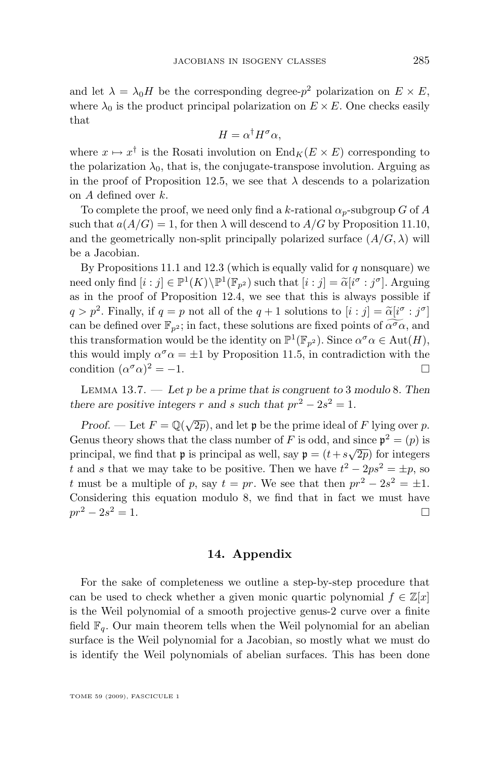<span id="page-47-0"></span>and let  $\lambda = \lambda_0 H$  be the corresponding degree- $p^2$  polarization on  $E \times E$ , where  $\lambda_0$  is the product principal polarization on  $E \times E$ . One checks easily that

$$
H = \alpha^{\dagger} H^{\sigma} \alpha,
$$

where  $x \mapsto x^{\dagger}$  is the Rosati involution on  $\text{End}_K(E \times E)$  corresponding to the polarization  $\lambda_0$ , that is, the conjugate-transpose involution. Arguing as in the proof of Proposition [12.5,](#page-38-0) we see that  $\lambda$  descends to a polarization on A defined over k.

To complete the proof, we need only find a k-rational  $\alpha_p$ -subgroup G of A such that  $a(A/G) = 1$ , for then  $\lambda$  will descend to  $A/G$  by Proposition [11.10,](#page-36-0) and the geometrically non-split principally polarized surface  $(A/G, \lambda)$  will be a Jacobian.

By Propositions [11.1](#page-31-0) and [12.3](#page-37-0) (which is equally valid for  $q$  nonsquare) we need only find  $[i : j] \in \mathbb{P}^1(K) \backslash \mathbb{P}^1(\mathbb{F}_{p^2})$  such that  $[i : j] = \tilde{\alpha}[i^{\sigma} : j^{\sigma}]$ . Arguing as in the proof of Proposition [12.4,](#page-38-0) we see that this is always possible if  $q > p^2$ . Finally, if  $q = p$  not all of the  $q + 1$  solutions to  $[i : j] = \tilde{\alpha}[i^{\sigma} : j^{\sigma}]$ can be defined over  $\mathbb{F}_{p^2}$ ; in fact, these solutions are fixed points of  $\widetilde{\alpha^{\sigma}\alpha}$ , and this transformation would be the identity on  $\mathbb{P}^1(\mathbb{F}_{p^2})$ . Since  $\alpha^{\sigma}\alpha \in \text{Aut}(H)$ , this would imply  $\alpha^{\sigma} \alpha = \pm 1$  by Proposition [11.5,](#page-33-0) in contradiction with the condition  $(\alpha^{\sigma}\alpha)^2 = -1$ .

Lemma 13.7. — *Let* p *be a prime that is congruent to* 3 *modulo* 8*. Then there are positive integers* r and s such that  $pr^2 - 2s^2 = 1$ .

*Proof.* — Let  $F = \mathbb{Q}(\sqrt{2p})$ , and let **p** be the prime ideal of F lying over p. Genus theory shows that the class number of F is odd, and since  $p^2 = (p)$  is principal, we find that **p** is principal as well, say  $\mathbf{p} = (t + s\sqrt{2p})$  for integers t and s that we may take to be positive. Then we have  $t^2 - 2ps^2 = \pm p$ , so t must be a multiple of p, say  $t = pr$ . We see that then  $pr^2 - 2s^2 = \pm 1$ . Considering this equation modulo 8, we find that in fact we must have  $pr^2 - 2s^2 = 1.$  $2^2 = 1.$ 

#### **14. Appendix**

For the sake of completeness we outline a step-by-step procedure that can be used to check whether a given monic quartic polynomial  $f \in \mathbb{Z}[x]$ is the Weil polynomial of a smooth projective genus-2 curve over a finite field  $\mathbb{F}_q$ . Our main theorem tells when the Weil polynomial for an abelian surface is the Weil polynomial for a Jacobian, so mostly what we must do is identify the Weil polynomials of abelian surfaces. This has been done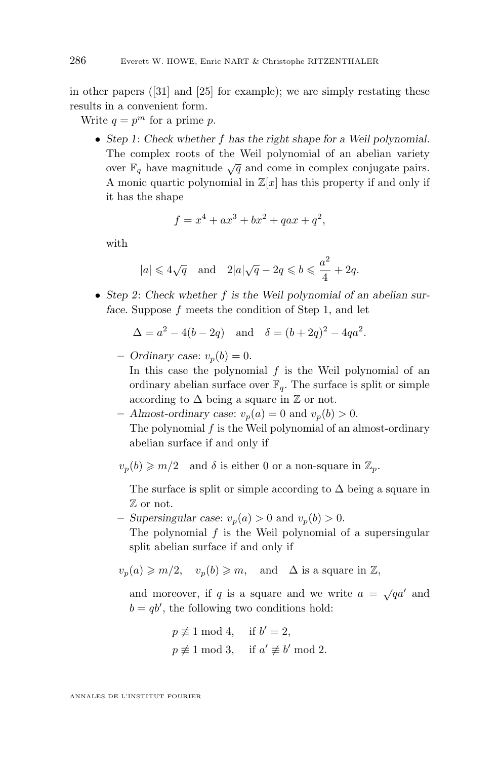in other papers ([\[31\]](#page-51-0) and [\[25\]](#page-50-0) for example); we are simply restating these results in a convenient form.

Write  $q = p^m$  for a prime p.

• *Step 1*: *Check whether* f *has the right shape for a Weil polynomial.* The complex roots of the Weil polynomial of an abelian variety over  $\mathbb{F}_q$  have magnitude  $\sqrt{q}$  and come in complex conjugate pairs. A monic quartic polynomial in  $\mathbb{Z}[x]$  has this property if and only if it has the shape

$$
f = x^4 + ax^3 + bx^2 + qax + q^2,
$$

with

$$
|a| \leq 4\sqrt{q}
$$
 and  $2|a|\sqrt{q} - 2q \leq b \leq \frac{a^2}{4} + 2q$ .

• *Step 2*: *Check whether* f *is the Weil polynomial of an abelian surface.* Suppose f meets the condition of Step 1, and let

$$
\Delta = a^2 - 4(b - 2q)
$$
 and  $\delta = (b + 2q)^2 - 4qa^2$ .

- $-$  *Ordinary case:*  $v_p(b) = 0$ . In this case the polynomial  $f$  is the Weil polynomial of an ordinary abelian surface over  $\mathbb{F}_q$ . The surface is split or simple according to  $\Delta$  being a square in  $\mathbb Z$  or not.
- Almost-ordinary case:  $v_p(a) = 0$  and  $v_p(b) > 0$ . The polynomial  $f$  is the Weil polynomial of an almost-ordinary abelian surface if and only if

 $v_p(b) \geq m/2$  and  $\delta$  is either 0 or a non-square in  $\mathbb{Z}_p$ .

The surface is split or simple according to  $\Delta$  being a square in Z or not.

- $-$  *Supersingular case:*  $v_p(a) > 0$  and  $v_p(b) > 0$ . The polynomial  $f$  is the Weil polynomial of a supersingular split abelian surface if and only if
- $v_p(a) \geq m/2$ ,  $v_p(b) \geq m$ , and  $\Delta$  is a square in  $\mathbb{Z}$ ,

and moreover, if q is a square and we write  $a = \sqrt{q}a'$  and  $b = qb'$ , the following two conditions hold:

$$
p \not\equiv 1 \mod 4, \quad \text{if } b' = 2,
$$
  

$$
p \not\equiv 1 \mod 3, \quad \text{if } a' \not\equiv b' \mod 2.
$$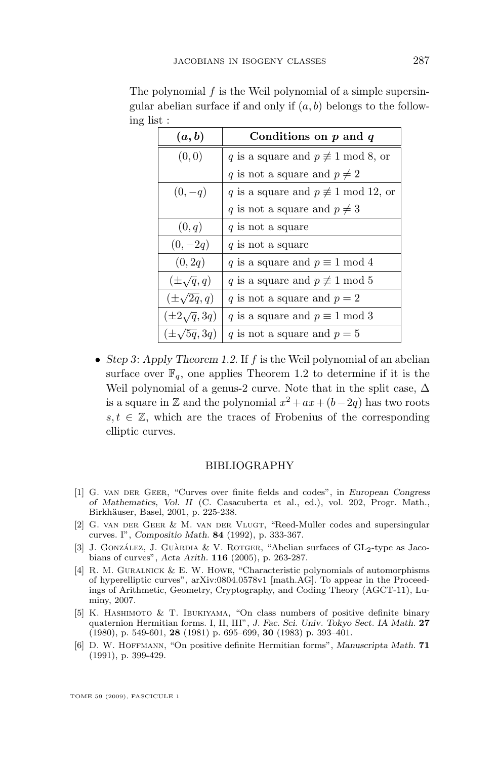| (a,b)                 | Conditions on $p$ and $q$                       |
|-----------------------|-------------------------------------------------|
| (0, 0)                | q is a square and $p \not\equiv 1 \mod 8$ , or  |
|                       | q is not a square and $p \neq 2$                |
| $(0,-q)$              | q is a square and $p \not\equiv 1 \mod 12$ , or |
|                       | q is not a square and $p \neq 3$                |
| (0, q)                | q is not a square                               |
| $(0,-2q)$             | q is not a square                               |
| (0, 2q)               | q is a square and $p \equiv 1 \mod 4$           |
| $(\pm \sqrt{q}, q)$   | q is a square and $p \not\equiv 1 \mod 5$       |
| $(\pm \sqrt{2q}, q)$  | q is not a square and $p=2$                     |
| $(\pm 2\sqrt{q}, 3q)$ | q is a square and $p \equiv 1 \mod 3$           |
| $(\pm\sqrt{5q},3q)$   | q is not a square and $p=5$                     |

<span id="page-49-0"></span>The polynomial  $f$  is the Weil polynomial of a simple supersingular abelian surface if and only if  $(a, b)$  belongs to the following list :

• *Step 3*: *Apply Theorem [1.2](#page-2-0)*. If f is the Weil polynomial of an abelian surface over  $\mathbb{F}_q$ , one applies Theorem [1.2](#page-2-0) to determine if it is the Weil polynomial of a genus-2 curve. Note that in the split case,  $\Delta$ is a square in  $\mathbb Z$  and the polynomial  $x^2 + ax + (b-2q)$  has two roots  $s, t \in \mathbb{Z}$ , which are the traces of Frobenius of the corresponding elliptic curves.

#### BIBLIOGRAPHY

- [1] G. van der Geer, "Curves over finite fields and codes", in *European Congress of Mathematics, Vol. II* (C. Casacuberta et al., ed.), vol. 202, Progr. Math., Birkhäuser, Basel, 2001, p. 225-238.
- [2] G. VAN DER GEER & M. VAN DER VLUGT, "Reed-Muller codes and supersingular curves. I", *Compositio Math.* **84** (1992), p. 333-367.
- [3] J. GONZÁLEZ, J. GUÀRDIA & V. ROTGER, "Abelian surfaces of  $GL_2$ -type as Jacobians of curves", *Acta Arith.* **116** (2005), p. 263-287.
- [4] R. M. Guralnick & E. W. Howe, "Characteristic polynomials of automorphisms of hyperelliptic curves", arXiv:0804.0578v1 [math.AG]. To appear in the Proceedings of Arithmetic, Geometry, Cryptography, and Coding Theory (AGCT-11), Luminy, 2007.
- [5] K. Hashimoto & T. Ibukiyama, "On class numbers of positive definite binary quaternion Hermitian forms. I, II, III", *J. Fac. Sci. Univ. Tokyo Sect. IA Math.* **27** (1980), p. 549-601, **28** (1981) p. 695–699, **30** (1983) p. 393–401.
- [6] D. W. Hoffmann, "On positive definite Hermitian forms", *Manuscripta Math.* **71** (1991), p. 399-429.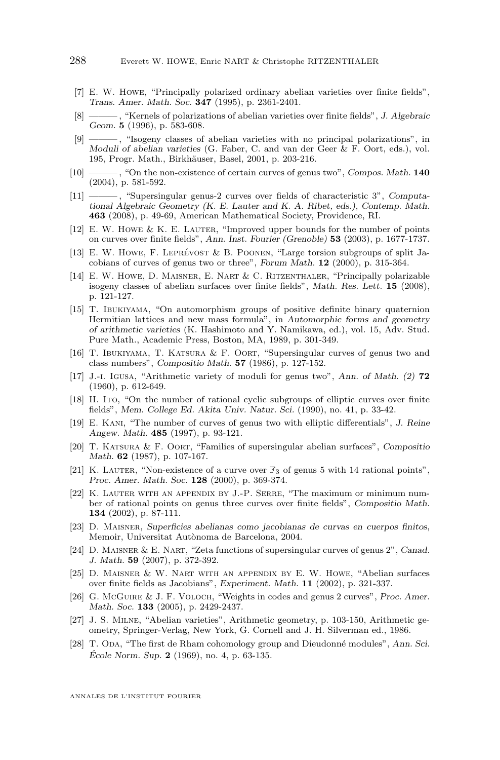- <span id="page-50-0"></span>[7] E. W. Howe, "Principally polarized ordinary abelian varieties over finite fields", *Trans. Amer. Math. Soc.* **347** (1995), p. 2361-2401.
- [8] ——— , "Kernels of polarizations of abelian varieties over finite fields", *J. Algebraic Geom.* **5** (1996), p. 583-608.
- [9] ——— , "Isogeny classes of abelian varieties with no principal polarizations", in *Moduli of abelian varieties* (G. Faber, C. and van der Geer & F. Oort, eds.), vol. 195, Progr. Math., Birkhäuser, Basel, 2001, p. 203-216.
- [10] ——— , "On the non-existence of certain curves of genus two", *Compos. Math.* **140** (2004), p. 581-592.
- [11] ——— , "Supersingular genus-2 curves over fields of characteristic 3", *Computational Algebraic Geometry (K. E. Lauter and K. A. Ribet, eds.), Contemp. Math.* **463** (2008), p. 49-69, American Mathematical Society, Providence, RI.
- [12] E. W. Howe & K. E. Lauter, "Improved upper bounds for the number of points on curves over finite fields", *Ann. Inst. Fourier (Grenoble)* **53** (2003), p. 1677-1737.
- [13] E. W. Howe, F. Leprévost & B. Poonen, "Large torsion subgroups of split Jacobians of curves of genus two or three", *Forum Math.* **12** (2000), p. 315-364.
- [14] E. W. Howe, D. Maisner, E. Nart & C. Ritzenthaler, "Principally polarizable isogeny classes of abelian surfaces over finite fields", *Math. Res. Lett.* **15** (2008), p. 121-127.
- [15] T. Ibukiyama, "On automorphism groups of positive definite binary quaternion Hermitian lattices and new mass formula", in *Automorphic forms and geometry of arithmetic varieties* (K. Hashimoto and Y. Namikawa, ed.), vol. 15, Adv. Stud. Pure Math., Academic Press, Boston, MA, 1989, p. 301-349.
- [16] T. Ibukiyama, T. Katsura & F. Oort, "Supersingular curves of genus two and class numbers", *Compositio Math.* **57** (1986), p. 127-152.
- [17] J.-i. Igusa, "Arithmetic variety of moduli for genus two", *Ann. of Math. (2)* **72** (1960), p. 612-649.
- [18] H. Ito, "On the number of rational cyclic subgroups of elliptic curves over finite fields", *Mem. College Ed. Akita Univ. Natur. Sci.* (1990), no. 41, p. 33-42.
- [19] E. Kani, "The number of curves of genus two with elliptic differentials", *J. Reine Angew. Math.* **485** (1997), p. 93-121.
- [20] T. Katsura & F. Oort, "Families of supersingular abelian surfaces", *Compositio Math.* **62** (1987), p. 107-167.
- [21] K. LAUTER, "Non-existence of a curve over  $\mathbb{F}_3$  of genus 5 with 14 rational points", *Proc. Amer. Math. Soc.* **128** (2000), p. 369-374.
- [22] K. Lauter with an appendix by J.-P. Serre, "The maximum or minimum number of rational points on genus three curves over finite fields", *Compositio Math.* **134** (2002), p. 87-111.
- [23] D. Maisner, *Superficies abelianas como jacobianas de curvas en cuerpos finitos*, Memoir, Universitat Autònoma de Barcelona, 2004.
- [24] D. Maisner & E. Nart, "Zeta functions of supersingular curves of genus 2", *Canad. J. Math.* **59** (2007), p. 372-392.
- [25] D. Maisner & W. Nart with an appendix by E. W. Howe, "Abelian surfaces over finite fields as Jacobians", *Experiment. Math.* **11** (2002), p. 321-337.
- [26] G. McGuire & J. F. Voloch, "Weights in codes and genus 2 curves", *Proc. Amer. Math. Soc.* **133** (2005), p. 2429-2437.
- [27] J. S. Milne, "Abelian varieties", Arithmetic geometry, p. 103-150, Arithmetic geometry, Springer-Verlag, New York, G. Cornell and J. H. Silverman ed., 1986.
- [28] T. ODA, "The first de Rham cohomology group and Dieudonné modules", *Ann. Sci. École Norm. Sup.* **2** (1969), no. 4, p. 63-135.